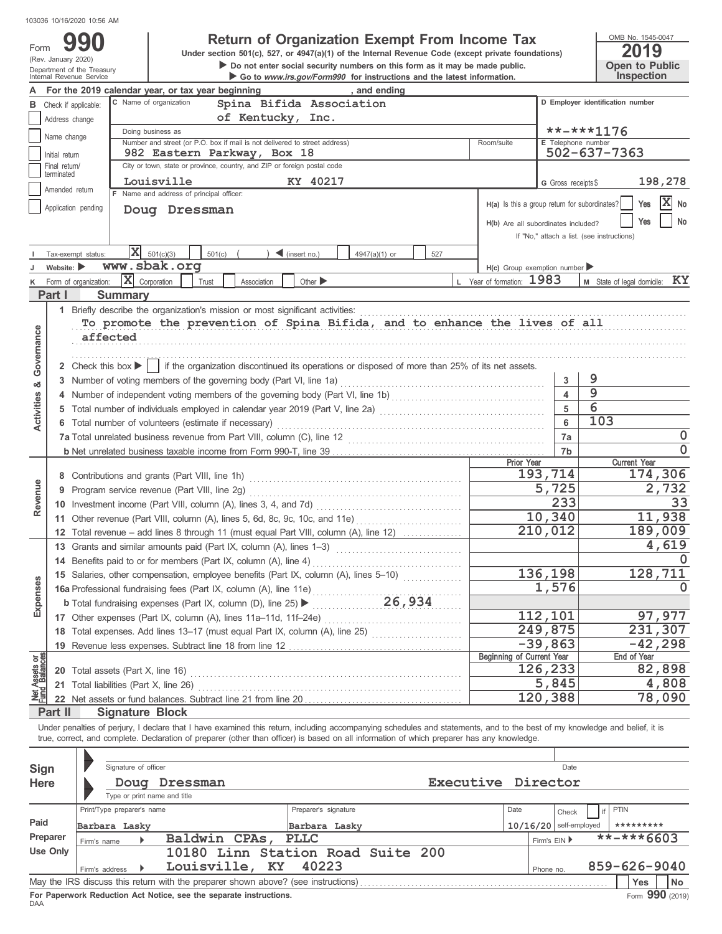(Rev. January 2020)

Form

# **990 2019 Return of Organization Exempt From Income Tax 2019 2019 2019 2019 2019 2019 2019 2019 2019 2019 2019 2019 2019 2019 2019 2019 2019 2019 2019 2019 2019 2019 2019**

■ Go to *www.irs.gov/Form990* for instructions and the latest inform  $\triangleright$  Do not enter social security numbers on this form as it may be made public. **Under section 501(c), 527, or 4947(a)(1) of the Internal Revenue Code (except private foundations)** OMB No. 1545-0047

| ZU19                  |
|-----------------------|
| <b>Open to Public</b> |
| <b>Inspection</b>     |

|                                                    |                                     | Department of the Treasury<br>Internal Revenue Service |                                                                                                                                                                            |                                   | Do not enter social security numbers on this form as it may be made public.<br>Go to www.irs.gov/Form990 for instructions and the latest information. |                                  |                                               | <b>Open to Public</b><br><b>Inspection</b> |  |  |  |
|----------------------------------------------------|-------------------------------------|--------------------------------------------------------|----------------------------------------------------------------------------------------------------------------------------------------------------------------------------|-----------------------------------|-------------------------------------------------------------------------------------------------------------------------------------------------------|----------------------------------|-----------------------------------------------|--------------------------------------------|--|--|--|
|                                                    |                                     |                                                        | For the 2019 calendar year, or tax year beginning                                                                                                                          |                                   | , and ending                                                                                                                                          |                                  |                                               |                                            |  |  |  |
| в                                                  | Check if applicable:                |                                                        | C Name of organization                                                                                                                                                     | Spina Bifida Association          |                                                                                                                                                       |                                  |                                               | D Employer identification number           |  |  |  |
|                                                    | Address change                      |                                                        | of Kentucky, Inc.                                                                                                                                                          |                                   |                                                                                                                                                       |                                  |                                               |                                            |  |  |  |
|                                                    | Name change                         |                                                        | Doing business as                                                                                                                                                          |                                   |                                                                                                                                                       |                                  |                                               | $***+***1176$                              |  |  |  |
|                                                    |                                     |                                                        | Number and street (or P.O. box if mail is not delivered to street address)                                                                                                 |                                   |                                                                                                                                                       | Room/suite                       | E Telephone number                            |                                            |  |  |  |
|                                                    | Initial return<br>Final return/     |                                                        | 982 Eastern Parkway, Box 18<br>City or town, state or province, country, and ZIP or foreign postal code                                                                    |                                   |                                                                                                                                                       |                                  |                                               | $502 - 637 - 7363$                         |  |  |  |
|                                                    | terminated                          |                                                        |                                                                                                                                                                            | KY 40217                          |                                                                                                                                                       |                                  |                                               |                                            |  |  |  |
|                                                    | Amended return                      |                                                        | Louisville<br>F Name and address of principal officer:                                                                                                                     |                                   |                                                                                                                                                       |                                  | G Gross receipts \$                           | 198,278                                    |  |  |  |
|                                                    |                                     | Application pending                                    | Doug Dressman                                                                                                                                                              |                                   |                                                                                                                                                       |                                  | H(a) Is this a group return for subordinates? | IХ<br>Yes<br><b>No</b>                     |  |  |  |
|                                                    | H(b) Are all subordinates included? |                                                        |                                                                                                                                                                            |                                   |                                                                                                                                                       |                                  |                                               |                                            |  |  |  |
|                                                    |                                     |                                                        |                                                                                                                                                                            |                                   |                                                                                                                                                       |                                  |                                               | If "No," attach a list. (see instructions) |  |  |  |
|                                                    |                                     | Tax-exempt status:                                     | X 501(c)(3)<br>501(c)                                                                                                                                                      | $\blacktriangleleft$ (insert no.) | 4947(a)(1) or<br>527                                                                                                                                  |                                  |                                               |                                            |  |  |  |
|                                                    | Website: $\blacktriangleright$      |                                                        | www.sbak.org                                                                                                                                                               |                                   |                                                                                                                                                       |                                  | $H(c)$ Group exemption number                 |                                            |  |  |  |
| κ                                                  |                                     | Form of organization:                                  | X Corporation<br>Trust<br>Association                                                                                                                                      | Other $\blacktriangleright$       |                                                                                                                                                       | L Year of formation: 1983        |                                               | M State of legal domicile: KY              |  |  |  |
|                                                    | Part I                              | <b>Summary</b>                                         |                                                                                                                                                                            |                                   |                                                                                                                                                       |                                  |                                               |                                            |  |  |  |
|                                                    |                                     |                                                        | 1 Briefly describe the organization's mission or most significant activities:                                                                                              |                                   |                                                                                                                                                       |                                  |                                               |                                            |  |  |  |
|                                                    |                                     |                                                        | To promote the prevention of Spina Bifida, and to enhance the lives of all                                                                                                 |                                   |                                                                                                                                                       |                                  |                                               |                                            |  |  |  |
|                                                    |                                     | affected                                               |                                                                                                                                                                            |                                   |                                                                                                                                                       |                                  |                                               |                                            |  |  |  |
|                                                    |                                     |                                                        |                                                                                                                                                                            |                                   |                                                                                                                                                       |                                  |                                               |                                            |  |  |  |
| Governance                                         |                                     | 2 Check this box $\blacktriangleright$                 | if the organization discontinued its operations or disposed of more than 25% of its net assets.                                                                            |                                   |                                                                                                                                                       |                                  |                                               |                                            |  |  |  |
| න්                                                 |                                     |                                                        | 3 Number of voting members of the governing body (Part VI, line 1a)                                                                                                        |                                   |                                                                                                                                                       |                                  | 3                                             | 9                                          |  |  |  |
|                                                    |                                     |                                                        |                                                                                                                                                                            |                                   |                                                                                                                                                       |                                  | $\overline{\mathbf{4}}$                       | 9                                          |  |  |  |
| <b>Activities</b>                                  |                                     |                                                        |                                                                                                                                                                            |                                   |                                                                                                                                                       |                                  | 5                                             | 6                                          |  |  |  |
|                                                    |                                     |                                                        | 6 Total number of volunteers (estimate if necessary)                                                                                                                       |                                   |                                                                                                                                                       |                                  | 6                                             | 103                                        |  |  |  |
|                                                    |                                     |                                                        |                                                                                                                                                                            |                                   | 7a                                                                                                                                                    | 0                                |                                               |                                            |  |  |  |
|                                                    |                                     |                                                        |                                                                                                                                                                            |                                   |                                                                                                                                                       |                                  | 7 <sub>b</sub>                                | 0                                          |  |  |  |
|                                                    |                                     |                                                        |                                                                                                                                                                            |                                   |                                                                                                                                                       | Prior Year                       |                                               | <b>Current Year</b>                        |  |  |  |
|                                                    |                                     |                                                        |                                                                                                                                                                            |                                   | 193,714                                                                                                                                               | 174,306                          |                                               |                                            |  |  |  |
| Revenue                                            |                                     |                                                        |                                                                                                                                                                            |                                   |                                                                                                                                                       |                                  | 5,725                                         | 2,732                                      |  |  |  |
|                                                    |                                     |                                                        |                                                                                                                                                                            |                                   |                                                                                                                                                       |                                  | 233                                           | 33<br>11,938                               |  |  |  |
|                                                    |                                     |                                                        |                                                                                                                                                                            |                                   |                                                                                                                                                       | 10,340<br>210,012                |                                               |                                            |  |  |  |
|                                                    |                                     |                                                        | 12 Total revenue – add lines 8 through 11 (must equal Part VIII, column (A), line 12)                                                                                      |                                   |                                                                                                                                                       |                                  |                                               | 189,009<br>4,619                           |  |  |  |
|                                                    |                                     |                                                        | 13 Grants and similar amounts paid (Part IX, column (A), lines 1-3)                                                                                                        |                                   |                                                                                                                                                       |                                  |                                               |                                            |  |  |  |
|                                                    |                                     |                                                        | 15 Salaries, other compensation, employee benefits (Part IX, column (A), lines 5-10)                                                                                       |                                   |                                                                                                                                                       |                                  | 136,198                                       | 128,711                                    |  |  |  |
| <b>Ses</b>                                         |                                     |                                                        | 16a Professional fundraising fees (Part IX, column (A), line 11e)                                                                                                          |                                   |                                                                                                                                                       |                                  | 1,576                                         | 0                                          |  |  |  |
| Expens                                             |                                     |                                                        |                                                                                                                                                                            |                                   |                                                                                                                                                       |                                  |                                               |                                            |  |  |  |
|                                                    |                                     |                                                        |                                                                                                                                                                            |                                   |                                                                                                                                                       |                                  | 112,101                                       | 97,977                                     |  |  |  |
|                                                    |                                     |                                                        | 18 Total expenses. Add lines 13-17 (must equal Part IX, column (A), line 25)                                                                                               |                                   |                                                                                                                                                       |                                  | 249,875                                       | 231,307                                    |  |  |  |
|                                                    |                                     |                                                        |                                                                                                                                                                            |                                   |                                                                                                                                                       |                                  | $-39,863$                                     | $-42,298$                                  |  |  |  |
|                                                    |                                     |                                                        |                                                                                                                                                                            |                                   |                                                                                                                                                       | <b>Beginning of Current Year</b> |                                               | End of Year                                |  |  |  |
| Net Assets or<br>Fund Balances                     |                                     | <b>20</b> Total assets (Part X, line 16)               |                                                                                                                                                                            |                                   |                                                                                                                                                       |                                  | 126,233                                       | 82,898                                     |  |  |  |
|                                                    |                                     | 21 Total liabilities (Part X, line 26)                 |                                                                                                                                                                            |                                   |                                                                                                                                                       |                                  | 5,845                                         | 4,808                                      |  |  |  |
|                                                    |                                     |                                                        | 120,388                                                                                                                                                                    | 78,090                            |                                                                                                                                                       |                                  |                                               |                                            |  |  |  |
|                                                    | Part II                             |                                                        | <b>Signature Block</b>                                                                                                                                                     |                                   |                                                                                                                                                       |                                  |                                               |                                            |  |  |  |
|                                                    |                                     |                                                        | Under penalties of perjury, I declare that I have examined this return, including accompanying schedules and statements, and to the best of my knowledge and belief, it is |                                   |                                                                                                                                                       |                                  |                                               |                                            |  |  |  |
|                                                    |                                     |                                                        | true, correct, and complete. Declaration of preparer (other than officer) is based on all information of which preparer has any knowledge.                                 |                                   |                                                                                                                                                       |                                  |                                               |                                            |  |  |  |
|                                                    |                                     |                                                        |                                                                                                                                                                            |                                   |                                                                                                                                                       |                                  |                                               |                                            |  |  |  |
| Signature of officer<br>Date<br>Sign               |                                     |                                                        |                                                                                                                                                                            |                                   |                                                                                                                                                       |                                  |                                               |                                            |  |  |  |
| Executive Director<br><b>Here</b><br>Doug Dressman |                                     |                                                        |                                                                                                                                                                            |                                   |                                                                                                                                                       |                                  |                                               |                                            |  |  |  |
|                                                    |                                     |                                                        | Type or print name and title                                                                                                                                               |                                   |                                                                                                                                                       |                                  |                                               |                                            |  |  |  |
| Paid                                               |                                     | Print/Type preparer's name                             |                                                                                                                                                                            | Preparer's signature              |                                                                                                                                                       | Date                             | Check                                         | PTIN<br>if                                 |  |  |  |
|                                                    | Preparer                            | Barbara Lasky                                          |                                                                                                                                                                            | Barbara Lasky                     |                                                                                                                                                       |                                  | $10/16/20$ self-employed                      | *********                                  |  |  |  |
|                                                    | <b>Use Only</b>                     | Firm's name                                            | Baldwin CPAs,                                                                                                                                                              | <b>PLLC</b>                       |                                                                                                                                                       |                                  | Firm's EIN ▶                                  | $******6603$                               |  |  |  |
|                                                    |                                     |                                                        | 10180 Linn Station Road Suite 200<br>Louisville, KY                                                                                                                        | 40223                             |                                                                                                                                                       |                                  |                                               | 859-626-9040                               |  |  |  |
|                                                    |                                     | Firm's address                                         |                                                                                                                                                                            |                                   |                                                                                                                                                       |                                  | Phone no.                                     |                                            |  |  |  |
|                                                    |                                     |                                                        |                                                                                                                                                                            |                                   |                                                                                                                                                       |                                  |                                               | Yes<br><b>No</b>                           |  |  |  |

| Sign        |                                                                                       | Signature of officer         |                                                                                   |                      |                    |      |              | Date                     |                    |      |  |  |
|-------------|---------------------------------------------------------------------------------------|------------------------------|-----------------------------------------------------------------------------------|----------------------|--------------------|------|--------------|--------------------------|--------------------|------|--|--|
| <b>Here</b> |                                                                                       | Doua                         | Dressman                                                                          |                      | Executive Director |      |              |                          |                    |      |  |  |
|             |                                                                                       | Type or print name and title |                                                                                   |                      |                    |      |              |                          |                    |      |  |  |
|             |                                                                                       | Print/Type preparer's name   |                                                                                   | Preparer's signature |                    | Date |              | Check                    | PTIN<br>if         |      |  |  |
| Paid        |                                                                                       | Barbara Lasky                |                                                                                   | Barbara Lasky        |                    |      |              | $10/16/20$ self-employed | *********          |      |  |  |
| Preparer    | Firm's name                                                                           |                              | Baldwin CPAs,                                                                     | <b>PLLC</b>          |                    |      | Firm's $EIN$ |                          | $***$ -*** 6603    |      |  |  |
| Use Only    |                                                                                       |                              | 10180 Linn Station Road Suite 200                                                 |                      |                    |      |              |                          |                    |      |  |  |
|             | Firm's address                                                                        |                              | Louisville, KY 40223                                                              |                      |                    |      | Phone no.    |                          | $859 - 626 - 9040$ |      |  |  |
|             |                                                                                       |                              | May the IRS discuss this return with the preparer shown above? (see instructions) |                      |                    |      |              |                          | <b>Yes</b>         | l No |  |  |
| <b>DAA</b>  | Form 990 (2019)<br>For Paperwork Reduction Act Notice, see the separate instructions. |                              |                                                                                   |                      |                    |      |              |                          |                    |      |  |  |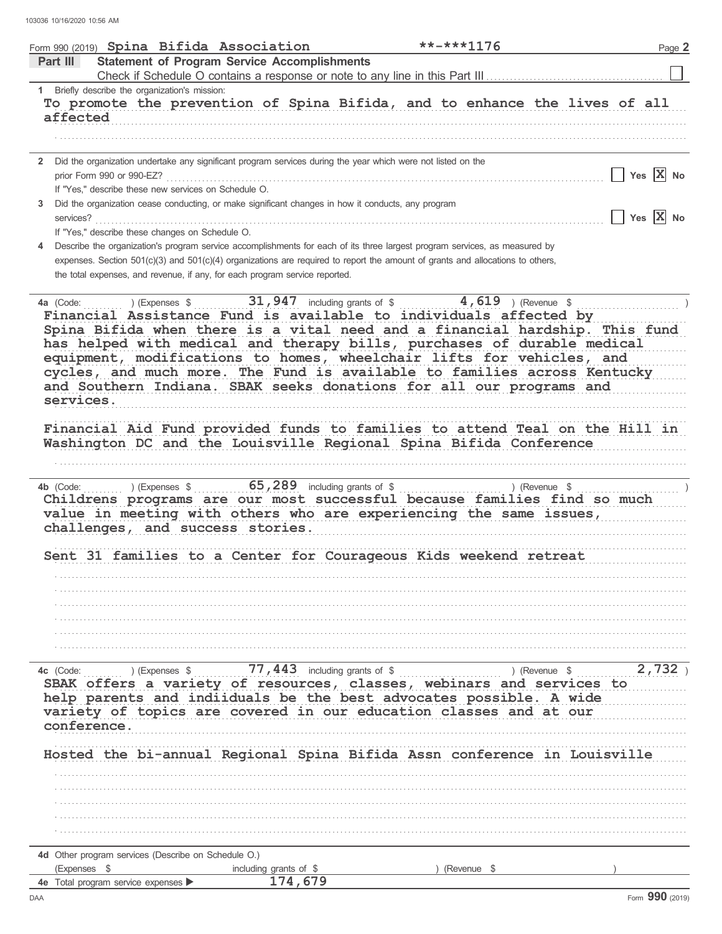|              | Form 990 (2019) Spina Bifida Association                                                                                                                                                                                                                                                                                                 |                                                                                                                                     | $***+*1176$ | Page 2                                                                                                                                                                         |
|--------------|------------------------------------------------------------------------------------------------------------------------------------------------------------------------------------------------------------------------------------------------------------------------------------------------------------------------------------------|-------------------------------------------------------------------------------------------------------------------------------------|-------------|--------------------------------------------------------------------------------------------------------------------------------------------------------------------------------|
|              | Part III                                                                                                                                                                                                                                                                                                                                 | <b>Statement of Program Service Accomplishments</b><br>Check if Schedule O contains a response or note to any line in this Part III |             |                                                                                                                                                                                |
|              | 1 Briefly describe the organization's mission:                                                                                                                                                                                                                                                                                           |                                                                                                                                     |             |                                                                                                                                                                                |
|              |                                                                                                                                                                                                                                                                                                                                          |                                                                                                                                     |             | To promote the prevention of Spina Bifida, and to enhance the lives of all                                                                                                     |
|              | affected                                                                                                                                                                                                                                                                                                                                 |                                                                                                                                     |             |                                                                                                                                                                                |
|              |                                                                                                                                                                                                                                                                                                                                          |                                                                                                                                     |             |                                                                                                                                                                                |
| $\mathbf{2}$ | Did the organization undertake any significant program services during the year which were not listed on the                                                                                                                                                                                                                             |                                                                                                                                     |             |                                                                                                                                                                                |
|              | prior Form 990 or 990-EZ?                                                                                                                                                                                                                                                                                                                |                                                                                                                                     |             | Yes $X$ No                                                                                                                                                                     |
| 3.           | If "Yes," describe these new services on Schedule O.<br>Did the organization cease conducting, or make significant changes in how it conducts, any program                                                                                                                                                                               |                                                                                                                                     |             |                                                                                                                                                                                |
|              | services?                                                                                                                                                                                                                                                                                                                                |                                                                                                                                     |             | Yes $X$ No                                                                                                                                                                     |
|              | If "Yes," describe these changes on Schedule O.                                                                                                                                                                                                                                                                                          |                                                                                                                                     |             |                                                                                                                                                                                |
| 4            | Describe the organization's program service accomplishments for each of its three largest program services, as measured by                                                                                                                                                                                                               |                                                                                                                                     |             |                                                                                                                                                                                |
|              | expenses. Section 501(c)(3) and 501(c)(4) organizations are required to report the amount of grants and allocations to others,                                                                                                                                                                                                           |                                                                                                                                     |             |                                                                                                                                                                                |
|              | the total expenses, and revenue, if any, for each program service reported.                                                                                                                                                                                                                                                              |                                                                                                                                     |             |                                                                                                                                                                                |
|              | 4a (Code:<br>) (Expenses \$<br>Financial Assistance Fund is available to individuals affected by<br>has helped with medical and therapy bills, purchases of durable medical<br>equipment, modifications to homes, wheelchair lifts for vehicles, and<br>and Southern Indiana. SBAK seeks donations for all our programs and<br>services. | 31, 947 including grants of \$                                                                                                      |             | 4,619 ) (Revenue \$<br>Spina Bifida when there is a vital need and a financial hardship. This fund<br>cycles, and much more. The Fund is available to families across Kentucky |
|              | Washington DC and the Louisville Regional Spina Bifida Conference                                                                                                                                                                                                                                                                        |                                                                                                                                     |             | Financial Aid Fund provided funds to families to attend Teal on the Hill in                                                                                                    |
|              | 4b (Code:<br>) (Expenses \$<br>value in meeting with others who are experiencing the same issues,<br>challenges, and success stories.                                                                                                                                                                                                    | $\overline{65,289}$ including grants of \$                                                                                          |             | ) (Revenue \$<br>Childrens programs are our most successful because families find so much                                                                                      |
|              | Sent 31 families to a Center for Courageous Kids weekend retreat                                                                                                                                                                                                                                                                         |                                                                                                                                     |             |                                                                                                                                                                                |
|              |                                                                                                                                                                                                                                                                                                                                          |                                                                                                                                     |             |                                                                                                                                                                                |
|              | 4c (Code:<br>) (Expenses \$<br>SBAK offers a variety of resources, classes, webinars and services to<br>help parents and indiiduals be the best advocates possible. A wide<br>variety of topics are covered in our education classes and at our<br>conference.                                                                           | 77, 443 including grants of \$                                                                                                      |             | 2,732<br>) (Revenue \$                                                                                                                                                         |
|              |                                                                                                                                                                                                                                                                                                                                          |                                                                                                                                     |             | Hosted the bi-annual Regional Spina Bifida Assn conference in Louisville                                                                                                       |
|              |                                                                                                                                                                                                                                                                                                                                          |                                                                                                                                     |             |                                                                                                                                                                                |
|              |                                                                                                                                                                                                                                                                                                                                          |                                                                                                                                     |             |                                                                                                                                                                                |
|              |                                                                                                                                                                                                                                                                                                                                          |                                                                                                                                     |             |                                                                                                                                                                                |
|              |                                                                                                                                                                                                                                                                                                                                          |                                                                                                                                     |             |                                                                                                                                                                                |
|              |                                                                                                                                                                                                                                                                                                                                          |                                                                                                                                     |             |                                                                                                                                                                                |
|              | 4d Other program services (Describe on Schedule O.)                                                                                                                                                                                                                                                                                      |                                                                                                                                     |             |                                                                                                                                                                                |
|              | (Expenses \$<br>4e Total program service expenses                                                                                                                                                                                                                                                                                        | including grants of \$<br>174,679                                                                                                   | (Revenue \$ |                                                                                                                                                                                |
|              |                                                                                                                                                                                                                                                                                                                                          |                                                                                                                                     |             |                                                                                                                                                                                |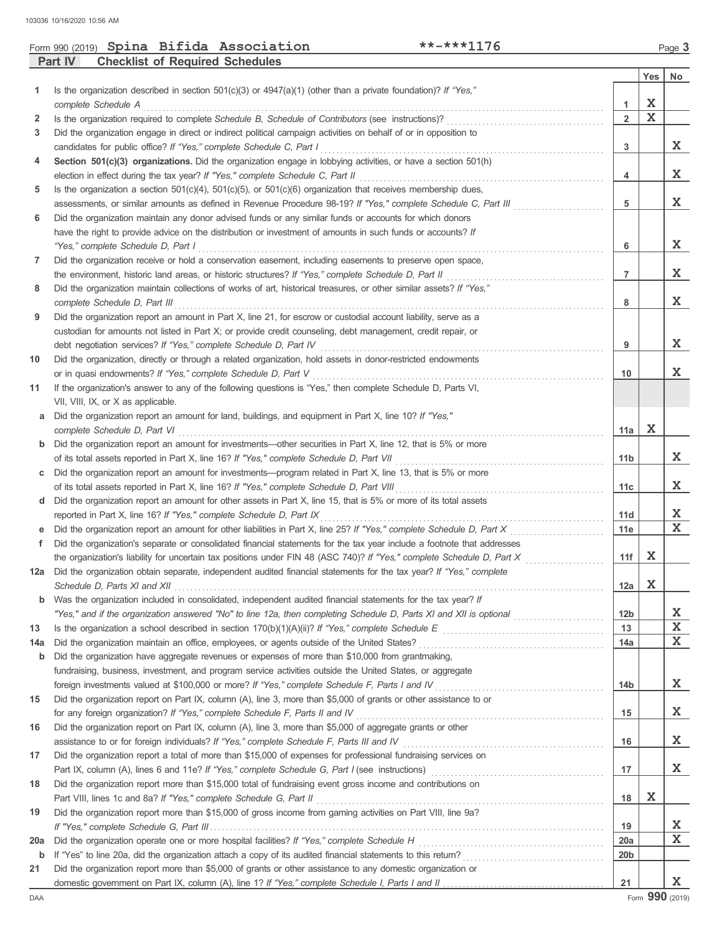|  | Form 990 (2019) Spina Bifida Association       | **-***1176 | Page $3$ |
|--|------------------------------------------------|------------|----------|
|  | <b>Part IV</b> Checklist of Required Schedules |            |          |

|     |                                                                                                                                               |                 | Yes         | No           |
|-----|-----------------------------------------------------------------------------------------------------------------------------------------------|-----------------|-------------|--------------|
| 1   | Is the organization described in section $501(c)(3)$ or $4947(a)(1)$ (other than a private foundation)? If "Yes,"                             |                 |             |              |
|     | complete Schedule A                                                                                                                           | 1               | X           |              |
| 2   |                                                                                                                                               | $\overline{2}$  | $\mathbf X$ |              |
| 3   | Did the organization engage in direct or indirect political campaign activities on behalf of or in opposition to                              |                 |             |              |
|     | candidates for public office? If "Yes," complete Schedule C, Part I                                                                           | 3               |             | X            |
| 4   | Section 501(c)(3) organizations. Did the organization engage in lobbying activities, or have a section 501(h)                                 |                 |             |              |
|     |                                                                                                                                               | 4               |             | X            |
| 5   | Is the organization a section $501(c)(4)$ , $501(c)(5)$ , or $501(c)(6)$ organization that receives membership dues,                          |                 |             |              |
|     | assessments, or similar amounts as defined in Revenue Procedure 98-19? If "Yes," complete Schedule C, Part III                                | 5               |             | X            |
| 6   | Did the organization maintain any donor advised funds or any similar funds or accounts for which donors                                       |                 |             |              |
|     | have the right to provide advice on the distribution or investment of amounts in such funds or accounts? If                                   |                 |             |              |
|     | "Yes," complete Schedule D, Part I                                                                                                            | 6               |             | X            |
| 7   | Did the organization receive or hold a conservation easement, including easements to preserve open space,                                     |                 |             |              |
|     | the environment, historic land areas, or historic structures? If "Yes," complete Schedule D, Part II                                          | $\overline{7}$  |             | X            |
| 8   | Did the organization maintain collections of works of art, historical treasures, or other similar assets? If "Yes,"                           |                 |             |              |
|     | complete Schedule D, Part III                                                                                                                 | 8               |             | $\mathbf{x}$ |
| 9   | Did the organization report an amount in Part X, line 21, for escrow or custodial account liability, serve as a                               |                 |             |              |
|     | custodian for amounts not listed in Part X; or provide credit counseling, debt management, credit repair, or                                  |                 |             |              |
|     | debt negotiation services? If "Yes," complete Schedule D, Part IV                                                                             | 9               |             | X            |
| 10  | Did the organization, directly or through a related organization, hold assets in donor-restricted endowments                                  |                 |             |              |
|     | or in quasi endowments? If "Yes," complete Schedule D, Part V                                                                                 | 10              |             | X            |
| 11  | If the organization's answer to any of the following questions is "Yes," then complete Schedule D, Parts VI,                                  |                 |             |              |
|     | VII, VIII, IX, or X as applicable.                                                                                                            |                 |             |              |
| a   | Did the organization report an amount for land, buildings, and equipment in Part X, line 10? If "Yes,"                                        |                 | X           |              |
|     | complete Schedule D, Part VI<br>Did the organization report an amount for investments-other securities in Part X, line 12, that is 5% or more | 11a             |             |              |
| b   | of its total assets reported in Part X, line 16? If "Yes," complete Schedule D, Part VII                                                      | 11 <sub>b</sub> |             | X            |
|     | Did the organization report an amount for investments—program related in Part X, line 13, that is 5% or more                                  |                 |             |              |
|     | of its total assets reported in Part X, line 16? If "Yes," complete Schedule D, Part VIII [[[[[[[[[[[[[[[[[[[[                                | 11 <sub>c</sub> |             | X            |
|     | d Did the organization report an amount for other assets in Part X, line 15, that is 5% or more of its total assets                           |                 |             |              |
|     | reported in Part X, line 16? If "Yes," complete Schedule D, Part IX                                                                           | 11d             |             | X            |
|     | Did the organization report an amount for other liabilities in Part X, line 25? If "Yes," complete Schedule D, Part X                         | 11e             |             | X            |
| f.  | Did the organization's separate or consolidated financial statements for the tax year include a footnote that addresses                       |                 |             |              |
|     | the organization's liability for uncertain tax positions under FIN 48 (ASC 740)? If "Yes," complete Schedule D, Part X                        | 11f             | X           |              |
| 12a | Did the organization obtain separate, independent audited financial statements for the tax year? If "Yes," complete                           |                 |             |              |
|     |                                                                                                                                               | 12a             | X           |              |
|     | Was the organization included in consolidated, independent audited financial statements for the tax year? If                                  |                 |             |              |
|     |                                                                                                                                               | 12 <sub>b</sub> |             | X            |
| 13  |                                                                                                                                               | 13              |             | X            |
| 14a |                                                                                                                                               | 14a             |             | X            |
| b   | Did the organization have aggregate revenues or expenses of more than \$10,000 from grantmaking,                                              |                 |             |              |
|     | fundraising, business, investment, and program service activities outside the United States, or aggregate                                     |                 |             |              |
|     |                                                                                                                                               | 14 <sub>b</sub> |             | X            |
| 15  | Did the organization report on Part IX, column (A), line 3, more than \$5,000 of grants or other assistance to or                             |                 |             |              |
|     | for any foreign organization? If "Yes," complete Schedule F, Parts II and IV                                                                  | 15              |             | X            |
| 16  | Did the organization report on Part IX, column (A), line 3, more than \$5,000 of aggregate grants or other                                    |                 |             |              |
|     |                                                                                                                                               | 16              |             | X            |
| 17  | Did the organization report a total of more than \$15,000 of expenses for professional fundraising services on                                |                 |             |              |
|     |                                                                                                                                               | 17              |             | X            |
| 18  | Did the organization report more than \$15,000 total of fundraising event gross income and contributions on                                   |                 |             |              |
|     | Part VIII, lines 1c and 8a? If "Yes," complete Schedule G, Part II                                                                            | 18              | X           |              |
| 19  | Did the organization report more than \$15,000 of gross income from gaming activities on Part VIII, line 9a?                                  |                 |             |              |
|     |                                                                                                                                               | 19              |             | X            |
| 20a | Did the organization operate one or more hospital facilities? If "Yes," complete Schedule H                                                   | 20a             |             | X.           |
| b   |                                                                                                                                               | 20 <sub>b</sub> |             |              |
| 21  | Did the organization report more than \$5,000 of grants or other assistance to any domestic organization or                                   |                 |             |              |
|     |                                                                                                                                               | 21              |             | X            |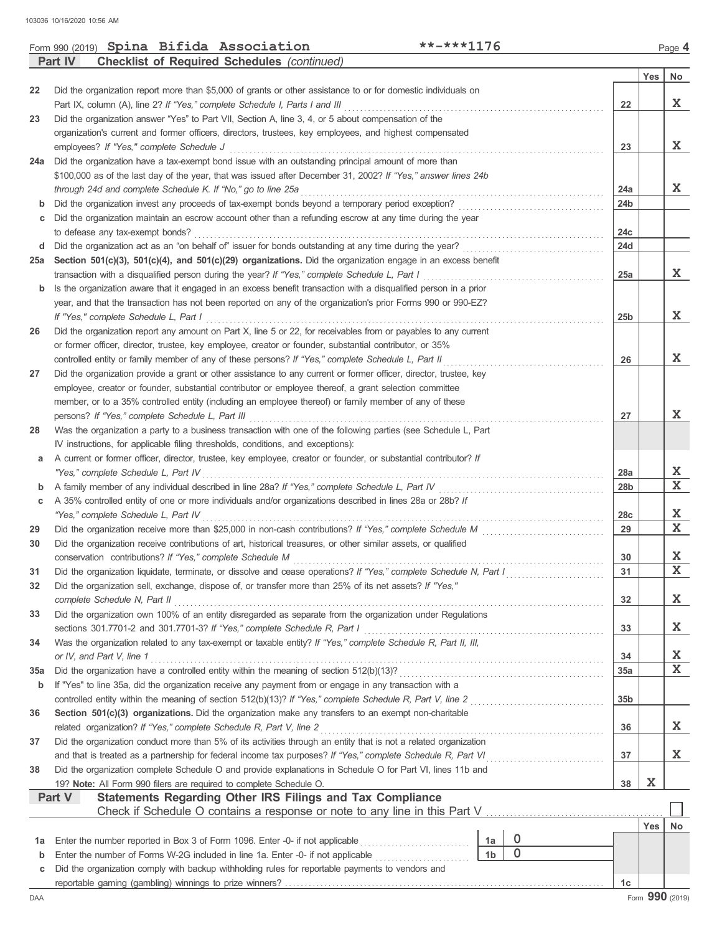**Part IV Checklist of Required Schedules** *(continued)*

|             |                                                                                                                                                                                                                                 |                        | Yes | No              |  |  |  |
|-------------|---------------------------------------------------------------------------------------------------------------------------------------------------------------------------------------------------------------------------------|------------------------|-----|-----------------|--|--|--|
| 22          | Did the organization report more than \$5,000 of grants or other assistance to or for domestic individuals on                                                                                                                   |                        |     |                 |  |  |  |
|             | Part IX, column (A), line 2? If "Yes," complete Schedule I, Parts I and III [[11]]                                                                                                                                              | 22                     |     | X               |  |  |  |
| 23          | Did the organization answer "Yes" to Part VII, Section A, line 3, 4, or 5 about compensation of the                                                                                                                             |                        |     |                 |  |  |  |
|             | organization's current and former officers, directors, trustees, key employees, and highest compensated                                                                                                                         |                        |     |                 |  |  |  |
|             | employees? If "Yes," complete Schedule J                                                                                                                                                                                        | 23                     |     | X               |  |  |  |
|             | 24a Did the organization have a tax-exempt bond issue with an outstanding principal amount of more than                                                                                                                         |                        |     |                 |  |  |  |
|             | \$100,000 as of the last day of the year, that was issued after December 31, 2002? If "Yes," answer lines 24b                                                                                                                   |                        |     | X               |  |  |  |
|             | through 24d and complete Schedule K. If "No," go to line 25a                                                                                                                                                                    | 24a<br>24 <sub>b</sub> |     |                 |  |  |  |
| c           | Did the organization maintain an escrow account other than a refunding escrow at any time during the year                                                                                                                       |                        |     |                 |  |  |  |
|             | to defease any tax-exempt bonds?                                                                                                                                                                                                | 24c                    |     |                 |  |  |  |
| d           |                                                                                                                                                                                                                                 | 24d                    |     |                 |  |  |  |
| 25a         | Section 501(c)(3), 501(c)(4), and 501(c)(29) organizations. Did the organization engage in an excess benefit                                                                                                                    |                        |     |                 |  |  |  |
|             | transaction with a disqualified person during the year? If "Yes," complete Schedule L, Part I                                                                                                                                   | 25a                    |     | X               |  |  |  |
| $\mathbf b$ | Is the organization aware that it engaged in an excess benefit transaction with a disqualified person in a prior                                                                                                                |                        |     |                 |  |  |  |
|             | year, and that the transaction has not been reported on any of the organization's prior Forms 990 or 990-EZ?                                                                                                                    |                        |     |                 |  |  |  |
|             | If "Yes." complete Schedule L, Part I                                                                                                                                                                                           | 25 <sub>b</sub>        |     | X               |  |  |  |
| 26          | Did the organization report any amount on Part X, line 5 or 22, for receivables from or payables to any current                                                                                                                 |                        |     |                 |  |  |  |
|             | or former officer, director, trustee, key employee, creator or founder, substantial contributor, or 35%                                                                                                                         |                        |     |                 |  |  |  |
|             | controlled entity or family member of any of these persons? If "Yes," complete Schedule L, Part II                                                                                                                              | 26                     |     | X               |  |  |  |
| 27          | Did the organization provide a grant or other assistance to any current or former officer, director, trustee, key                                                                                                               |                        |     |                 |  |  |  |
|             | employee, creator or founder, substantial contributor or employee thereof, a grant selection committee                                                                                                                          |                        |     |                 |  |  |  |
|             | member, or to a 35% controlled entity (including an employee thereof) or family member of any of these                                                                                                                          |                        |     |                 |  |  |  |
|             | persons? If "Yes," complete Schedule L, Part III                                                                                                                                                                                | 27                     |     | $\mathbf{X}$    |  |  |  |
| 28          | Was the organization a party to a business transaction with one of the following parties (see Schedule L, Part                                                                                                                  |                        |     |                 |  |  |  |
|             | IV instructions, for applicable filing thresholds, conditions, and exceptions):                                                                                                                                                 |                        |     |                 |  |  |  |
| a           | A current or former officer, director, trustee, key employee, creator or founder, or substantial contributor? If                                                                                                                | 28a                    |     | X               |  |  |  |
|             | "Yes," complete Schedule L, Part IV                                                                                                                                                                                             |                        |     |                 |  |  |  |
| С           | A family member of any individual described in line 28a? If "Yes," complete Schedule L, Part IV [[[[[[[[[[[[[<br>b<br>A 35% controlled entity of one or more individuals and/or organizations described in lines 28a or 28b? If |                        |     |                 |  |  |  |
|             | "Yes," complete Schedule L, Part IV                                                                                                                                                                                             | 28c                    |     | X               |  |  |  |
| 29          |                                                                                                                                                                                                                                 | 29                     |     | X               |  |  |  |
| 30          | Did the organization receive contributions of art, historical treasures, or other similar assets, or qualified                                                                                                                  |                        |     |                 |  |  |  |
|             | conservation contributions? If "Yes," complete Schedule M                                                                                                                                                                       | 30                     |     | X               |  |  |  |
| 31          | Did the organization liquidate, terminate, or dissolve and cease operations? If "Yes," complete Schedule N, Part I                                                                                                              | 31                     |     | X               |  |  |  |
| 32          | Did the organization sell, exchange, dispose of, or transfer more than 25% of its net assets? If "Yes,"                                                                                                                         |                        |     |                 |  |  |  |
|             | complete Schedule N, Part II                                                                                                                                                                                                    | 32                     |     | x               |  |  |  |
| 33          | Did the organization own 100% of an entity disregarded as separate from the organization under Regulations                                                                                                                      |                        |     |                 |  |  |  |
|             | sections 301.7701-2 and 301.7701-3? If "Yes," complete Schedule R, Part I                                                                                                                                                       | 33                     |     | X               |  |  |  |
| 34          | Was the organization related to any tax-exempt or taxable entity? If "Yes," complete Schedule R, Part II, III,                                                                                                                  |                        |     |                 |  |  |  |
|             | or IV, and Part V, line 1                                                                                                                                                                                                       | 34                     |     | X               |  |  |  |
| <b>35a</b>  |                                                                                                                                                                                                                                 | 35a                    |     | X               |  |  |  |
| b           | If "Yes" to line 35a, did the organization receive any payment from or engage in any transaction with a                                                                                                                         |                        |     |                 |  |  |  |
|             |                                                                                                                                                                                                                                 | 35 <sub>b</sub>        |     |                 |  |  |  |
| 36          | Section 501(c)(3) organizations. Did the organization make any transfers to an exempt non-charitable                                                                                                                            |                        |     |                 |  |  |  |
|             | related organization? If "Yes," complete Schedule R, Part V, line 2                                                                                                                                                             | 36                     |     | X               |  |  |  |
| 37          | Did the organization conduct more than 5% of its activities through an entity that is not a related organization                                                                                                                |                        |     |                 |  |  |  |
|             |                                                                                                                                                                                                                                 | 37                     |     | X               |  |  |  |
| 38          | Did the organization complete Schedule O and provide explanations in Schedule O for Part VI, lines 11b and<br>19? Note: All Form 990 filers are required to complete Schedule O.                                                | 38                     | X   |                 |  |  |  |
|             | Statements Regarding Other IRS Filings and Tax Compliance<br>Part V                                                                                                                                                             |                        |     |                 |  |  |  |
|             | Check if Schedule O contains a response or note to any line in this Part V                                                                                                                                                      |                        |     |                 |  |  |  |
|             |                                                                                                                                                                                                                                 |                        | Yes | No              |  |  |  |
| 1a          | $\overline{0}$<br>Enter the number reported in Box 3 of Form 1096. Enter -0- if not applicable<br>1a                                                                                                                            |                        |     |                 |  |  |  |
| b           | $\mathbf 0$<br>1 <sub>b</sub><br>Enter the number of Forms W-2G included in line 1a. Enter -0- if not applicable                                                                                                                |                        |     |                 |  |  |  |
| С           | Did the organization comply with backup withholding rules for reportable payments to vendors and                                                                                                                                |                        |     |                 |  |  |  |
|             |                                                                                                                                                                                                                                 | 1c                     |     |                 |  |  |  |
| DAA         |                                                                                                                                                                                                                                 |                        |     | Form 990 (2019) |  |  |  |
|             |                                                                                                                                                                                                                                 |                        |     |                 |  |  |  |

Form 990 (2019) Page **4 Spina Bifida Association \*\*-\*\*\*1176**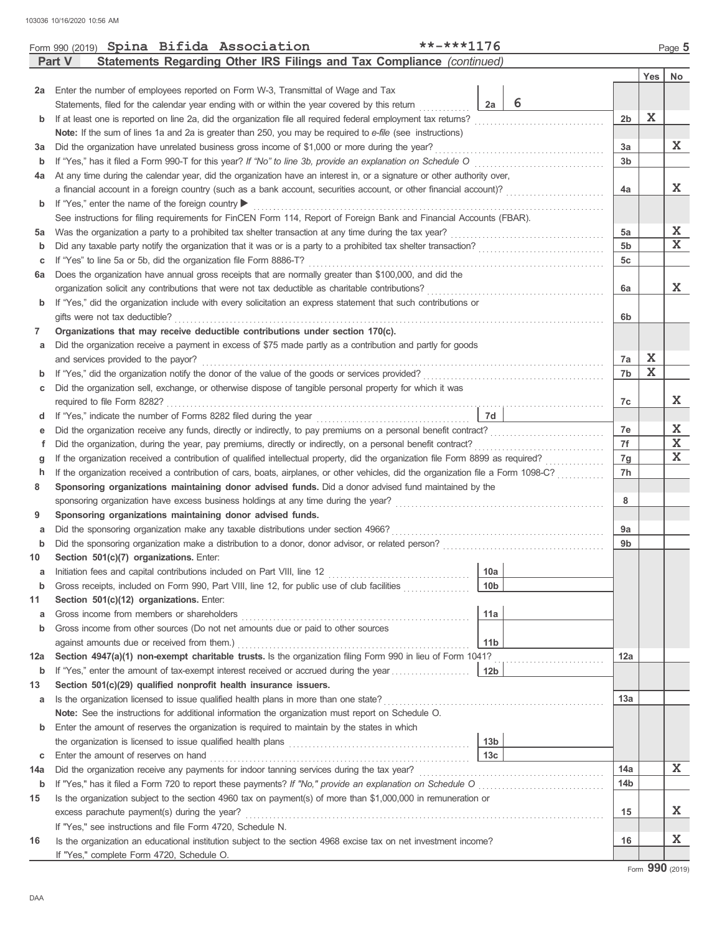|             |                                                                                                                                                                                                                                                                                                                      |                 |   |  |                      | <b>Yes</b>  | No                          |  |  |  |
|-------------|----------------------------------------------------------------------------------------------------------------------------------------------------------------------------------------------------------------------------------------------------------------------------------------------------------------------|-----------------|---|--|----------------------|-------------|-----------------------------|--|--|--|
| 2a          | Enter the number of employees reported on Form W-3, Transmittal of Wage and Tax                                                                                                                                                                                                                                      |                 |   |  |                      |             |                             |  |  |  |
|             | Statements, filed for the calendar year ending with or within the year covered by this return                                                                                                                                                                                                                        | 2a              | 6 |  |                      |             |                             |  |  |  |
| b           | If at least one is reported on line 2a, did the organization file all required federal employment tax returns?                                                                                                                                                                                                       |                 |   |  | 2 <sub>b</sub>       | $\mathbf X$ |                             |  |  |  |
|             | Note: If the sum of lines 1a and 2a is greater than 250, you may be required to e-file (see instructions)                                                                                                                                                                                                            |                 |   |  |                      |             |                             |  |  |  |
| За          | Did the organization have unrelated business gross income of \$1,000 or more during the year?                                                                                                                                                                                                                        |                 |   |  | 3a                   |             | X.                          |  |  |  |
| $\mathbf b$ | If "Yes," has it filed a Form 990-T for this year? If "No" to line 3b, provide an explanation on Schedule O                                                                                                                                                                                                          |                 |   |  | 3 <sub>b</sub>       |             |                             |  |  |  |
| 4a          | At any time during the calendar year, did the organization have an interest in, or a signature or other authority over,                                                                                                                                                                                              |                 |   |  |                      |             |                             |  |  |  |
|             | a financial account in a foreign country (such as a bank account, securities account, or other financial account)?                                                                                                                                                                                                   |                 |   |  | 4a                   |             | X                           |  |  |  |
| b           | If "Yes," enter the name of the foreign country                                                                                                                                                                                                                                                                      |                 |   |  |                      |             |                             |  |  |  |
|             | See instructions for filing requirements for FinCEN Form 114, Report of Foreign Bank and Financial Accounts (FBAR).                                                                                                                                                                                                  |                 |   |  |                      |             |                             |  |  |  |
| 5a          | Was the organization a party to a prohibited tax shelter transaction at any time during the tax year?                                                                                                                                                                                                                |                 |   |  | 5a                   |             | X                           |  |  |  |
| b           | Did any taxable party notify the organization that it was or is a party to a prohibited tax shelter transaction?                                                                                                                                                                                                     |                 |   |  | 5 <sub>b</sub>       |             | X                           |  |  |  |
| с           | If "Yes" to line 5a or 5b, did the organization file Form 8886-T?                                                                                                                                                                                                                                                    |                 |   |  | 5c                   |             |                             |  |  |  |
| 6a          | Does the organization have annual gross receipts that are normally greater than \$100,000, and did the                                                                                                                                                                                                               |                 |   |  |                      |             |                             |  |  |  |
|             | organization solicit any contributions that were not tax deductible as charitable contributions?                                                                                                                                                                                                                     |                 |   |  | 6a                   |             | X.                          |  |  |  |
| b           | If "Yes," did the organization include with every solicitation an express statement that such contributions or                                                                                                                                                                                                       |                 |   |  |                      |             |                             |  |  |  |
|             | gifts were not tax deductible?                                                                                                                                                                                                                                                                                       |                 |   |  | 6b                   |             |                             |  |  |  |
| 7           | Organizations that may receive deductible contributions under section 170(c).                                                                                                                                                                                                                                        |                 |   |  |                      |             |                             |  |  |  |
| a           | Did the organization receive a payment in excess of \$75 made partly as a contribution and partly for goods                                                                                                                                                                                                          |                 |   |  |                      |             |                             |  |  |  |
|             | and services provided to the payor?                                                                                                                                                                                                                                                                                  |                 |   |  | 7a                   | $\mathbf X$ |                             |  |  |  |
| b           | If "Yes," did the organization notify the donor of the value of the goods or services provided?                                                                                                                                                                                                                      |                 |   |  | 7 <sub>b</sub>       | X           |                             |  |  |  |
| с           | Did the organization sell, exchange, or otherwise dispose of tangible personal property for which it was                                                                                                                                                                                                             |                 |   |  |                      |             |                             |  |  |  |
|             | required to file Form 8282?                                                                                                                                                                                                                                                                                          |                 |   |  | 7c                   |             | X                           |  |  |  |
| d           | If "Yes," indicate the number of Forms 8282 filed during the year                                                                                                                                                                                                                                                    | 7d              |   |  |                      |             |                             |  |  |  |
| е           | Did the organization receive any funds, directly or indirectly, to pay premiums on a personal benefit contract?                                                                                                                                                                                                      |                 |   |  | 7e<br>7f             |             | $\mathbf X$<br>$\mathbf{x}$ |  |  |  |
|             | Did the organization, during the year, pay premiums, directly or indirectly, on a personal benefit contract?<br>f                                                                                                                                                                                                    |                 |   |  |                      |             |                             |  |  |  |
| g           | If the organization received a contribution of qualified intellectual property, did the organization file Form 8899 as required?                                                                                                                                                                                     |                 |   |  | 7g                   |             | $\mathbf{x}$                |  |  |  |
| h           | If the organization received a contribution of cars, boats, airplanes, or other vehicles, did the organization file a Form 1098-C?                                                                                                                                                                                   |                 |   |  | 7h                   |             |                             |  |  |  |
| 8           | Sponsoring organizations maintaining donor advised funds. Did a donor advised fund maintained by the                                                                                                                                                                                                                 |                 |   |  |                      |             |                             |  |  |  |
|             | sponsoring organization have excess business holdings at any time during the year?<br>and a construction of the contract of the contract of the contract of the contract of the contract of the contract of the contract of the contract of the contract of the contract of the contract of the contract of the cont |                 |   |  | 8                    |             |                             |  |  |  |
| 9           | Sponsoring organizations maintaining donor advised funds.                                                                                                                                                                                                                                                            |                 |   |  |                      |             |                             |  |  |  |
| а           | Did the sponsoring organization make any taxable distributions under section 4966?                                                                                                                                                                                                                                   |                 |   |  | 9a<br>9 <sub>b</sub> |             |                             |  |  |  |
| $\mathbf b$ | Did the sponsoring organization make a distribution to a donor, donor advisor, or related person?<br>Section 501(c)(7) organizations. Enter:                                                                                                                                                                         |                 |   |  |                      |             |                             |  |  |  |
| 10          | Initiation fees and capital contributions included on Part VIII, line 12                                                                                                                                                                                                                                             | 10a             |   |  |                      |             |                             |  |  |  |
| а           | Gross receipts, included on Form 990, Part VIII, line 12, for public use of club facilities                                                                                                                                                                                                                          | 10 <sub>b</sub> |   |  |                      |             |                             |  |  |  |
| b<br>11     | Section 501(c)(12) organizations. Enter:                                                                                                                                                                                                                                                                             |                 |   |  |                      |             |                             |  |  |  |
| а           | Gross income from members or shareholders                                                                                                                                                                                                                                                                            | 11a             |   |  |                      |             |                             |  |  |  |
| b           | Gross income from other sources (Do not net amounts due or paid to other sources                                                                                                                                                                                                                                     |                 |   |  |                      |             |                             |  |  |  |
|             | against amounts due or received from them.)                                                                                                                                                                                                                                                                          | 11 <sub>b</sub> |   |  |                      |             |                             |  |  |  |
| 12a         | Section 4947(a)(1) non-exempt charitable trusts. Is the organization filing Form 990 in lieu of Form 1041?                                                                                                                                                                                                           |                 |   |  | 12a                  |             |                             |  |  |  |
| b           | If "Yes," enter the amount of tax-exempt interest received or accrued during the year                                                                                                                                                                                                                                | 12 <sub>b</sub> |   |  |                      |             |                             |  |  |  |
| 13          | Section 501(c)(29) qualified nonprofit health insurance issuers.                                                                                                                                                                                                                                                     |                 |   |  |                      |             |                             |  |  |  |
| а           | Is the organization licensed to issue qualified health plans in more than one state?                                                                                                                                                                                                                                 |                 |   |  | 13a                  |             |                             |  |  |  |
|             | Note: See the instructions for additional information the organization must report on Schedule O.                                                                                                                                                                                                                    |                 |   |  |                      |             |                             |  |  |  |
| b           | Enter the amount of reserves the organization is required to maintain by the states in which                                                                                                                                                                                                                         |                 |   |  |                      |             |                             |  |  |  |
|             |                                                                                                                                                                                                                                                                                                                      | 13 <sub>b</sub> |   |  |                      |             |                             |  |  |  |
| c           | Enter the amount of reserves on hand                                                                                                                                                                                                                                                                                 | 13 <sub>c</sub> |   |  |                      |             |                             |  |  |  |
| 14a         | Did the organization receive any payments for indoor tanning services during the tax year?                                                                                                                                                                                                                           |                 |   |  | 14a                  |             | $\mathbf X$                 |  |  |  |
| b           | If "Yes," has it filed a Form 720 to report these payments? If "No," provide an explanation on Schedule O                                                                                                                                                                                                            |                 |   |  | 14 <sub>b</sub>      |             |                             |  |  |  |
| 15          | Is the organization subject to the section 4960 tax on payment(s) of more than \$1,000,000 in remuneration or                                                                                                                                                                                                        |                 |   |  |                      |             |                             |  |  |  |
|             | excess parachute payment(s) during the year?                                                                                                                                                                                                                                                                         |                 |   |  | 15                   |             | X                           |  |  |  |
|             | If "Yes," see instructions and file Form 4720, Schedule N.                                                                                                                                                                                                                                                           |                 |   |  |                      |             |                             |  |  |  |
| 16          | Is the organization an educational institution subject to the section 4968 excise tax on net investment income?                                                                                                                                                                                                      |                 |   |  | 16                   |             | X                           |  |  |  |
|             | If "Yes," complete Form 4720, Schedule O.                                                                                                                                                                                                                                                                            |                 |   |  |                      |             |                             |  |  |  |
|             |                                                                                                                                                                                                                                                                                                                      |                 |   |  |                      |             | $QQ \cap (Q \cap R)$        |  |  |  |

|        |  | Form 990 (2019) Spina Bifida Association | $***$ -***1176                                                        | Page 5 |
|--------|--|------------------------------------------|-----------------------------------------------------------------------|--------|
| Part V |  |                                          | Statements Regarding Other IRS Filings and Tax Compliance (continued) |        |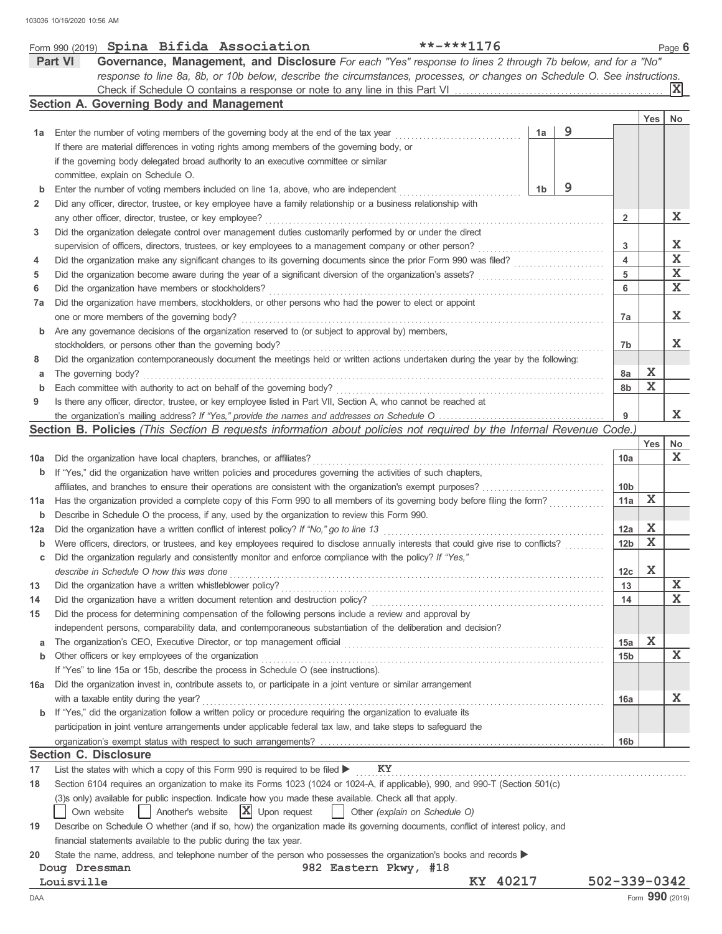|     | $***+*1176$<br>Form 990 (2019) Spina Bifida Association                                                                                                                                                            |                |   |              |                 |             | Page 6          |
|-----|--------------------------------------------------------------------------------------------------------------------------------------------------------------------------------------------------------------------|----------------|---|--------------|-----------------|-------------|-----------------|
|     | Governance, Management, and Disclosure For each "Yes" response to lines 2 through 7b below, and for a "No"<br><b>Part VI</b>                                                                                       |                |   |              |                 |             |                 |
|     | response to line 8a, 8b, or 10b below, describe the circumstances, processes, or changes on Schedule O. See instructions.                                                                                          |                |   |              |                 |             |                 |
|     |                                                                                                                                                                                                                    |                |   |              |                 |             |                 |
|     | Section A. Governing Body and Management                                                                                                                                                                           |                |   |              |                 |             |                 |
|     |                                                                                                                                                                                                                    |                |   |              |                 | <b>Yes</b>  | No              |
| 1a  | Enter the number of voting members of the governing body at the end of the tax year                                                                                                                                | 1a             | 9 |              |                 |             |                 |
|     | If there are material differences in voting rights among members of the governing body, or                                                                                                                         |                |   |              |                 |             |                 |
|     | if the governing body delegated broad authority to an executive committee or similar                                                                                                                               |                |   |              |                 |             |                 |
|     | committee, explain on Schedule O.                                                                                                                                                                                  |                |   |              |                 |             |                 |
| b   | Enter the number of voting members included on line 1a, above, who are independent                                                                                                                                 | 1 <sub>b</sub> | 9 |              |                 |             |                 |
| 2   | Did any officer, director, trustee, or key employee have a family relationship or a business relationship with                                                                                                     |                |   |              |                 |             |                 |
|     | any other officer, director, trustee, or key employee?                                                                                                                                                             |                |   |              | $\overline{2}$  |             | X               |
| 3   | Did the organization delegate control over management duties customarily performed by or under the direct                                                                                                          |                |   |              |                 |             |                 |
|     | supervision of officers, directors, trustees, or key employees to a management company or other person?                                                                                                            |                |   |              | 3               |             | X               |
| 4   | Did the organization make any significant changes to its governing documents since the prior Form 990 was filed?                                                                                                   |                |   |              | 4               |             | X               |
| 5   | Did the organization become aware during the year of a significant diversion of the organization's assets?                                                                                                         |                |   |              | 5               |             | X               |
| 6   | Did the organization have members or stockholders?                                                                                                                                                                 |                |   |              | 6               |             | X               |
| 7a  | Did the organization have members, stockholders, or other persons who had the power to elect or appoint                                                                                                            |                |   |              |                 |             |                 |
|     | one or more members of the governing body?                                                                                                                                                                         |                |   |              | 7a              |             | X               |
| b   | Are any governance decisions of the organization reserved to (or subject to approval by) members,                                                                                                                  |                |   |              |                 |             |                 |
|     | stockholders, or persons other than the governing body?                                                                                                                                                            |                |   |              | 7b              |             | X               |
| 8   | Did the organization contemporaneously document the meetings held or written actions undertaken during the year by the following:                                                                                  |                |   |              |                 |             |                 |
|     | The governing body?                                                                                                                                                                                                |                |   |              | 8a              | X           |                 |
| а   | Each committee with authority to act on behalf of the governing body?                                                                                                                                              |                |   |              | 8b              | $\mathbf x$ |                 |
| b   | Is there any officer, director, trustee, or key employee listed in Part VII, Section A, who cannot be reached at                                                                                                   |                |   |              |                 |             |                 |
| 9   |                                                                                                                                                                                                                    |                |   |              | 9               |             | X               |
|     | the organization's mailing address? If "Yes," provide the names and addresses on Schedule O<br>Section B. Policies (This Section B requests information about policies not required by the Internal Revenue Code.) |                |   |              |                 |             |                 |
|     |                                                                                                                                                                                                                    |                |   |              |                 |             |                 |
|     |                                                                                                                                                                                                                    |                |   |              |                 | Yes         | No<br>X.        |
| 10a | Did the organization have local chapters, branches, or affiliates?                                                                                                                                                 |                |   |              | 10a             |             |                 |
| b   | If "Yes," did the organization have written policies and procedures governing the activities of such chapters,                                                                                                     |                |   |              |                 |             |                 |
|     | affiliates, and branches to ensure their operations are consistent with the organization's exempt purposes?                                                                                                        |                |   |              | 10 <sub>b</sub> |             |                 |
| 11a | Has the organization provided a complete copy of this Form 990 to all members of its governing body before filing the form?                                                                                        |                |   |              | 11a             | X           |                 |
| b   | Describe in Schedule O the process, if any, used by the organization to review this Form 990.                                                                                                                      |                |   |              |                 |             |                 |
| 12a | Did the organization have a written conflict of interest policy? If "No," go to line 13                                                                                                                            |                |   |              | 12a             | X           |                 |
| b   | Were officers, directors, or trustees, and key employees required to disclose annually interests that could give rise to conflicts?                                                                                |                |   |              | 12 <sub>b</sub> | X           |                 |
|     | Did the organization regularly and consistently monitor and enforce compliance with the policy? If "Yes,"                                                                                                          |                |   |              |                 |             |                 |
|     | describe in Schedule O how this was done                                                                                                                                                                           |                |   |              | 12c             | X           |                 |
| 13  | Did the organization have a written whistleblower policy?                                                                                                                                                          |                |   |              | 13              |             | X               |
| 14  | Did the organization have a written document retention and destruction policy?                                                                                                                                     |                |   |              | 14              |             | X               |
| 15  | Did the process for determining compensation of the following persons include a review and approval by                                                                                                             |                |   |              |                 |             |                 |
|     | independent persons, comparability data, and contemporaneous substantiation of the deliberation and decision?                                                                                                      |                |   |              |                 |             |                 |
| a   | The organization's CEO, Executive Director, or top management official                                                                                                                                             |                |   |              | 15a             | X           |                 |
| b   | Other officers or key employees of the organization                                                                                                                                                                |                |   |              | 15 <sub>b</sub> |             | X               |
|     | If "Yes" to line 15a or 15b, describe the process in Schedule O (see instructions).                                                                                                                                |                |   |              |                 |             |                 |
| 16a | Did the organization invest in, contribute assets to, or participate in a joint venture or similar arrangement                                                                                                     |                |   |              |                 |             |                 |
|     | with a taxable entity during the year?                                                                                                                                                                             |                |   |              | 16a             |             | X               |
| b   | If "Yes," did the organization follow a written policy or procedure requiring the organization to evaluate its                                                                                                     |                |   |              |                 |             |                 |
|     | participation in joint venture arrangements under applicable federal tax law, and take steps to safeguard the                                                                                                      |                |   |              |                 |             |                 |
|     |                                                                                                                                                                                                                    |                |   |              | 16 <sub>b</sub> |             |                 |
|     | <b>Section C. Disclosure</b>                                                                                                                                                                                       |                |   |              |                 |             |                 |
| 17  | KY<br>List the states with which a copy of this Form 990 is required to be filed >                                                                                                                                 |                |   |              |                 |             |                 |
| 18  | Section 6104 requires an organization to make its Forms 1023 (1024 or 1024-A, if applicable), 990, and 990-T (Section 501(c)                                                                                       |                |   |              |                 |             |                 |
|     | (3)s only) available for public inspection. Indicate how you made these available. Check all that apply.                                                                                                           |                |   |              |                 |             |                 |
|     | $ \mathbf{X} $ Upon request<br>Another's website<br>Own website<br>Other (explain on Schedule O)                                                                                                                   |                |   |              |                 |             |                 |
| 19  | Describe on Schedule O whether (and if so, how) the organization made its governing documents, conflict of interest policy, and                                                                                    |                |   |              |                 |             |                 |
|     | financial statements available to the public during the tax year.                                                                                                                                                  |                |   |              |                 |             |                 |
| 20  | State the name, address, and telephone number of the person who possesses the organization's books and records                                                                                                     |                |   |              |                 |             |                 |
|     | 982 Eastern Pkwy, #18<br>Doug Dressman                                                                                                                                                                             |                |   |              |                 |             |                 |
|     | Louisville<br>KY.                                                                                                                                                                                                  | 40217          |   | 502-339-0342 |                 |             |                 |
| DAA |                                                                                                                                                                                                                    |                |   |              |                 |             | Form 990 (2019) |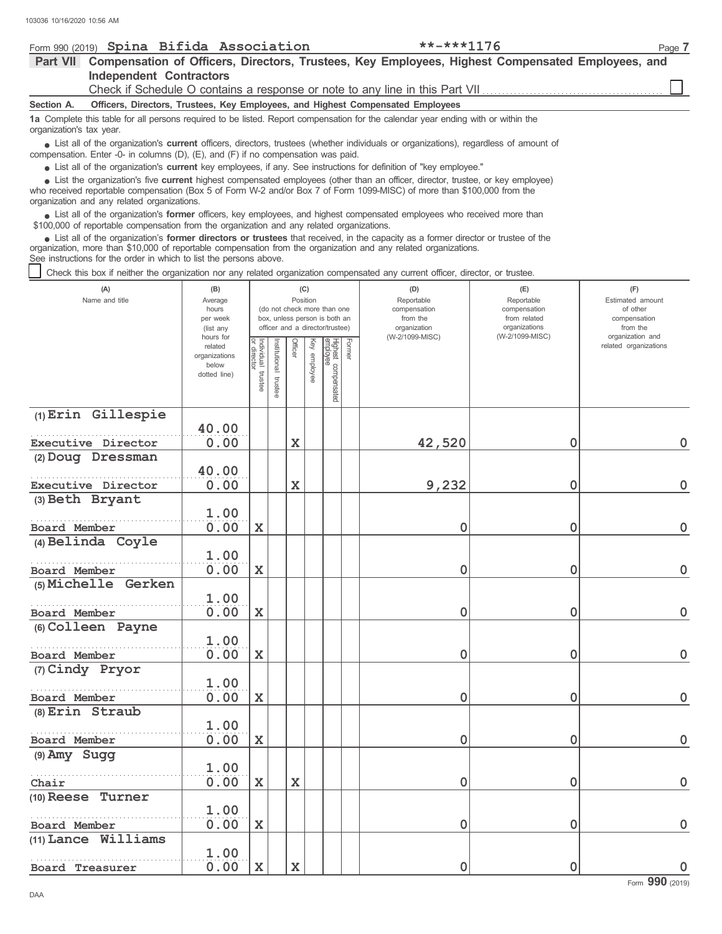| $***$ - * * * 1 1 7 6<br>Form 990 (2019) Spina Bifida Association<br>Page 7<br>Compensation of Officers, Directors, Trustees, Key Employees, Highest Compensated Employees, and<br><b>Part VII</b><br><b>Independent Contractors</b><br>Check if Schedule O contains a response or note to any line in this Part VII          |                                                                   |                                                                                                                                                                           |                                                                           |                                                                                |                                                                                                       |  |  |  |  |  |
|-------------------------------------------------------------------------------------------------------------------------------------------------------------------------------------------------------------------------------------------------------------------------------------------------------------------------------|-------------------------------------------------------------------|---------------------------------------------------------------------------------------------------------------------------------------------------------------------------|---------------------------------------------------------------------------|--------------------------------------------------------------------------------|-------------------------------------------------------------------------------------------------------|--|--|--|--|--|
| Officers, Directors, Trustees, Key Employees, and Highest Compensated Employees<br>Section A.                                                                                                                                                                                                                                 |                                                                   |                                                                                                                                                                           |                                                                           |                                                                                |                                                                                                       |  |  |  |  |  |
| 1a Complete this table for all persons required to be listed. Report compensation for the calendar year ending with or within the<br>organization's tax year.                                                                                                                                                                 |                                                                   |                                                                                                                                                                           |                                                                           |                                                                                |                                                                                                       |  |  |  |  |  |
| List all of the organization's <b>current</b> officers, directors, trustees (whether individuals or organizations), regardless of amount of<br>compensation. Enter -0- in columns $(D)$ , $(E)$ , and $(F)$ if no compensation was paid.                                                                                      |                                                                   |                                                                                                                                                                           |                                                                           |                                                                                |                                                                                                       |  |  |  |  |  |
| • List all of the organization's current key employees, if any. See instructions for definition of "key employee."                                                                                                                                                                                                            |                                                                   |                                                                                                                                                                           |                                                                           |                                                                                |                                                                                                       |  |  |  |  |  |
| List the organization's five current highest compensated employees (other than an officer, director, trustee, or key employee)<br>who received reportable compensation (Box 5 of Form W-2 and/or Box 7 of Form 1099-MISC) of more than \$100,000 from the<br>organization and any related organizations.                      |                                                                   |                                                                                                                                                                           |                                                                           |                                                                                |                                                                                                       |  |  |  |  |  |
| List all of the organization's <b>former</b> officers, key employees, and highest compensated employees who received more than<br>\$100,000 of reportable compensation from the organization and any related organizations.                                                                                                   |                                                                   |                                                                                                                                                                           |                                                                           |                                                                                |                                                                                                       |  |  |  |  |  |
| • List all of the organization's former directors or trustees that received, in the capacity as a former director or trustee of the<br>organization, more than \$10,000 of reportable compensation from the organization and any related organizations.<br>See instructions for the order in which to list the persons above. |                                                                   |                                                                                                                                                                           |                                                                           |                                                                                |                                                                                                       |  |  |  |  |  |
| Check this box if neither the organization nor any related organization compensated any current officer, director, or trustee.                                                                                                                                                                                                |                                                                   |                                                                                                                                                                           |                                                                           |                                                                                |                                                                                                       |  |  |  |  |  |
| (A)                                                                                                                                                                                                                                                                                                                           | (B)                                                               | (C)                                                                                                                                                                       | (D)                                                                       | (E)                                                                            | (F)                                                                                                   |  |  |  |  |  |
| Name and title                                                                                                                                                                                                                                                                                                                | Average<br>hours<br>per week<br>(list any<br>hours for<br>related | Position<br>(do not check more than one<br>box, unless person is both an<br>officer and a director/trustee)<br>$\frac{1}{2}$<br>$\frac{1}{2}$<br>For<br>High<br>Rey<br>ЭŤ | Reportable<br>compensation<br>from the<br>organization<br>(W-2/1099-MISC) | Reportable<br>compensation<br>from related<br>organizations<br>(W-2/1099-MISC) | Estimated amount<br>of other<br>compensation<br>from the<br>organization and<br>related organizations |  |  |  |  |  |

|                                     | related<br>organizations<br>below<br>dotted line) | Individual trustee<br>or director | Institutional<br>trustee | Officer     | Key employee | Former<br>Highest compensated<br>employee | (112110001000) |             | $-$ . ga. __<br>related organizations |
|-------------------------------------|---------------------------------------------------|-----------------------------------|--------------------------|-------------|--------------|-------------------------------------------|----------------|-------------|---------------------------------------|
| (1) Erin Gillespie                  |                                                   |                                   |                          |             |              |                                           |                |             |                                       |
| Executive Director                  | 40.00<br>0.00                                     |                                   |                          | $\mathbf X$ |              |                                           | 42,520         | 0           | $\mathbf{0}$                          |
| (2) Doug Dressman                   |                                                   |                                   |                          |             |              |                                           |                |             |                                       |
|                                     | 40.00                                             |                                   |                          |             |              |                                           |                |             |                                       |
| Executive Director                  | 0.00                                              |                                   |                          | $\mathbf X$ |              |                                           | 9,232          | 0           | $\mathbf 0$                           |
| (3) Beth Bryant                     |                                                   |                                   |                          |             |              |                                           |                |             |                                       |
|                                     | 1.00                                              |                                   |                          |             |              |                                           |                |             |                                       |
| Board Member<br>(4) Belinda Coyle   | 0.00                                              | $\mathbf X$                       |                          |             |              |                                           | 0              | 0           | $\mathbf 0$                           |
|                                     | 1.00                                              |                                   |                          |             |              |                                           |                |             |                                       |
| Board Member                        | 0.00                                              | $\mathbf X$                       |                          |             |              |                                           | 0              | 0           | $\overline{0}$                        |
| (5) Michelle Gerken                 |                                                   |                                   |                          |             |              |                                           |                |             |                                       |
|                                     | 1.00                                              |                                   |                          |             |              |                                           |                |             |                                       |
| Board Member                        | 0.00                                              | $\mathbf X$                       |                          |             |              |                                           | 0              | 0           | $\mathbf 0$                           |
| (6) Colleen Payne                   |                                                   |                                   |                          |             |              |                                           |                |             |                                       |
|                                     | 1.00                                              |                                   |                          |             |              |                                           |                |             |                                       |
| Board Member                        | 0.00                                              | $\mathbf X$                       |                          |             |              |                                           | 0              | 0           | $\mathbf 0$                           |
| (7) Cindy Pryor                     | 1.00                                              |                                   |                          |             |              |                                           |                |             |                                       |
| Board Member                        | 0.00                                              | $\mathbf X$                       |                          |             |              |                                           | 0              | $\mathbf 0$ | $\mathbf 0$                           |
| (8) Erin Straub                     |                                                   |                                   |                          |             |              |                                           |                |             |                                       |
|                                     | 1.00                                              |                                   |                          |             |              |                                           |                |             |                                       |
| Board Member                        | 0.00                                              | $\mathbf X$                       |                          |             |              |                                           | 0              | $\mathbf 0$ | $\mathbf 0$                           |
| (9) Amy Sugg                        |                                                   |                                   |                          |             |              |                                           |                |             |                                       |
|                                     | 1.00                                              |                                   |                          |             |              |                                           |                |             |                                       |
| Chair                               | 0.00                                              | $\mathbf X$                       |                          | $\mathbf X$ |              |                                           | 0              | $\mathbf 0$ | $\mathbf 0$                           |
| (10) Reese Turner                   |                                                   |                                   |                          |             |              |                                           |                |             |                                       |
|                                     | 1.00                                              |                                   |                          |             |              |                                           |                |             |                                       |
| Board Member<br>(11) Lance Williams | 0.00                                              | $\mathbf X$                       |                          |             |              |                                           | $\mathbf 0$    | 0           | $\mathbf 0$                           |
|                                     | 1.00                                              |                                   |                          |             |              |                                           |                |             |                                       |
| Board Treasurer                     | 0.00                                              | $\mathbf X$                       |                          | $\mathbf X$ |              |                                           | $\mathbf 0$    | $\mathbf 0$ | $\mathbf 0$                           |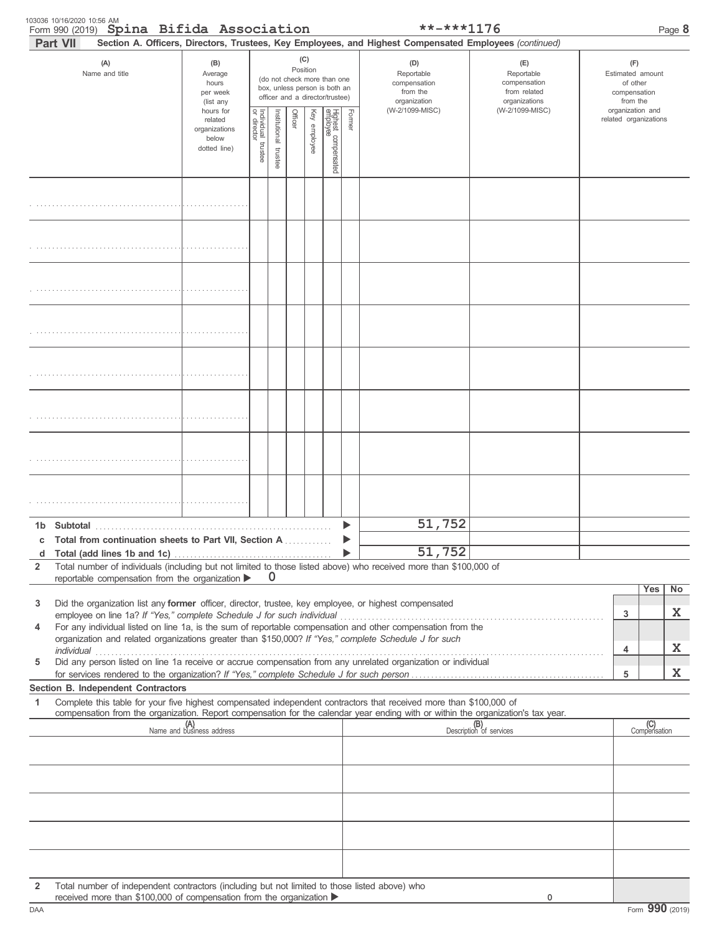|                          | Form 990 (2019) Spina Bifida Association<br>Part VII                                                                                                                                                                                                   |                                                                |                                   |                          |                                                                                                                                                                                     |              |                                 |        | $***+*1176$<br>Section A. Officers, Directors, Trustees, Key Employees, and Highest Compensated Employees (continued) |                                                                    |   |                                                                 | Page 8 |
|--------------------------|--------------------------------------------------------------------------------------------------------------------------------------------------------------------------------------------------------------------------------------------------------|----------------------------------------------------------------|-----------------------------------|--------------------------|-------------------------------------------------------------------------------------------------------------------------------------------------------------------------------------|--------------|---------------------------------|--------|-----------------------------------------------------------------------------------------------------------------------|--------------------------------------------------------------------|---|-----------------------------------------------------------------|--------|
|                          | (A)<br>Name and title                                                                                                                                                                                                                                  | (B)<br>Average<br>hours<br>per week<br>(list any               |                                   |                          | (C)<br>(D)<br>Position<br>Reportable<br>(do not check more than one<br>compensation<br>box, unless person is both an<br>from the<br>officer and a director/trustee)<br>organization |              |                                 |        |                                                                                                                       | (E)<br>Reportable<br>compensation<br>from related<br>organizations |   | (F)<br>Estimated amount<br>of other<br>compensation<br>from the |        |
|                          |                                                                                                                                                                                                                                                        | hours for<br>related<br>organizations<br>below<br>dotted line) | Individual trustee<br>or director | Institutional<br>trustee | Officer                                                                                                                                                                             | Key employee | Highest compensated<br>employee | Former | (W-2/1099-MISC)                                                                                                       | (W-2/1099-MISC)                                                    |   | organization and<br>related organizations                       |        |
|                          |                                                                                                                                                                                                                                                        |                                                                |                                   |                          |                                                                                                                                                                                     |              |                                 |        |                                                                                                                       |                                                                    |   |                                                                 |        |
|                          |                                                                                                                                                                                                                                                        |                                                                |                                   |                          |                                                                                                                                                                                     |              |                                 |        |                                                                                                                       |                                                                    |   |                                                                 |        |
|                          |                                                                                                                                                                                                                                                        |                                                                |                                   |                          |                                                                                                                                                                                     |              |                                 |        |                                                                                                                       |                                                                    |   |                                                                 |        |
|                          |                                                                                                                                                                                                                                                        |                                                                |                                   |                          |                                                                                                                                                                                     |              |                                 |        |                                                                                                                       |                                                                    |   |                                                                 |        |
|                          |                                                                                                                                                                                                                                                        |                                                                |                                   |                          |                                                                                                                                                                                     |              |                                 |        |                                                                                                                       |                                                                    |   |                                                                 |        |
|                          |                                                                                                                                                                                                                                                        |                                                                |                                   |                          |                                                                                                                                                                                     |              |                                 |        |                                                                                                                       |                                                                    |   |                                                                 |        |
|                          |                                                                                                                                                                                                                                                        |                                                                |                                   |                          |                                                                                                                                                                                     |              |                                 |        |                                                                                                                       |                                                                    |   |                                                                 |        |
|                          |                                                                                                                                                                                                                                                        |                                                                |                                   |                          |                                                                                                                                                                                     |              |                                 |        |                                                                                                                       |                                                                    |   |                                                                 |        |
| 1b.                      |                                                                                                                                                                                                                                                        |                                                                |                                   |                          |                                                                                                                                                                                     |              |                                 |        | 51,752                                                                                                                |                                                                    |   |                                                                 |        |
| c<br>d<br>$\overline{2}$ | Total from continuation sheets to Part VII, Section A<br>Total number of individuals (including but not limited to those listed above) who received more than \$100,000 of<br>reportable compensation from the organization >                          |                                                                |                                   | 0                        |                                                                                                                                                                                     |              |                                 |        | 51,752                                                                                                                |                                                                    |   |                                                                 |        |
|                          |                                                                                                                                                                                                                                                        |                                                                |                                   |                          |                                                                                                                                                                                     |              |                                 |        |                                                                                                                       |                                                                    |   | Yes                                                             | No     |
| 3                        | Did the organization list any former officer, director, trustee, key employee, or highest compensated<br>employee on line 1a? If "Yes," complete Schedule J for such individual                                                                        |                                                                |                                   |                          |                                                                                                                                                                                     |              |                                 |        |                                                                                                                       |                                                                    | 3 |                                                                 | X.     |
| 4                        | For any individual listed on line 1a, is the sum of reportable compensation and other compensation from the                                                                                                                                            |                                                                |                                   |                          |                                                                                                                                                                                     |              |                                 |        |                                                                                                                       |                                                                    |   |                                                                 |        |
|                          | organization and related organizations greater than \$150,000? If "Yes," complete Schedule J for such<br><i>individual</i>                                                                                                                             |                                                                |                                   |                          |                                                                                                                                                                                     |              |                                 |        |                                                                                                                       |                                                                    | 4 |                                                                 | X      |
| 5                        | Did any person listed on line 1a receive or accrue compensation from any unrelated organization or individual                                                                                                                                          |                                                                |                                   |                          |                                                                                                                                                                                     |              |                                 |        |                                                                                                                       |                                                                    | 5 |                                                                 | X      |
|                          | Section B. Independent Contractors                                                                                                                                                                                                                     |                                                                |                                   |                          |                                                                                                                                                                                     |              |                                 |        |                                                                                                                       |                                                                    |   |                                                                 |        |
| 1                        | Complete this table for your five highest compensated independent contractors that received more than \$100,000 of<br>compensation from the organization. Report compensation for the calendar year ending with or within the organization's tax year. |                                                                |                                   |                          |                                                                                                                                                                                     |              |                                 |        |                                                                                                                       |                                                                    |   |                                                                 |        |
|                          |                                                                                                                                                                                                                                                        | (A)<br>Name and business address                               |                                   |                          |                                                                                                                                                                                     |              |                                 |        |                                                                                                                       | (B)<br>Description of services                                     |   | (C)<br>Compensation                                             |        |
|                          |                                                                                                                                                                                                                                                        |                                                                |                                   |                          |                                                                                                                                                                                     |              |                                 |        |                                                                                                                       |                                                                    |   |                                                                 |        |
|                          |                                                                                                                                                                                                                                                        |                                                                |                                   |                          |                                                                                                                                                                                     |              |                                 |        |                                                                                                                       |                                                                    |   |                                                                 |        |
|                          |                                                                                                                                                                                                                                                        |                                                                |                                   |                          |                                                                                                                                                                                     |              |                                 |        |                                                                                                                       |                                                                    |   |                                                                 |        |
|                          |                                                                                                                                                                                                                                                        |                                                                |                                   |                          |                                                                                                                                                                                     |              |                                 |        |                                                                                                                       |                                                                    |   |                                                                 |        |
|                          |                                                                                                                                                                                                                                                        |                                                                |                                   |                          |                                                                                                                                                                                     |              |                                 |        |                                                                                                                       |                                                                    |   |                                                                 |        |
|                          | Total number of independent contractors (including but not limited to those listed above) who                                                                                                                                                          |                                                                |                                   |                          |                                                                                                                                                                                     |              |                                 |        |                                                                                                                       |                                                                    |   |                                                                 |        |

**2** Total number of independent contractors (including but not limited to those listed above) who received more than \$100,000 of compensation from the organization  $\blacktriangleright$ 

**0**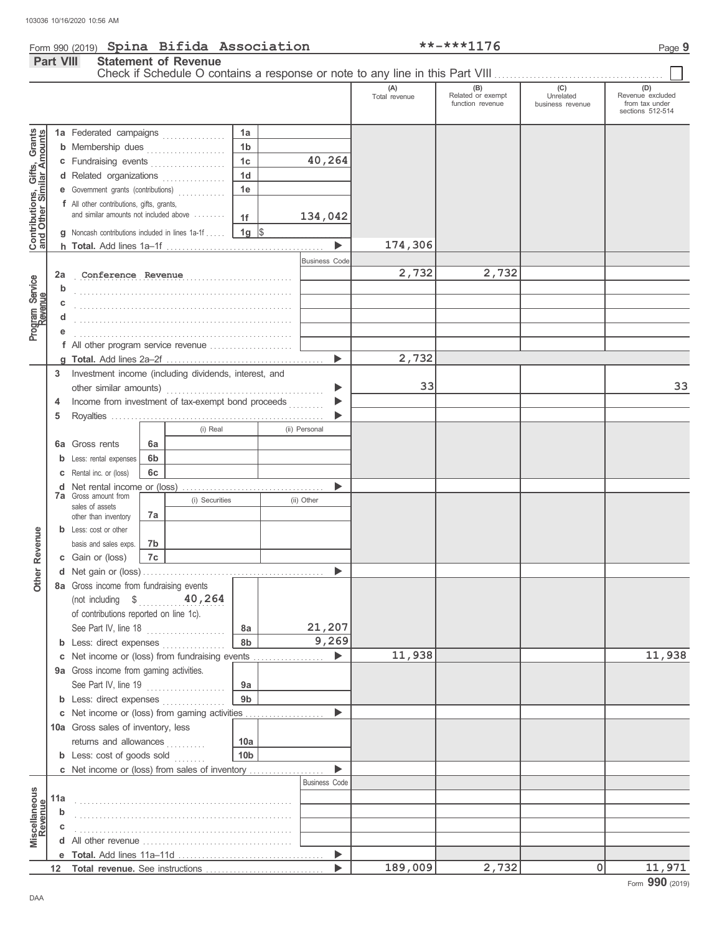## Form 990 (2019) Page **9 Spina Bifida Association \*\*-\*\*\*1176 Part VIII** Statement of Revenue

|                                                           |     |                                                       |    |                |                 |                      | Check if Schedule O contains a response or note to any line in this Part VIII. |                                              |                                      |                                                               |
|-----------------------------------------------------------|-----|-------------------------------------------------------|----|----------------|-----------------|----------------------|--------------------------------------------------------------------------------|----------------------------------------------|--------------------------------------|---------------------------------------------------------------|
|                                                           |     |                                                       |    |                |                 |                      | (A)<br>Total revenue                                                           | (B)<br>Related or exempt<br>function revenue | (C)<br>Unrelated<br>business revenue | (D)<br>Revenue excluded<br>from tax under<br>sections 512-514 |
|                                                           |     | 1a Federated campaigns                                |    |                | 1a              |                      |                                                                                |                                              |                                      |                                                               |
| Contributions, Gifts, Grants<br>and Other Similar Amounts |     | <b>b</b> Membership dues                              |    | .              | 1 <sub>b</sub>  |                      |                                                                                |                                              |                                      |                                                               |
|                                                           |     | c Fundraising events                                  |    | .              | 1 <sub>c</sub>  | 40,264               |                                                                                |                                              |                                      |                                                               |
|                                                           |     | d Related organizations                               |    | .              | 1 <sub>d</sub>  |                      |                                                                                |                                              |                                      |                                                               |
|                                                           |     | e Government grants (contributions)                   |    |                | 1e              |                      |                                                                                |                                              |                                      |                                                               |
|                                                           |     | <b>f</b> All other contributions, gifts, grants,      |    |                |                 |                      |                                                                                |                                              |                                      |                                                               |
|                                                           |     | and similar amounts not included above                |    |                | 1f              | 134,042              |                                                                                |                                              |                                      |                                                               |
|                                                           |     | Noncash contributions included in lines 1a-1f         |    |                | $1g \sqrt{3}$   |                      |                                                                                |                                              |                                      |                                                               |
|                                                           |     |                                                       |    |                |                 | ь                    | 174,306                                                                        |                                              |                                      |                                                               |
|                                                           |     |                                                       |    |                |                 | <b>Business Code</b> |                                                                                |                                              |                                      |                                                               |
|                                                           | 2a  | Conference Revenue                                    |    |                |                 |                      | 2,732                                                                          | 2,732                                        |                                      |                                                               |
| Program Service                                           | b   |                                                       |    |                |                 |                      |                                                                                |                                              |                                      |                                                               |
|                                                           | С   |                                                       |    |                |                 |                      |                                                                                |                                              |                                      |                                                               |
|                                                           |     |                                                       |    |                |                 |                      |                                                                                |                                              |                                      |                                                               |
|                                                           |     |                                                       |    |                |                 |                      |                                                                                |                                              |                                      |                                                               |
|                                                           |     | f All other program service revenue                   |    |                |                 |                      |                                                                                |                                              |                                      |                                                               |
|                                                           |     |                                                       |    |                |                 | ▶                    | 2,732                                                                          |                                              |                                      |                                                               |
|                                                           | 3   | Investment income (including dividends, interest, and |    |                |                 |                      |                                                                                |                                              |                                      |                                                               |
|                                                           |     | other similar amounts)                                |    |                |                 | ▶                    | 33                                                                             |                                              |                                      | 33                                                            |
|                                                           | 4   | Income from investment of tax-exempt bond proceeds    |    |                |                 |                      |                                                                                |                                              |                                      |                                                               |
|                                                           | 5   |                                                       |    |                |                 |                      |                                                                                |                                              |                                      |                                                               |
|                                                           |     |                                                       |    | (i) Real       |                 | (ii) Personal        |                                                                                |                                              |                                      |                                                               |
|                                                           | 6a  | Gross rents                                           | 6a |                |                 |                      |                                                                                |                                              |                                      |                                                               |
|                                                           | b   | Less: rental expenses                                 | 6b |                |                 |                      |                                                                                |                                              |                                      |                                                               |
|                                                           |     | <b>c</b> Rental inc. or (loss)                        | 6c |                |                 |                      |                                                                                |                                              |                                      |                                                               |
|                                                           |     | <b>d</b> Net rental income or (loss)                  |    |                |                 | ▶                    |                                                                                |                                              |                                      |                                                               |
|                                                           |     | <b>7a</b> Gross amount from                           |    | (i) Securities |                 | (ii) Other           |                                                                                |                                              |                                      |                                                               |
|                                                           |     | sales of assets<br>other than inventory               | 7a |                |                 |                      |                                                                                |                                              |                                      |                                                               |
|                                                           |     | <b>b</b> Less: cost or other                          |    |                |                 |                      |                                                                                |                                              |                                      |                                                               |
|                                                           |     | basis and sales exps.                                 | 7b |                |                 |                      |                                                                                |                                              |                                      |                                                               |
|                                                           |     | c Gain or (loss)                                      | 7c |                |                 |                      |                                                                                |                                              |                                      |                                                               |
| Other Revenue                                             |     | d Net gain or (loss).                                 |    |                |                 | ▶                    |                                                                                |                                              |                                      |                                                               |
|                                                           |     | 8a Gross income from fundraising events               |    |                |                 |                      |                                                                                |                                              |                                      |                                                               |
|                                                           |     | (not including $$$ 40,264                             |    |                |                 |                      |                                                                                |                                              |                                      |                                                               |
|                                                           |     | of contributions reported on line 1c).                |    |                |                 |                      |                                                                                |                                              |                                      |                                                               |
|                                                           |     | See Part IV, line 18                                  |    | .              | 8a              | 21,207               |                                                                                |                                              |                                      |                                                               |
|                                                           |     | <b>b</b> Less: direct expenses                        |    |                | 8 <sub>b</sub>  | 9,269                |                                                                                |                                              |                                      |                                                               |
|                                                           |     | c Net income or (loss) from fundraising events        |    |                |                 | ▶                    | 11,938                                                                         |                                              |                                      | 11,938                                                        |
|                                                           |     | 9a Gross income from gaming activities.               |    |                |                 |                      |                                                                                |                                              |                                      |                                                               |
|                                                           |     | See Part IV, line 19                                  |    | .              | 9а              |                      |                                                                                |                                              |                                      |                                                               |
|                                                           |     | <b>b</b> Less: direct expenses                        |    |                | 9 <sub>b</sub>  |                      |                                                                                |                                              |                                      |                                                               |
|                                                           |     | c Net income or (loss) from gaming activities         |    |                |                 |                      |                                                                                |                                              |                                      |                                                               |
|                                                           |     | 10a Gross sales of inventory, less                    |    |                |                 |                      |                                                                                |                                              |                                      |                                                               |
|                                                           |     | returns and allowances                                |    | .              | 10a             |                      |                                                                                |                                              |                                      |                                                               |
|                                                           |     | <b>b</b> Less: cost of goods sold                     |    |                | 10 <sub>b</sub> |                      |                                                                                |                                              |                                      |                                                               |
|                                                           |     | c Net income or (loss) from sales of inventory        |    |                |                 |                      |                                                                                |                                              |                                      |                                                               |
|                                                           |     |                                                       |    |                |                 | <b>Business Code</b> |                                                                                |                                              |                                      |                                                               |
|                                                           | 11a |                                                       |    |                |                 |                      |                                                                                |                                              |                                      |                                                               |
|                                                           | b   |                                                       |    |                |                 |                      |                                                                                |                                              |                                      |                                                               |
| Miscellaneous<br>Revenue                                  | с   |                                                       |    |                |                 |                      |                                                                                |                                              |                                      |                                                               |
|                                                           |     |                                                       |    |                |                 |                      |                                                                                |                                              |                                      |                                                               |
|                                                           |     |                                                       |    |                |                 | ▶                    |                                                                                |                                              |                                      |                                                               |
|                                                           |     |                                                       |    |                |                 |                      | 189,009                                                                        | 2,732                                        | 0                                    | 11,971                                                        |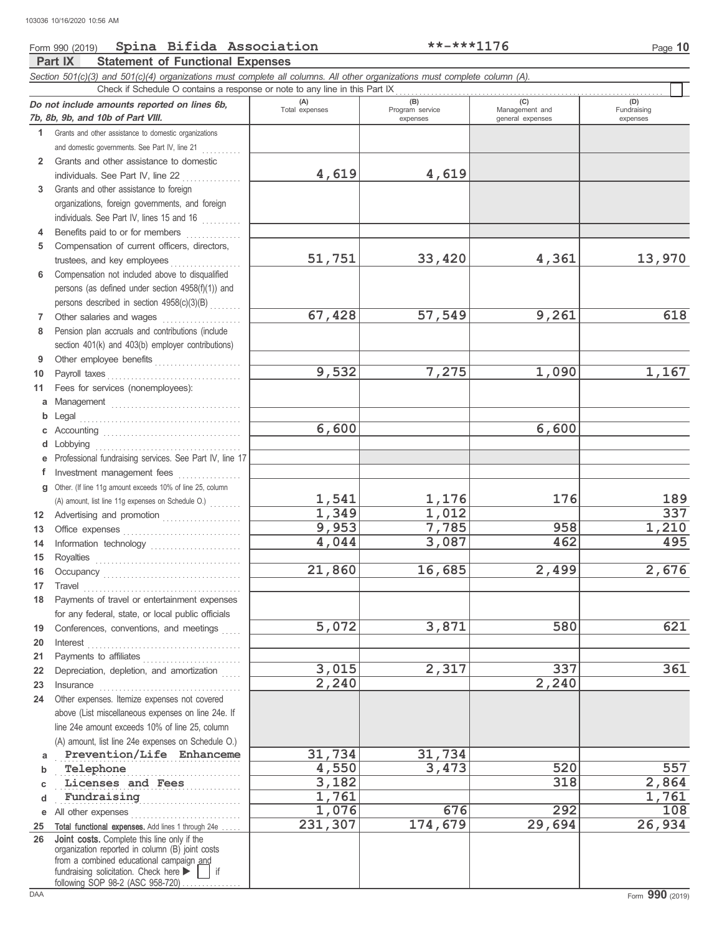### **Part IX Statement of Functional Expenses** Form 990 (2019) Page **10 Spina Bifida Association \*\*-\*\*\*1176**

|                  | Section 501(c)(3) and 501(c)(4) organizations must complete all columns. All other organizations must complete column (A).<br>Check if Schedule O contains a response or note to any line in this Part IX                         |                |                             |                                    |                         |
|------------------|-----------------------------------------------------------------------------------------------------------------------------------------------------------------------------------------------------------------------------------|----------------|-----------------------------|------------------------------------|-------------------------|
|                  | Do not include amounts reported on lines 6b,                                                                                                                                                                                      | (A)            | (B)                         | (C)                                | (D)                     |
|                  | 7b, 8b, 9b, and 10b of Part VIII.                                                                                                                                                                                                 | Total expenses | Program service<br>expenses | Management and<br>general expenses | Fundraising<br>expenses |
| 1                | Grants and other assistance to domestic organizations                                                                                                                                                                             |                |                             |                                    |                         |
|                  | and domestic governments. See Part IV, line 21                                                                                                                                                                                    |                |                             |                                    |                         |
| $\mathbf{2}$     | Grants and other assistance to domestic                                                                                                                                                                                           |                |                             |                                    |                         |
|                  | individuals. See Part IV, line 22                                                                                                                                                                                                 | 4,619          | 4,619                       |                                    |                         |
| 3                | Grants and other assistance to foreign                                                                                                                                                                                            |                |                             |                                    |                         |
|                  | organizations, foreign governments, and foreign                                                                                                                                                                                   |                |                             |                                    |                         |
|                  | individuals. See Part IV, lines 15 and 16                                                                                                                                                                                         |                |                             |                                    |                         |
| 4                | Benefits paid to or for members                                                                                                                                                                                                   |                |                             |                                    |                         |
| 5                | Compensation of current officers, directors,                                                                                                                                                                                      |                |                             |                                    |                         |
|                  | trustees, and key employees                                                                                                                                                                                                       | 51,751         | 33,420                      | 4,361                              | 13,970                  |
| 6                | Compensation not included above to disqualified                                                                                                                                                                                   |                |                             |                                    |                         |
|                  | persons (as defined under section 4958(f)(1)) and                                                                                                                                                                                 |                |                             |                                    |                         |
|                  | persons described in section 4958(c)(3)(B)                                                                                                                                                                                        |                |                             |                                    |                         |
| 7                | Other salaries and wages                                                                                                                                                                                                          | 67,428         | 57,549                      | 9,261                              | 618                     |
| 8                | Pension plan accruals and contributions (include                                                                                                                                                                                  |                |                             |                                    |                         |
|                  | section 401(k) and 403(b) employer contributions)                                                                                                                                                                                 |                |                             |                                    |                         |
| 9                | Other employee benefits                                                                                                                                                                                                           |                |                             |                                    |                         |
| 10               | Payroll taxes                                                                                                                                                                                                                     | 9,532          | 7,275                       | 1,090                              | 1,167                   |
| 11               | Fees for services (nonemployees):                                                                                                                                                                                                 |                |                             |                                    |                         |
| a                |                                                                                                                                                                                                                                   |                |                             |                                    |                         |
| b                | Legal                                                                                                                                                                                                                             |                |                             |                                    |                         |
| c                |                                                                                                                                                                                                                                   | 6,600          |                             | 6,600                              |                         |
| d                | Lobbying                                                                                                                                                                                                                          |                |                             |                                    |                         |
|                  | Professional fundraising services. See Part IV, line 17                                                                                                                                                                           |                |                             |                                    |                         |
| f                | Investment management fees                                                                                                                                                                                                        |                |                             |                                    |                         |
| q                | Other. (If line 11g amount exceeds 10% of line 25, column                                                                                                                                                                         |                |                             |                                    |                         |
|                  | (A) amount, list line 11g expenses on Schedule O.)                                                                                                                                                                                | 1,541          | 1,176                       | 176                                | 189                     |
| 12 <sup>12</sup> | Advertising and promotion                                                                                                                                                                                                         | 1,349          | 1,012                       |                                    | $\overline{337}$        |
| 13               | Office expenses                                                                                                                                                                                                                   | 9,953          | 7,785                       | 958                                | 1,210                   |
| 14               |                                                                                                                                                                                                                                   | 4,044          | 3,087                       | 462                                | 495                     |
| 15               |                                                                                                                                                                                                                                   |                |                             |                                    |                         |
| 16               | Royalties<br>Note: All Distribution of the Magnetic Section of the Magnetic Section of the Magnetic Section of the Magnetic Section of the Magnetic Section of the Magnetic Section of the Magnetic Section of the Magnetic Secti | 21,860         | 16,685                      | 2,499                              | 2,676                   |
| 17               | Travel                                                                                                                                                                                                                            |                |                             |                                    |                         |
|                  | Payments of travel or entertainment expenses                                                                                                                                                                                      |                |                             |                                    |                         |
|                  | for any federal, state, or local public officials                                                                                                                                                                                 |                |                             |                                    |                         |
|                  |                                                                                                                                                                                                                                   | 5,072          | 3,871                       | 580                                | 621                     |
| 19<br>20         | Conferences, conventions, and meetings<br>Interest                                                                                                                                                                                |                |                             |                                    |                         |
| 21               | Payments to affiliates                                                                                                                                                                                                            |                |                             |                                    |                         |
| 22               | Depreciation, depletion, and amortization                                                                                                                                                                                         | 3,015          | 2,317                       | 337                                | 361                     |
| 23               | Insurance                                                                                                                                                                                                                         | 2,240          |                             | 2,240                              |                         |
| 24               | Other expenses. Itemize expenses not covered                                                                                                                                                                                      |                |                             |                                    |                         |
|                  | above (List miscellaneous expenses on line 24e. If                                                                                                                                                                                |                |                             |                                    |                         |
|                  | line 24e amount exceeds 10% of line 25, column                                                                                                                                                                                    |                |                             |                                    |                         |
|                  | (A) amount, list line 24e expenses on Schedule O.)                                                                                                                                                                                |                |                             |                                    |                         |
| a                | Prevention/Life Enhanceme                                                                                                                                                                                                         | 31,734         | 31,734                      |                                    |                         |
| b                | Telephone                                                                                                                                                                                                                         | 4,550          | 3,473                       | 520                                | 557                     |
| C                | Licenses and Fees                                                                                                                                                                                                                 | 3,182          |                             | 318                                | 2,864                   |
| d                | Fundraising                                                                                                                                                                                                                       | 1,761          |                             |                                    | 1,761                   |
| е                | All other expenses                                                                                                                                                                                                                | 1,076          | 676                         | 292                                | 108                     |
| 25               | Total functional expenses. Add lines 1 through 24e.                                                                                                                                                                               | 231,307        | 174,679                     | 29,694                             | 26,934                  |
| 26               | <b>Joint costs.</b> Complete this line only if the                                                                                                                                                                                |                |                             |                                    |                         |
|                  | organization reported in column (B) joint costs                                                                                                                                                                                   |                |                             |                                    |                         |
|                  | from a combined educational campaign and                                                                                                                                                                                          |                |                             |                                    |                         |
|                  | fundraising solicitation. Check here if if<br>following SOP 98-2 (ASC 958-720)                                                                                                                                                    |                |                             |                                    |                         |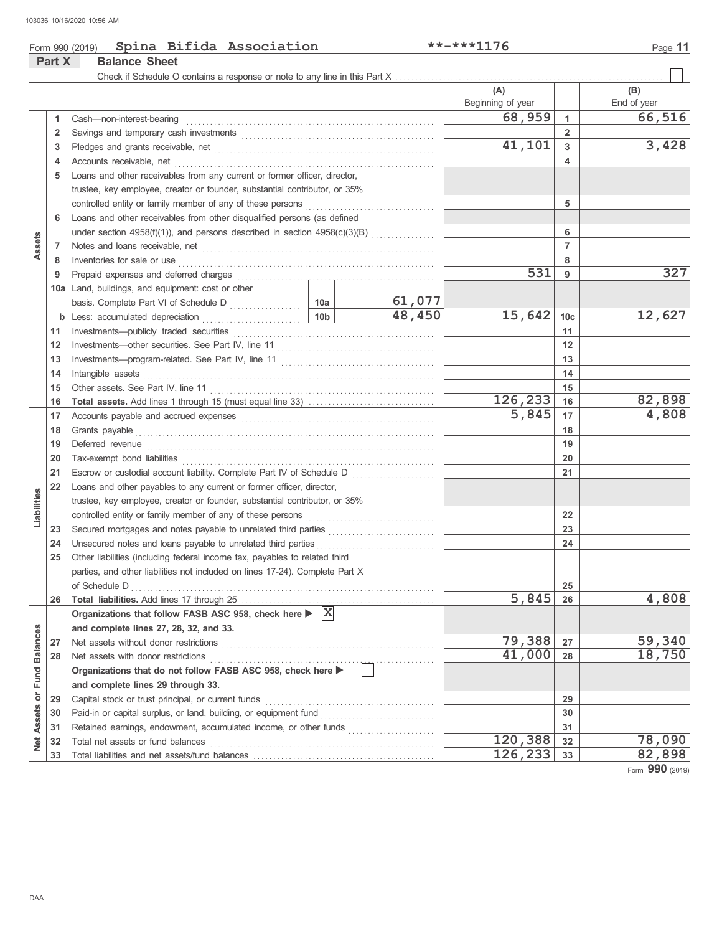|                      |        | Spina Bifida Association<br>Form 990 (2019)                                     |                 |        | $***+*1176$       |                 | Page 11     |
|----------------------|--------|---------------------------------------------------------------------------------|-----------------|--------|-------------------|-----------------|-------------|
|                      | Part X | <b>Balance Sheet</b>                                                            |                 |        |                   |                 |             |
|                      |        |                                                                                 |                 |        |                   |                 |             |
|                      |        |                                                                                 |                 |        | (A)               |                 | (B)         |
|                      |        |                                                                                 |                 |        | Beginning of year |                 | End of year |
|                      | 1      | Cash-non-interest-bearing                                                       |                 |        | 68,959            | $\mathbf{1}$    | 66,516      |
|                      | 2      |                                                                                 |                 |        |                   | $\overline{2}$  |             |
|                      | 3      |                                                                                 |                 |        | 41, 101           | 3               | 3,428       |
|                      | 4      | Accounts receivable, net                                                        |                 |        |                   | 4               |             |
|                      | 5      | Loans and other receivables from any current or former officer, director,       |                 |        |                   |                 |             |
|                      |        | trustee, key employee, creator or founder, substantial contributor, or 35%      |                 |        |                   |                 |             |
|                      |        | controlled entity or family member of any of these persons                      |                 |        |                   | 5               |             |
|                      | 6      | Loans and other receivables from other disqualified persons (as defined         |                 |        |                   |                 |             |
|                      |        | under section 4958(f)(1)), and persons described in section 4958(c)(3)(B)       |                 |        |                   | 6               |             |
| Assets               | 7      | Notes and loans receivable, net                                                 |                 |        |                   | $\overline{7}$  |             |
|                      | 8      | Inventories for sale or use<br>Prepaid expenses and deferred charges            |                 |        | 531               | 8<br>9          | 327         |
|                      | 9      |                                                                                 |                 |        |                   |                 |             |
|                      |        | 10a Land, buildings, and equipment: cost or other                               |                 | 61,077 |                   |                 |             |
|                      | b      | Less: accumulated depreciation                                                  | 10 <sub>b</sub> | 48,450 | 15,642            | 10 <sub>c</sub> | 12,627      |
|                      | 11     | Investments-publicly traded securities                                          |                 |        |                   | 11              |             |
|                      | 12     |                                                                                 |                 |        |                   | 12              |             |
|                      | 13     |                                                                                 |                 |        |                   | 13              |             |
|                      | 14     | Intangible assets                                                               |                 |        |                   | 14              |             |
|                      | 15     | Other assets. See Part IV, line 11                                              |                 |        |                   | 15              |             |
|                      | 16     |                                                                                 |                 |        | 126,233           | 16              | 82,898      |
|                      | 17     |                                                                                 |                 |        | 5,845             | 17              | 4,808       |
|                      | 18     | Grants payable                                                                  |                 | 18     |                   |                 |             |
|                      | 19     | Deferred revenue                                                                |                 | 19     |                   |                 |             |
|                      | 20     | Tax-exempt bond liabilities                                                     |                 |        |                   | 20              |             |
|                      | 21     | Escrow or custodial account liability. Complete Part IV of Schedule D           |                 |        |                   | 21              |             |
|                      | 22     | Loans and other payables to any current or former officer, director,            |                 |        |                   |                 |             |
| Liabilities          |        | trustee, key employee, creator or founder, substantial contributor, or 35%      |                 |        |                   |                 |             |
|                      |        | controlled entity or family member of any of these persons                      |                 |        |                   | 22              |             |
|                      | 23     |                                                                                 |                 |        |                   | 23              |             |
|                      | 24     | Unsecured notes and loans payable to unrelated third parties                    |                 |        |                   | 24              |             |
|                      | 25     | Other liabilities (including federal income tax, payables to related third      |                 |        |                   |                 |             |
|                      |        | parties, and other liabilities not included on lines 17-24). Complete Part X    |                 |        |                   |                 |             |
|                      |        | of Schedule D                                                                   |                 |        |                   | 25              |             |
|                      | 26     |                                                                                 | $\mathbf{x}$    |        | 5,845             | 26              | 4,808       |
|                      |        | Organizations that follow FASB ASC 958, check here                              |                 |        |                   |                 |             |
|                      | 27     | and complete lines 27, 28, 32, and 33.<br>Net assets without donor restrictions |                 |        | 79,388            | 27              | 59,340      |
|                      | 28     | Net assets with donor restrictions                                              |                 |        | 41,000            | 28              | 18,750      |
| <b>Fund Balances</b> |        | Organizations that do not follow FASB ASC 958, check here                       |                 |        |                   |                 |             |
|                      |        | and complete lines 29 through 33.                                               |                 |        |                   |                 |             |
|                      | 29     | Capital stock or trust principal, or current funds                              |                 |        |                   | 29              |             |
|                      | 30     | Paid-in or capital surplus, or land, building, or equipment fund                |                 |        |                   | 30              |             |
| <b>Net Assets or</b> | 31     | Retained earnings, endowment, accumulated income, or other funds                |                 |        | 31                |                 |             |
|                      | 32     | Total net assets or fund balances                                               |                 |        | 120,388           | 32              | 78,090      |
|                      |        |                                                                                 |                 |        |                   |                 |             |

Total liabilities and net assets/fund balances .................................

## Form **990** (2019)

**33 32**

**126,233** 33 82,898

**33**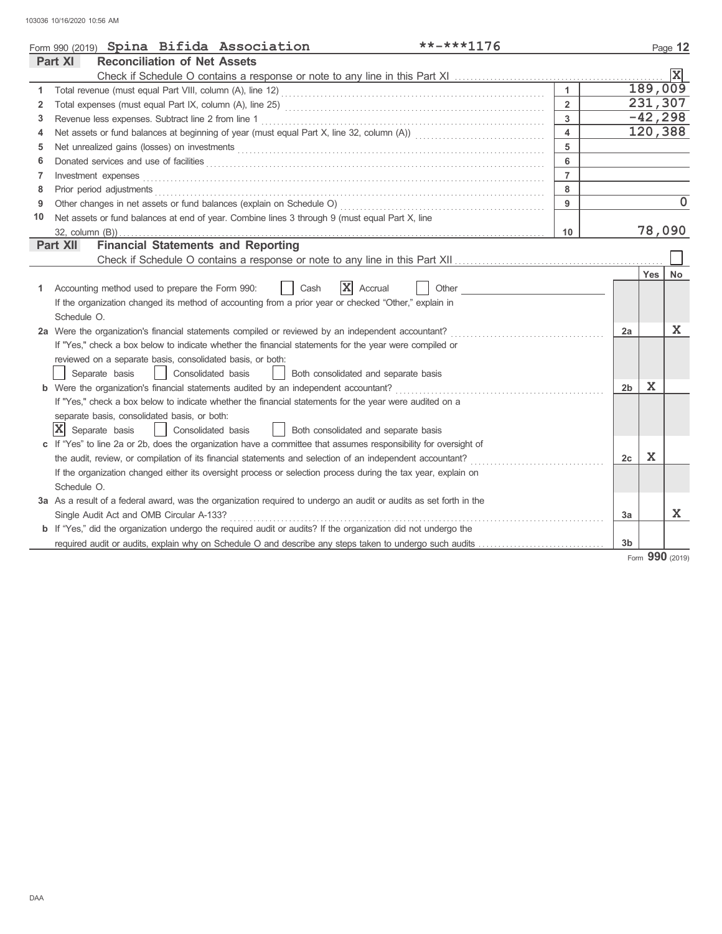|    | $***1176$<br>Form 990 (2019) Spina Bifida Association                                                                                                                                                                                |                |                |            | Page 12         |
|----|--------------------------------------------------------------------------------------------------------------------------------------------------------------------------------------------------------------------------------------|----------------|----------------|------------|-----------------|
|    | <b>Reconciliation of Net Assets</b><br>Part XI                                                                                                                                                                                       |                |                |            |                 |
|    |                                                                                                                                                                                                                                      |                |                |            |                 |
| 1  |                                                                                                                                                                                                                                      | $\mathbf{1}$   |                | 189,009    |                 |
| 2  |                                                                                                                                                                                                                                      | $\overline{2}$ |                | 231,307    |                 |
| 3  | Revenue less expenses. Subtract line 2 from line 1                                                                                                                                                                                   | $\overline{3}$ |                | $-42, 298$ |                 |
| 4  |                                                                                                                                                                                                                                      | $\overline{4}$ |                | 120,388    |                 |
| 5  |                                                                                                                                                                                                                                      | 5              |                |            |                 |
| 6  | Donated services and use of facilities <b>constant of the constant of the constant of the constant of the constant of the constant of the constant of the constant of the constant of the constant of the constant of the consta</b> | 6              |                |            |                 |
| 7  | Investment expenses                                                                                                                                                                                                                  | $\overline{7}$ |                |            |                 |
| 8  | Prior period adjustments contains and according to the container and according to the containing containing to the containing containing to the containing containing to the containing containing containing containing conta       | 8              |                |            |                 |
| 9  |                                                                                                                                                                                                                                      | 9              |                |            | $\mathbf 0$     |
| 10 | Net assets or fund balances at end of year. Combine lines 3 through 9 (must equal Part X, line                                                                                                                                       |                |                |            |                 |
|    |                                                                                                                                                                                                                                      | 10             |                | 78,090     |                 |
|    | <b>Financial Statements and Reporting</b><br>Part XII                                                                                                                                                                                |                |                |            |                 |
|    |                                                                                                                                                                                                                                      |                |                |            |                 |
|    |                                                                                                                                                                                                                                      |                |                | <b>Yes</b> | <b>No</b>       |
| 1. | Accounting method used to prepare the Form 990:<br>Cash<br>Other<br>Accrual                                                                                                                                                          |                |                |            |                 |
|    | If the organization changed its method of accounting from a prior year or checked "Other," explain in                                                                                                                                |                |                |            |                 |
|    | Schedule O.                                                                                                                                                                                                                          |                |                |            |                 |
|    | 2a Were the organization's financial statements compiled or reviewed by an independent accountant?                                                                                                                                   |                | 2a             |            | X               |
|    | If "Yes," check a box below to indicate whether the financial statements for the year were compiled or                                                                                                                               |                |                |            |                 |
|    | reviewed on a separate basis, consolidated basis, or both:                                                                                                                                                                           |                |                |            |                 |
|    | Separate basis<br>Consolidated basis<br>Both consolidated and separate basis                                                                                                                                                         |                |                |            |                 |
|    | b Were the organization's financial statements audited by an independent accountant?                                                                                                                                                 |                | 2 <sub>b</sub> | X          |                 |
|    | If "Yes," check a box below to indicate whether the financial statements for the year were audited on a                                                                                                                              |                |                |            |                 |
|    | separate basis, consolidated basis, or both:                                                                                                                                                                                         |                |                |            |                 |
|    | ΙX<br>Separate basis<br>Both consolidated and separate basis<br>Consolidated basis                                                                                                                                                   |                |                |            |                 |
|    | c If "Yes" to line 2a or 2b, does the organization have a committee that assumes responsibility for oversight of                                                                                                                     |                |                |            |                 |
|    | the audit, review, or compilation of its financial statements and selection of an independent accountant?                                                                                                                            |                | 2 <sub>c</sub> | X          |                 |
|    | If the organization changed either its oversight process or selection process during the tax year, explain on                                                                                                                        |                |                |            |                 |
|    | Schedule O.                                                                                                                                                                                                                          |                |                |            |                 |
|    | 3a As a result of a federal award, was the organization required to undergo an audit or audits as set forth in the                                                                                                                   |                |                |            |                 |
|    | Single Audit Act and OMB Circular A-133?                                                                                                                                                                                             |                | 3a             |            | X.              |
|    | <b>b</b> If "Yes," did the organization undergo the required audit or audits? If the organization did not undergo the                                                                                                                |                |                |            |                 |
|    |                                                                                                                                                                                                                                      |                | 3 <sub>b</sub> |            |                 |
|    |                                                                                                                                                                                                                                      |                |                |            | Form 990 (2019) |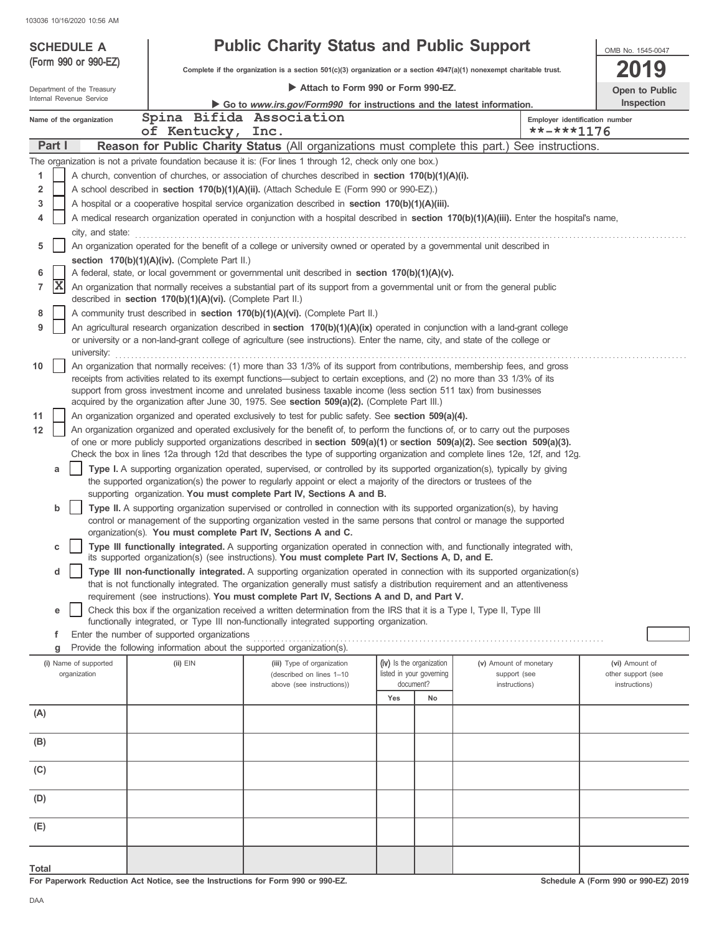| <b>SCHEDULE A</b>                     |                                                                                                                                                                                                                                                                                                                                                                                 | <b>Public Charity Status and Public Support</b>                                                                                                                                                                                                                |                                                                   |    |                                        | OMB No. 1545-0047                    |  |  |  |  |  |  |
|---------------------------------------|---------------------------------------------------------------------------------------------------------------------------------------------------------------------------------------------------------------------------------------------------------------------------------------------------------------------------------------------------------------------------------|----------------------------------------------------------------------------------------------------------------------------------------------------------------------------------------------------------------------------------------------------------------|-------------------------------------------------------------------|----|----------------------------------------|--------------------------------------|--|--|--|--|--|--|
| (Form 990 or 990-EZ)                  |                                                                                                                                                                                                                                                                                                                                                                                 | Complete if the organization is a section 501(c)(3) organization or a section 4947(a)(1) nonexempt charitable trust.                                                                                                                                           |                                                                   |    |                                        | 9                                    |  |  |  |  |  |  |
| Department of the Treasury            |                                                                                                                                                                                                                                                                                                                                                                                 | Attach to Form 990 or Form 990-EZ.                                                                                                                                                                                                                             |                                                                   |    |                                        | Open to Public                       |  |  |  |  |  |  |
| Internal Revenue Service              |                                                                                                                                                                                                                                                                                                                                                                                 | Go to www.irs.gov/Form990 for instructions and the latest information.                                                                                                                                                                                         |                                                                   |    |                                        | Inspection                           |  |  |  |  |  |  |
| Name of the organization              |                                                                                                                                                                                                                                                                                                                                                                                 | Spina Bifida Association                                                                                                                                                                                                                                       |                                                                   |    |                                        | Employer identification number       |  |  |  |  |  |  |
|                                       | of Kentucky,                                                                                                                                                                                                                                                                                                                                                                    | Inc.                                                                                                                                                                                                                                                           |                                                                   |    | $***+*1176$                            |                                      |  |  |  |  |  |  |
| Part I                                |                                                                                                                                                                                                                                                                                                                                                                                 | Reason for Public Charity Status (All organizations must complete this part.) See instructions.                                                                                                                                                                |                                                                   |    |                                        |                                      |  |  |  |  |  |  |
|                                       |                                                                                                                                                                                                                                                                                                                                                                                 | The organization is not a private foundation because it is: (For lines 1 through 12, check only one box.)                                                                                                                                                      |                                                                   |    |                                        |                                      |  |  |  |  |  |  |
| 1<br>$\overline{\mathbf{2}}$          |                                                                                                                                                                                                                                                                                                                                                                                 | A church, convention of churches, or association of churches described in section 170(b)(1)(A)(i).<br>A school described in section 170(b)(1)(A)(ii). (Attach Schedule E (Form 990 or 990-EZ).)                                                                |                                                                   |    |                                        |                                      |  |  |  |  |  |  |
| 3                                     |                                                                                                                                                                                                                                                                                                                                                                                 | A hospital or a cooperative hospital service organization described in section 170(b)(1)(A)(iii).                                                                                                                                                              |                                                                   |    |                                        |                                      |  |  |  |  |  |  |
| 4                                     |                                                                                                                                                                                                                                                                                                                                                                                 | A medical research organization operated in conjunction with a hospital described in section 170(b)(1)(A)(iii). Enter the hospital's name,                                                                                                                     |                                                                   |    |                                        |                                      |  |  |  |  |  |  |
| city, and state:                      |                                                                                                                                                                                                                                                                                                                                                                                 |                                                                                                                                                                                                                                                                |                                                                   |    |                                        |                                      |  |  |  |  |  |  |
| 5                                     | An organization operated for the benefit of a college or university owned or operated by a governmental unit described in                                                                                                                                                                                                                                                       |                                                                                                                                                                                                                                                                |                                                                   |    |                                        |                                      |  |  |  |  |  |  |
|                                       | section 170(b)(1)(A)(iv). (Complete Part II.)                                                                                                                                                                                                                                                                                                                                   |                                                                                                                                                                                                                                                                |                                                                   |    |                                        |                                      |  |  |  |  |  |  |
| 6<br>X<br>$\overline{7}$              | A federal, state, or local government or governmental unit described in section 170(b)(1)(A)(v).                                                                                                                                                                                                                                                                                |                                                                                                                                                                                                                                                                |                                                                   |    |                                        |                                      |  |  |  |  |  |  |
|                                       | An organization that normally receives a substantial part of its support from a governmental unit or from the general public<br>described in section 170(b)(1)(A)(vi). (Complete Part II.)                                                                                                                                                                                      |                                                                                                                                                                                                                                                                |                                                                   |    |                                        |                                      |  |  |  |  |  |  |
| 8                                     |                                                                                                                                                                                                                                                                                                                                                                                 | A community trust described in section 170(b)(1)(A)(vi). (Complete Part II.)                                                                                                                                                                                   |                                                                   |    |                                        |                                      |  |  |  |  |  |  |
| 9<br>university:                      | An agricultural research organization described in section 170(b)(1)(A)(ix) operated in conjunction with a land-grant college<br>or university or a non-land-grant college of agriculture (see instructions). Enter the name, city, and state of the college or                                                                                                                 |                                                                                                                                                                                                                                                                |                                                                   |    |                                        |                                      |  |  |  |  |  |  |
| 10                                    | An organization that normally receives: (1) more than 33 1/3% of its support from contributions, membership fees, and gross<br>receipts from activities related to its exempt functions-subject to certain exceptions, and (2) no more than 33 1/3% of its<br>support from gross investment income and unrelated business taxable income (less section 511 tax) from businesses |                                                                                                                                                                                                                                                                |                                                                   |    |                                        |                                      |  |  |  |  |  |  |
| 11                                    |                                                                                                                                                                                                                                                                                                                                                                                 | acquired by the organization after June 30, 1975. See section 509(a)(2). (Complete Part III.)<br>An organization organized and operated exclusively to test for public safety. See section 509(a)(4).                                                          |                                                                   |    |                                        |                                      |  |  |  |  |  |  |
| 12                                    |                                                                                                                                                                                                                                                                                                                                                                                 | An organization organized and operated exclusively for the benefit of, to perform the functions of, or to carry out the purposes                                                                                                                               |                                                                   |    |                                        |                                      |  |  |  |  |  |  |
|                                       |                                                                                                                                                                                                                                                                                                                                                                                 | of one or more publicly supported organizations described in section 509(a)(1) or section 509(a)(2). See section 509(a)(3).<br>Check the box in lines 12a through 12d that describes the type of supporting organization and complete lines 12e, 12f, and 12g. |                                                                   |    |                                        |                                      |  |  |  |  |  |  |
| a                                     |                                                                                                                                                                                                                                                                                                                                                                                 | Type I. A supporting organization operated, supervised, or controlled by its supported organization(s), typically by giving<br>the supported organization(s) the power to regularly appoint or elect a majority of the directors or trustees of the            |                                                                   |    |                                        |                                      |  |  |  |  |  |  |
|                                       |                                                                                                                                                                                                                                                                                                                                                                                 | supporting organization. You must complete Part IV, Sections A and B.                                                                                                                                                                                          |                                                                   |    |                                        |                                      |  |  |  |  |  |  |
| b                                     |                                                                                                                                                                                                                                                                                                                                                                                 | Type II. A supporting organization supervised or controlled in connection with its supported organization(s), by having                                                                                                                                        |                                                                   |    |                                        |                                      |  |  |  |  |  |  |
|                                       |                                                                                                                                                                                                                                                                                                                                                                                 | control or management of the supporting organization vested in the same persons that control or manage the supported                                                                                                                                           |                                                                   |    |                                        |                                      |  |  |  |  |  |  |
| С                                     |                                                                                                                                                                                                                                                                                                                                                                                 | organization(s). You must complete Part IV, Sections A and C.<br>Type III functionally integrated. A supporting organization operated in connection with, and functionally integrated with,                                                                    |                                                                   |    |                                        |                                      |  |  |  |  |  |  |
|                                       |                                                                                                                                                                                                                                                                                                                                                                                 | its supported organization(s) (see instructions). You must complete Part IV, Sections A, D, and E.                                                                                                                                                             |                                                                   |    |                                        |                                      |  |  |  |  |  |  |
| d                                     |                                                                                                                                                                                                                                                                                                                                                                                 | Type III non-functionally integrated. A supporting organization operated in connection with its supported organization(s)<br>that is not functionally integrated. The organization generally must satisfy a distribution requirement and an attentiveness      |                                                                   |    |                                        |                                      |  |  |  |  |  |  |
|                                       |                                                                                                                                                                                                                                                                                                                                                                                 | requirement (see instructions). You must complete Part IV, Sections A and D, and Part V.                                                                                                                                                                       |                                                                   |    |                                        |                                      |  |  |  |  |  |  |
| е                                     |                                                                                                                                                                                                                                                                                                                                                                                 | Check this box if the organization received a written determination from the IRS that it is a Type I, Type II, Type III<br>functionally integrated, or Type III non-functionally integrated supporting organization.                                           |                                                                   |    |                                        |                                      |  |  |  |  |  |  |
| f                                     | Enter the number of supported organizations                                                                                                                                                                                                                                                                                                                                     |                                                                                                                                                                                                                                                                |                                                                   |    |                                        |                                      |  |  |  |  |  |  |
| g                                     |                                                                                                                                                                                                                                                                                                                                                                                 | Provide the following information about the supported organization(s).                                                                                                                                                                                         |                                                                   |    |                                        |                                      |  |  |  |  |  |  |
| (i) Name of supported<br>organization | $(ii)$ $EIN$                                                                                                                                                                                                                                                                                                                                                                    | (iii) Type of organization<br>(described on lines 1-10                                                                                                                                                                                                         | (iv) Is the organization<br>listed in your governing<br>document? |    | (v) Amount of monetary<br>support (see | (vi) Amount of<br>other support (see |  |  |  |  |  |  |
|                                       |                                                                                                                                                                                                                                                                                                                                                                                 | above (see instructions))                                                                                                                                                                                                                                      | Yes                                                               | No | instructions)                          | instructions)                        |  |  |  |  |  |  |
| (A)                                   |                                                                                                                                                                                                                                                                                                                                                                                 |                                                                                                                                                                                                                                                                |                                                                   |    |                                        |                                      |  |  |  |  |  |  |
| (B)                                   |                                                                                                                                                                                                                                                                                                                                                                                 |                                                                                                                                                                                                                                                                |                                                                   |    |                                        |                                      |  |  |  |  |  |  |
| (C)                                   |                                                                                                                                                                                                                                                                                                                                                                                 |                                                                                                                                                                                                                                                                |                                                                   |    |                                        |                                      |  |  |  |  |  |  |
| (D)                                   |                                                                                                                                                                                                                                                                                                                                                                                 |                                                                                                                                                                                                                                                                |                                                                   |    |                                        |                                      |  |  |  |  |  |  |
| (E)                                   |                                                                                                                                                                                                                                                                                                                                                                                 |                                                                                                                                                                                                                                                                |                                                                   |    |                                        |                                      |  |  |  |  |  |  |
|                                       |                                                                                                                                                                                                                                                                                                                                                                                 |                                                                                                                                                                                                                                                                |                                                                   |    |                                        |                                      |  |  |  |  |  |  |
| Total                                 |                                                                                                                                                                                                                                                                                                                                                                                 |                                                                                                                                                                                                                                                                |                                                                   |    |                                        |                                      |  |  |  |  |  |  |

**For Paperwork Reduction Act Notice, see the Instructions for Form 990 or 990-EZ.**

**Schedule A (Form 990 or 990-EZ) 2019**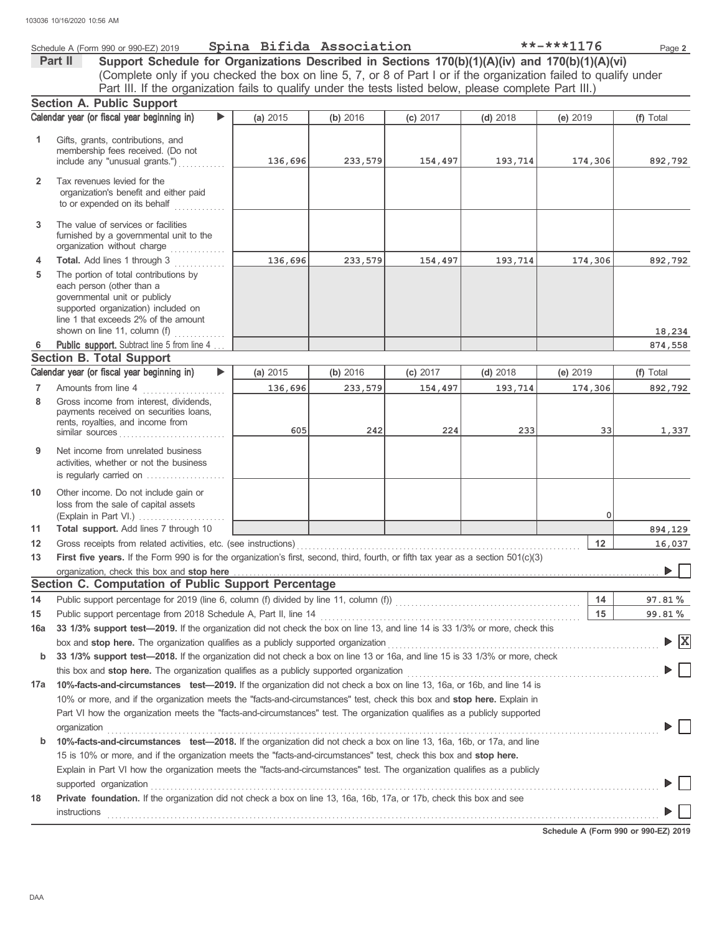### Schedule A (Form 990 or 990-EZ) 2019 Page **2 Spina Bifida Association \*\*-\*\*\*1176 Part II** Support Schedule for Organizations Described in Sections  $170(b)(1)(A)(iv)$  and  $170(b)(1)(A)(vi)$ (Complete only if you checked the box on line 5, 7, or 8 of Part I or if the organization failed to qualify under Part III. If the organization fails to qualify under the tests listed below, please complete Part III.) **Section A. Public Support** Calendar year (or fiscal year beginning in)  $\bullet$  (a) 2015 (b) 2016 (c) 2017 (d) 2018 (e) 2019 (f) Total  $\blacktriangleright$ **(a)** 2015 **(b)** 2016 **(c)** 2017 **(d)** 2018 **(e)** 2019 Gifts, grants, contributions, and **1** membership fees received. (Do not **136,696 233,579 154,497 193,714 174,306 892,792**  $\mathsf{include\; any}\;$  "unusual grants.")  $\ldots\ldots\ldots\;$ **2** Tax revenues levied for the organization's benefit and either paid to or expended on its behalf . . . . . . . . . . . . . **3** The value of services or facilities furnished by a governmental unit to the organization without charge .............. **Total.** Add lines 1 through 3 . . . . . . . . . . . . . **4 136,696 233,579 154,497 193,714 174,306 892,792 5** The portion of total contributions by each person (other than a governmental unit or publicly supported organization) included on line 1 that exceeds 2% of the amount **18,234** shown on line 11, column  $(f)$   $\ldots$   $\ldots$  . . . . . . . Public support. Subtract line 5 from line 4. **6 874,558 Section B. Total Support** Calendar year (or fiscal year beginning in) **(f)** Total u **(b)** 2016 **(c)** 2017 **(d)** 2018 **(e)** 2019 **(a)** 2015 Amounts from line 4 **7 136,696 233,579 154,497 193,714 174,306 892,792** Gross income from interest, dividends, **8** payments received on securities loans. rents, royalties, and income from similar sources . . . . . . . . . . . . . **605** 242 224 233 33 1,337 Net income from unrelated business **9** activities, whether or not the business is regularly carried on ................... **10** Other income. Do not include gain or loss from the sale of capital assets (Explain in Part VI.) . . . . . . . . . . . . . . . . . . . . . . **0 Total support.** Add lines 7 through 10 **11 894,129 12 12 16,037** Gross receipts from related activities, etc. (see instructions) . . . . . . . . . . . . . . . . . . . . . . . . . . . . . . . . . . . . . . . . . . . . . . . . . . . . . . . . . . . . . . . . . . . . . . . . **13 First five years.** If the Form 990 is for the organization's first, second, third, fourth, or fifth tax year as a section 501(c)(3) organization, check this box and stop here  $\blacktriangleright$  1 **Section C. Computation of Public Support Percentage 14** Public support percentage for 2019 (line 6, column (f) divided by line 11, column (f)) . . . . . . . . . . . . . . . . . . . . . . . . . . . . . . . . . . . . . . . . . . . . . . . **14 % 97.81** Public support percentage from 2018 Schedule A, Part II, line 14 . . . . . . . . . . . . . . . . . . . . . . . . . . . . . . . . . . . . . . . . . . . . . . . . . . . . . . . . . . . . . . . . . . **15 15 % 99.81 16a 33 1/3% support test—2019.** If the organization did not check the box on line 13, and line 14 is 33 1/3% or more, check this box and stop here. The organization qualifies as a publicly supported organization **X b 33 1/3% support test—2018.** If the organization did not check a box on line 13 or 16a, and line 15 is 33 1/3% or more, check this box and stop here. The organization qualifies as a publicly supported organization **17a 10%-facts-and-circumstances test—2019.** If the organization did not check a box on line 13, 16a, or 16b, and line 14 is 10% or more, and if the organization meets the "facts-and-circumstances" test, check this box and **stop here.** Explain in Part VI how the organization meets the "facts-and-circumstances" test. The organization qualifies as a publicly supported organization . . . . . . . . . . . . . . . . . . . . . . . . . . . . . . . . . . . . . . . . . . . . . . . . . . . . . . . . . . . . . . . . . . . . . . . . . . . . . . . . . . . . . . . . . . . . . . . . . . . . . . . . . . . . . . . . . . . . . . . . . . . . . . . . . . . . . . . . . . . . **b 10%-facts-and-circumstances test—2018.** If the organization did not check a box on line 13, 16a, 16b, or 17a, and line 15 is 10% or more, and if the organization meets the "facts-and-circumstances" test, check this box and **stop here.** Explain in Part VI how the organization meets the "facts-and-circumstances" test. The organization qualifies as a publicly supported organization ........... **18 Private foundation.** If the organization did not check a box on line 13, 16a, 16b, 17a, or 17b, check this box and see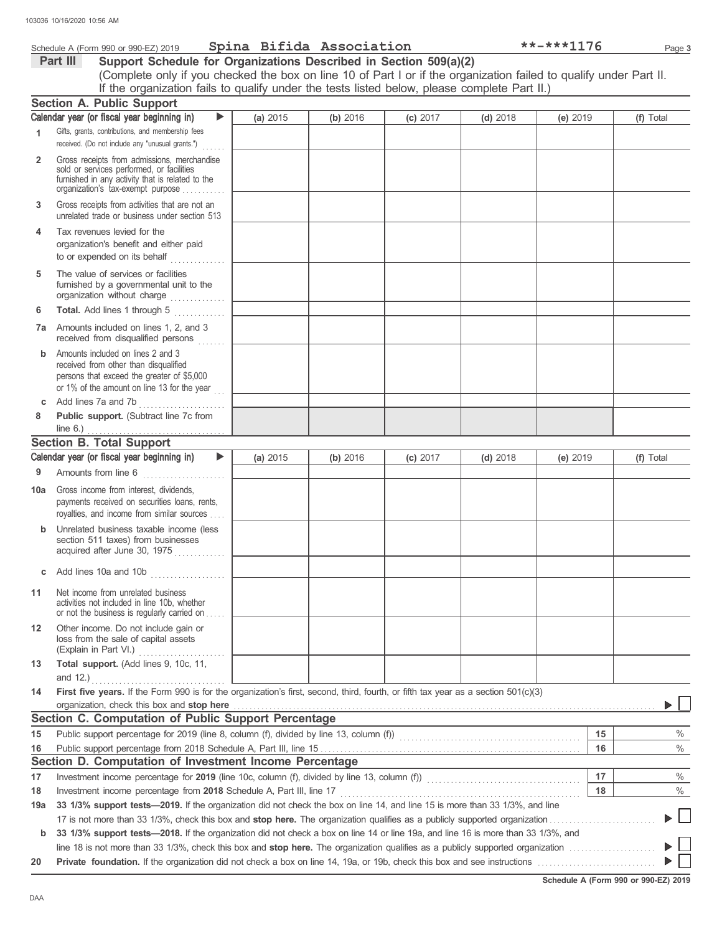### **Section B. Total Support** unrelated trade or business under section 513 **Part III Support Schedule for Organizations Described in Section 509(a)(2)** (Complete only if you checked the box on line 10 of Part I or if the organization failed to qualify under Part II. **1 2 3 6 8** Schedule A (Form 990 or 990-EZ) 2019 **Spina Bifida Association** \*\*-\*\*\*1176 Page 3 Gifts, grants, contributions, and membership fees received. (Do not include any "unusual grants.") . . . . . . **Public support.** (Subtract line 7c from Gross receipts from admissions, merchandise sold or services performed, or facilities furnished in any activity that is related to the Gross receipts from activities that are not an **Total.** Add lines 1 through 5 **Section A. Public Support** organization's tax-exempt purpose . . . . . . . . . . **4** Tax revenues levied for the organization's benefit and either paid to or expended on its behalf  $\begin{array}{ccc} \ldots & \ldots \end{array}$ organization without charge .............. furnished by a governmental unit to the **5** The value of services or facilities **7a** Amounts included on lines 1, 2, and 3 received from disqualified persons **b** Amounts included on lines 2 and 3 received from other than disqualified persons that exceed the greater of \$5,000 or 1% of the amount on line 13 for the year  $\ldots$ **c** Add lines 7a and 7b . . . . . . . . . . . . . . . . . . . . . . Amounts from line 6 **9** royalties, and income from similar sources . . . . payments received on securities loans, rents, **10a** Gross income from interest, dividends, **b** Unrelated business taxable income (less section 511 taxes) from businesses acquired after June 30, 1975 **c** Add lines 10a and 10b **11** Net income from unrelated business activities not included in line 10b, whether or not the business is regularly carried on . . . . . (Explain in Part VI.) . . . . . . . . . . . . . . . . . . . . . . loss from the sale of capital assets **12** Other income. Do not include gain or **13 Total support.** (Add lines 9, 10c, 11, **14 First five years.** If the Form 990 is for the organization's first, second, third, fourth, or fifth tax year as a section 501(c)(3) organization, check this box and stop here **Section C. Computation of Public Support Percentage** Public support percentage from 2018 Schedule A, Part III, line 15 . . . . . . . . . **15** Public support percentage for 2019 (line 8, column (f), divided by line 13, column (f)) . . . . . . . . . . . . . . . . . . . . . . . . . . . . . . . . . . . . . . . . . . . . . . **16 Section D. Computation of Investment Income Percentage 18** Investment income percentage for **2019** (line 10c, column (f), divided by line 13, column (f)) . . . . . . . . . . . . . . . . . . . . . . . . . . . . . . . . . . . . . . . **17** Investment income percentage from **2018** Schedule A, Part III, line 17 . . . . . . . . . . . . . . . . . . . . . . . . . . . . . . . . . . . . . . . . . . . . . . . . . . . . . . . . . . . . . 17 is not more than 33 1/3%, check this box and **stop here.** The organization qualifies as a publicly supported organization . . . . . . . . . . . . . . . . . . . . . . . . . . . **19a 33 1/3% support tests—2019.** If the organization did not check the box on line 14, and line 15 is more than 33 1/3%, and line  $\frac{0}{0}$  $\frac{0}{0}$ **16 15 17 18**  $\frac{0}{0}$  $\%$ **(a)** 2015 **(b)** 2016 **(c)** 2017 **(d)** 2018 **(e)** 2019 **(f)** Total **(f)** Total  $line 6.)$ Calendar year (or fiscal year beginning in) Calendar year (or fiscal year beginning in) and 12.) . . . . . . . . . . . . . . . . . . . . . . . . . . . . . . . . . . If the organization fails to qualify under the tests listed below, please complete Part II.) **(a)** 2015 **(b)** 2016 **(c)** 2017 **(d)** 2018 **(e)** 2019 u  $\blacktriangleright$

**b** 33 1/3% support tests—2018. If the organization did not check a box on line 14 or line 19a, and line 16 is more than 33 1/3%, and line 18 is not more than 33 1/3%, check this box and **stop here.** The organization qualifies as a publicly supported organization . . . . . . . . . . . . . . . . . . . . . .

**20 Private foundation.** If the organization did not check a box on line 14, 19a, or 19b, check this box and see instructions . . . . . . . . . . . . . . . . . . . . . . . . . . . . . .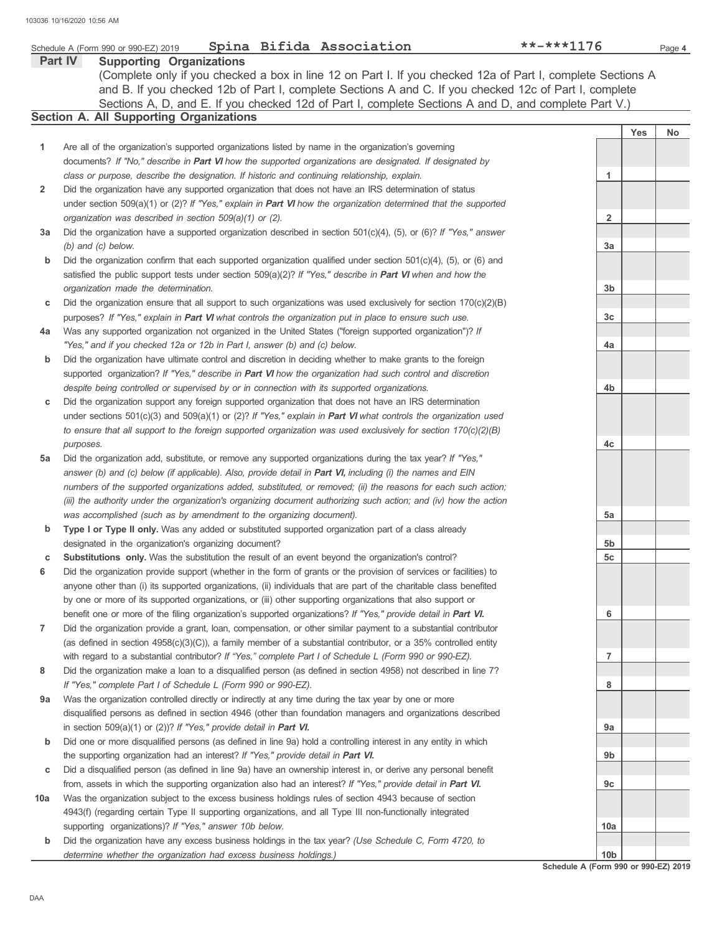|     | Spina Bifida Association<br>Schedule A (Form 990 or 990-EZ) 2019                                                           | $***+*1176$     | Page 4           |
|-----|----------------------------------------------------------------------------------------------------------------------------|-----------------|------------------|
|     | <b>Supporting Organizations</b><br>Part IV                                                                                 |                 |                  |
|     | (Complete only if you checked a box in line 12 on Part I. If you checked 12a of Part I, complete Sections A                |                 |                  |
|     | and B. If you checked 12b of Part I, complete Sections A and C. If you checked 12c of Part I, complete                     |                 |                  |
|     | Sections A, D, and E. If you checked 12d of Part I, complete Sections A and D, and complete Part V.)                       |                 |                  |
|     | <b>Section A. All Supporting Organizations</b>                                                                             |                 |                  |
|     |                                                                                                                            |                 |                  |
|     |                                                                                                                            |                 | <b>Yes</b><br>No |
| 1   | Are all of the organization's supported organizations listed by name in the organization's governing                       |                 |                  |
|     | documents? If "No," describe in Part VI how the supported organizations are designated. If designated by                   |                 |                  |
|     | class or purpose, describe the designation. If historic and continuing relationship, explain.                              | 1               |                  |
| 2   | Did the organization have any supported organization that does not have an IRS determination of status                     |                 |                  |
|     | under section 509(a)(1) or (2)? If "Yes," explain in Part VI how the organization determined that the supported            |                 |                  |
|     | organization was described in section 509(a)(1) or (2).                                                                    | $\overline{2}$  |                  |
| За  | Did the organization have a supported organization described in section $501(c)(4)$ , (5), or (6)? If "Yes," answer        |                 |                  |
|     | $(b)$ and $(c)$ below.                                                                                                     | 3a              |                  |
| b   | Did the organization confirm that each supported organization qualified under section $501(c)(4)$ , (5), or (6) and        |                 |                  |
|     | satisfied the public support tests under section $509(a)(2)?$ If "Yes," describe in Part VI when and how the               |                 |                  |
|     | organization made the determination.                                                                                       | 3b              |                  |
| с   | Did the organization ensure that all support to such organizations was used exclusively for section 170(c)(2)(B)           |                 |                  |
|     |                                                                                                                            |                 |                  |
|     | purposes? If "Yes," explain in Part VI what controls the organization put in place to ensure such use.                     | 3 <sub>c</sub>  |                  |
| 4a  | Was any supported organization not organized in the United States ("foreign supported organization")? If                   |                 |                  |
|     | "Yes," and if you checked 12a or 12b in Part I, answer (b) and (c) below.                                                  | 4a              |                  |
| b   | Did the organization have ultimate control and discretion in deciding whether to make grants to the foreign                |                 |                  |
|     | supported organization? If "Yes," describe in Part VI how the organization had such control and discretion                 |                 |                  |
|     | despite being controlled or supervised by or in connection with its supported organizations.                               | 4b              |                  |
| c   | Did the organization support any foreign supported organization that does not have an IRS determination                    |                 |                  |
|     | under sections $501(c)(3)$ and $509(a)(1)$ or (2)? If "Yes," explain in <b>Part VI</b> what controls the organization used |                 |                  |
|     | to ensure that all support to the foreign supported organization was used exclusively for section $170(c)(2)(B)$           |                 |                  |
|     | purposes.                                                                                                                  | 4c              |                  |
| 5a  | Did the organization add, substitute, or remove any supported organizations during the tax year? If "Yes,"                 |                 |                  |
|     | answer (b) and (c) below (if applicable). Also, provide detail in Part VI, including (i) the names and EIN                 |                 |                  |
|     | numbers of the supported organizations added, substituted, or removed; (ii) the reasons for each such action;              |                 |                  |
|     | (iii) the authority under the organization's organizing document authorizing such action; and (iv) how the action          |                 |                  |
|     | was accomplished (such as by amendment to the organizing document).                                                        | 5a              |                  |
| b   | Type I or Type II only. Was any added or substituted supported organization part of a class already                        |                 |                  |
|     |                                                                                                                            |                 |                  |
|     | designated in the organization's organizing document?                                                                      | 5 <sub>b</sub>  |                  |
| с   | Substitutions only. Was the substitution the result of an event beyond the organization's control?                         | 5c              |                  |
| 6   | Did the organization provide support (whether in the form of grants or the provision of services or facilities) to         |                 |                  |
|     | anyone other than (i) its supported organizations, (ii) individuals that are part of the charitable class benefited        |                 |                  |
|     | by one or more of its supported organizations, or (iii) other supporting organizations that also support or                |                 |                  |
|     | benefit one or more of the filing organization's supported organizations? If "Yes," provide detail in Part VI.             | 6               |                  |
| 7   | Did the organization provide a grant, loan, compensation, or other similar payment to a substantial contributor            |                 |                  |
|     | (as defined in section $4958(c)(3)(C)$ ), a family member of a substantial contributor, or a 35% controlled entity         |                 |                  |
|     | with regard to a substantial contributor? If "Yes," complete Part I of Schedule L (Form 990 or 990-EZ).                    | 7               |                  |
| 8   | Did the organization make a loan to a disqualified person (as defined in section 4958) not described in line 7?            |                 |                  |
|     | If "Yes," complete Part I of Schedule L (Form 990 or 990-EZ).                                                              | 8               |                  |
| 9a  | Was the organization controlled directly or indirectly at any time during the tax year by one or more                      |                 |                  |
|     | disqualified persons as defined in section 4946 (other than foundation managers and organizations described                |                 |                  |
|     | in section $509(a)(1)$ or $(2)$ ? If "Yes," provide detail in Part VI.                                                     | 9a              |                  |
| b   | Did one or more disqualified persons (as defined in line 9a) hold a controlling interest in any entity in which            |                 |                  |
|     | the supporting organization had an interest? If "Yes," provide detail in Part VI.                                          | 9b              |                  |
|     |                                                                                                                            |                 |                  |
| c   | Did a disqualified person (as defined in line 9a) have an ownership interest in, or derive any personal benefit            |                 |                  |
|     | from, assets in which the supporting organization also had an interest? If "Yes," provide detail in Part VI.               | 9c              |                  |
| 10a | Was the organization subject to the excess business holdings rules of section 4943 because of section                      |                 |                  |
|     | 4943(f) (regarding certain Type II supporting organizations, and all Type III non-functionally integrated                  |                 |                  |
|     | supporting organizations)? If "Yes," answer 10b below.                                                                     | 10a             |                  |
| b   | Did the organization have any excess business holdings in the tax year? (Use Schedule C, Form 4720, to                     |                 |                  |
|     | determine whether the organization had excess business holdings.)                                                          | 10 <sub>b</sub> |                  |

**Schedule A (Form 990 or 990-EZ) 2019**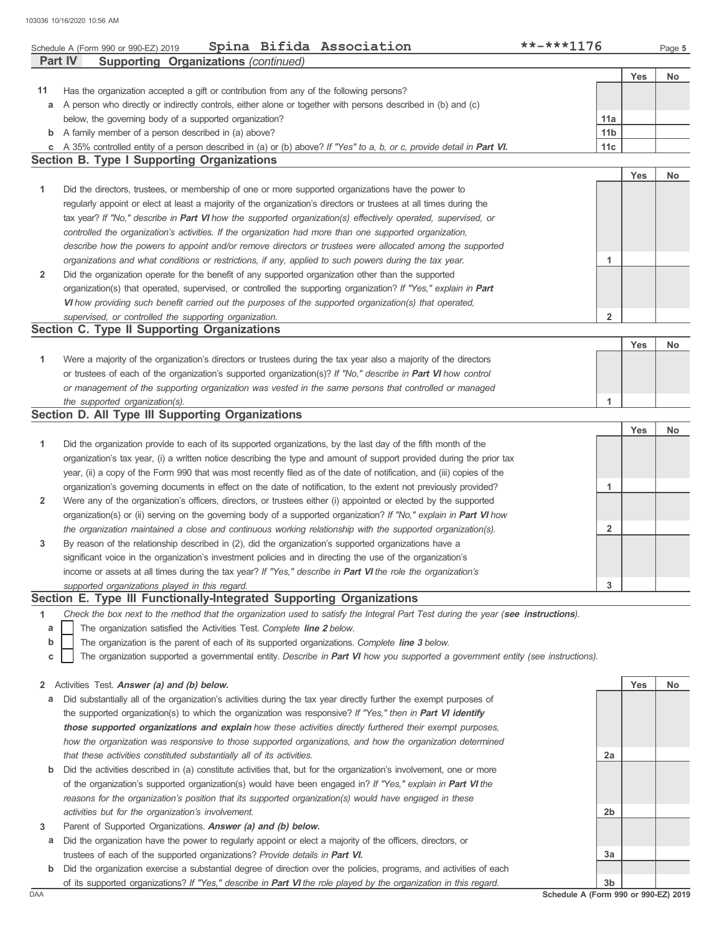|         | Spina Bifida Association<br>Schedule A (Form 990 or 990-EZ) 2019                                                                                                                                                                       | $***1176$                                              |     | Page 5    |
|---------|----------------------------------------------------------------------------------------------------------------------------------------------------------------------------------------------------------------------------------------|--------------------------------------------------------|-----|-----------|
| Part IV | <b>Supporting Organizations (continued)</b>                                                                                                                                                                                            |                                                        |     |           |
|         |                                                                                                                                                                                                                                        |                                                        | Yes | <b>No</b> |
| 11      | Has the organization accepted a gift or contribution from any of the following persons?                                                                                                                                                |                                                        |     |           |
| а       | A person who directly or indirectly controls, either alone or together with persons described in (b) and (c)                                                                                                                           |                                                        |     |           |
|         | below, the governing body of a supported organization?<br><b>b</b> A family member of a person described in (a) above?                                                                                                                 | 11a<br>11 <sub>b</sub>                                 |     |           |
| C       | A 35% controlled entity of a person described in (a) or (b) above? If "Yes" to a, b, or c, provide detail in Part VI.                                                                                                                  | 11c                                                    |     |           |
|         | <b>Section B. Type I Supporting Organizations</b>                                                                                                                                                                                      |                                                        |     |           |
|         |                                                                                                                                                                                                                                        |                                                        | Yes | No        |
| 1       | Did the directors, trustees, or membership of one or more supported organizations have the power to                                                                                                                                    |                                                        |     |           |
|         | regularly appoint or elect at least a majority of the organization's directors or trustees at all times during the                                                                                                                     |                                                        |     |           |
|         | tax year? If "No," describe in Part VI how the supported organization(s) effectively operated, supervised, or                                                                                                                          |                                                        |     |           |
|         | controlled the organization's activities. If the organization had more than one supported organization,                                                                                                                                |                                                        |     |           |
|         | describe how the powers to appoint and/or remove directors or trustees were allocated among the supported                                                                                                                              |                                                        |     |           |
|         | organizations and what conditions or restrictions, if any, applied to such powers during the tax year.                                                                                                                                 | 1                                                      |     |           |
| 2       | Did the organization operate for the benefit of any supported organization other than the supported                                                                                                                                    |                                                        |     |           |
|         | organization(s) that operated, supervised, or controlled the supporting organization? If "Yes," explain in Part                                                                                                                        |                                                        |     |           |
|         | VI how providing such benefit carried out the purposes of the supported organization(s) that operated,<br>supervised, or controlled the supporting organization.                                                                       | $\overline{2}$                                         |     |           |
|         | <b>Section C. Type II Supporting Organizations</b>                                                                                                                                                                                     |                                                        |     |           |
|         |                                                                                                                                                                                                                                        |                                                        | Yes | No        |
| 1       | Were a majority of the organization's directors or trustees during the tax year also a majority of the directors                                                                                                                       |                                                        |     |           |
|         | or trustees of each of the organization's supported organization(s)? If "No," describe in Part VI how control                                                                                                                          |                                                        |     |           |
|         | or management of the supporting organization was vested in the same persons that controlled or managed                                                                                                                                 |                                                        |     |           |
|         | the supported organization(s).                                                                                                                                                                                                         | $\mathbf{1}$                                           |     |           |
|         | Section D. All Type III Supporting Organizations                                                                                                                                                                                       |                                                        |     |           |
|         |                                                                                                                                                                                                                                        |                                                        | Yes | No        |
| 1       | Did the organization provide to each of its supported organizations, by the last day of the fifth month of the                                                                                                                         |                                                        |     |           |
|         | organization's tax year, (i) a written notice describing the type and amount of support provided during the prior tax                                                                                                                  |                                                        |     |           |
|         | year, (ii) a copy of the Form 990 that was most recently filed as of the date of notification, and (iii) copies of the                                                                                                                 |                                                        |     |           |
|         | organization's governing documents in effect on the date of notification, to the extent not previously provided?                                                                                                                       | 1                                                      |     |           |
| 2       | Were any of the organization's officers, directors, or trustees either (i) appointed or elected by the supported<br>organization(s) or (ii) serving on the governing body of a supported organization? If "No," explain in Part VI how |                                                        |     |           |
|         | the organization maintained a close and continuous working relationship with the supported organization(s).                                                                                                                            | $\overline{2}$                                         |     |           |
| 3       | By reason of the relationship described in (2), did the organization's supported organizations have a                                                                                                                                  |                                                        |     |           |
|         | significant voice in the organization's investment policies and in directing the use of the organization's                                                                                                                             |                                                        |     |           |
|         | income or assets at all times during the tax year? If "Yes," describe in Part VI the role the organization's                                                                                                                           |                                                        |     |           |
|         | supported organizations played in this regard.                                                                                                                                                                                         | 3                                                      |     |           |
|         | Section E. Type III Functionally-Integrated Supporting Organizations                                                                                                                                                                   |                                                        |     |           |
| 1       | Check the box next to the method that the organization used to satisfy the Integral Part Test during the year (see instructions).                                                                                                      |                                                        |     |           |
| a       | The organization satisfied the Activities Test. Complete line 2 below.                                                                                                                                                                 |                                                        |     |           |
| b       | The organization is the parent of each of its supported organizations. Complete line 3 below.                                                                                                                                          |                                                        |     |           |
| C       | The organization supported a governmental entity. Describe in Part VI how you supported a government entity (see instructions).                                                                                                        |                                                        |     |           |
|         | Activities Test. Answer (a) and (b) below.                                                                                                                                                                                             |                                                        | Yes | No        |
| 2       | Did substantially all of the organization's activities during the tax year directly further the exempt purposes of                                                                                                                     |                                                        |     |           |
| а       | the supported organization(s) to which the organization was responsive? If "Yes," then in Part VI identify                                                                                                                             |                                                        |     |           |
|         | those supported organizations and explain how these activities directly furthered their exempt purposes,                                                                                                                               |                                                        |     |           |
|         | how the organization was responsive to those supported organizations, and how the organization determined                                                                                                                              |                                                        |     |           |
|         | that these activities constituted substantially all of its activities.                                                                                                                                                                 | 2a                                                     |     |           |
| b       | Did the activities described in (a) constitute activities that, but for the organization's involvement, one or more                                                                                                                    |                                                        |     |           |
|         | of the organization's supported organization(s) would have been engaged in? If "Yes," explain in Part VI the                                                                                                                           |                                                        |     |           |
|         | reasons for the organization's position that its supported organization(s) would have engaged in these                                                                                                                                 |                                                        |     |           |
|         | activities but for the organization's involvement.                                                                                                                                                                                     | 2b                                                     |     |           |
| 3       | Parent of Supported Organizations. Answer (a) and (b) below.                                                                                                                                                                           |                                                        |     |           |
| а       | Did the organization have the power to regularly appoint or elect a majority of the officers, directors, or                                                                                                                            |                                                        |     |           |
|         | trustees of each of the supported organizations? Provide details in Part VI.                                                                                                                                                           | За                                                     |     |           |
| b       | Did the organization exercise a substantial degree of direction over the policies, programs, and activities of each                                                                                                                    |                                                        |     |           |
| DAA     | of its supported organizations? If "Yes," describe in Part VI the role played by the organization in this regard.                                                                                                                      | 3 <sub>b</sub><br>Schedule A (Form 990 or 990-EZ) 2019 |     |           |
|         |                                                                                                                                                                                                                                        |                                                        |     |           |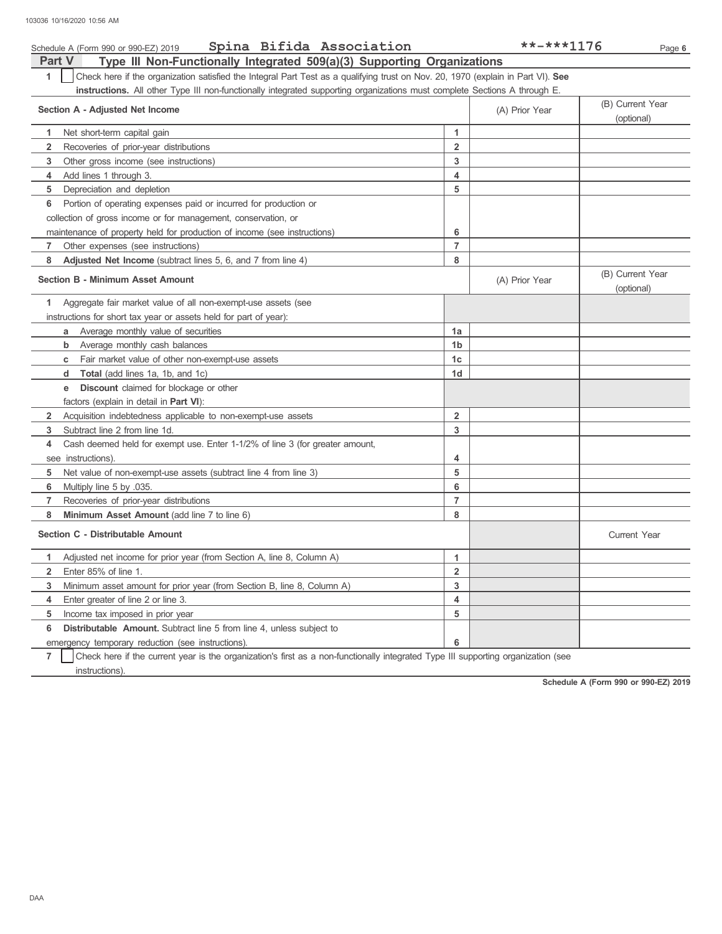|                | Spina Bifida Association<br>Schedule A (Form 990 or 990-EZ) 2019                                                                 |                | $***+*1176$    | Page 6                         |
|----------------|----------------------------------------------------------------------------------------------------------------------------------|----------------|----------------|--------------------------------|
| <b>Part V</b>  | Type III Non-Functionally Integrated 509(a)(3) Supporting Organizations                                                          |                |                |                                |
| $\mathbf{1}$   | Check here if the organization satisfied the Integral Part Test as a qualifying trust on Nov. 20, 1970 (explain in Part VI). See |                |                |                                |
|                | instructions. All other Type III non-functionally integrated supporting organizations must complete Sections A through E.        |                |                |                                |
|                | Section A - Adjusted Net Income                                                                                                  |                | (A) Prior Year | (B) Current Year               |
|                |                                                                                                                                  |                |                | (optional)                     |
| 1.             | Net short-term capital gain                                                                                                      | $\mathbf{1}$   |                |                                |
| $\overline{2}$ | Recoveries of prior-year distributions                                                                                           | $\overline{2}$ |                |                                |
| 3              | Other gross income (see instructions)                                                                                            | $\mathbf 3$    |                |                                |
| 4              | Add lines 1 through 3.                                                                                                           | 4              |                |                                |
| 5              | Depreciation and depletion                                                                                                       | 5              |                |                                |
| 6              | Portion of operating expenses paid or incurred for production or                                                                 |                |                |                                |
|                | collection of gross income or for management, conservation, or                                                                   |                |                |                                |
|                | maintenance of property held for production of income (see instructions)                                                         | 6              |                |                                |
| $\overline{7}$ | Other expenses (see instructions)                                                                                                | $\overline{7}$ |                |                                |
| 8              | <b>Adjusted Net Income</b> (subtract lines 5, 6, and 7 from line 4)                                                              | 8              |                |                                |
|                | <b>Section B - Minimum Asset Amount</b>                                                                                          |                | (A) Prior Year | (B) Current Year<br>(optional) |
| 1              | Aggregate fair market value of all non-exempt-use assets (see                                                                    |                |                |                                |
|                | instructions for short tax year or assets held for part of year):                                                                |                |                |                                |
|                | <b>a</b> Average monthly value of securities                                                                                     | 1a             |                |                                |
|                | Average monthly cash balances<br>b                                                                                               | 1 <sub>b</sub> |                |                                |
|                | Fair market value of other non-exempt-use assets<br>C                                                                            | 1c             |                |                                |
|                | <b>Total</b> (add lines 1a, 1b, and 1c)<br>d                                                                                     | 1d             |                |                                |
|                | <b>Discount</b> claimed for blockage or other<br>е                                                                               |                |                |                                |
|                | factors (explain in detail in <b>Part VI</b> ):                                                                                  |                |                |                                |
| $\mathbf{2}$   | Acquisition indebtedness applicable to non-exempt-use assets                                                                     | $\overline{2}$ |                |                                |
| 3              | Subtract line 2 from line 1d.                                                                                                    | 3              |                |                                |
| 4              | Cash deemed held for exempt use. Enter 1-1/2% of line 3 (for greater amount,                                                     |                |                |                                |
|                | see instructions).                                                                                                               | 4              |                |                                |
| 5              | Net value of non-exempt-use assets (subtract line 4 from line 3)                                                                 | 5              |                |                                |
| 6              | Multiply line 5 by .035.                                                                                                         | 6              |                |                                |
| $\overline{7}$ | Recoveries of prior-year distributions                                                                                           | $\overline{7}$ |                |                                |
| 8              | Minimum Asset Amount (add line 7 to line 6)                                                                                      | 8              |                |                                |
|                | Section C - Distributable Amount                                                                                                 |                |                | <b>Current Year</b>            |
| 1.             | Adjusted net income for prior year (from Section A, line 8, Column A)                                                            | 1              |                |                                |
| $\overline{2}$ | Enter 85% of line 1.                                                                                                             | $\overline{2}$ |                |                                |
| 3              | Minimum asset amount for prior year (from Section B, line 8, Column A)                                                           | 3              |                |                                |
| 4              | Enter greater of line 2 or line 3.                                                                                               | 4              |                |                                |
| 5              | Income tax imposed in prior year                                                                                                 | 5              |                |                                |
| 6              | <b>Distributable Amount.</b> Subtract line 5 from line 4, unless subject to                                                      |                |                |                                |
|                | emergency temporary reduction (see instructions).                                                                                | 6              |                |                                |

**7** instructions). Check here if the current year is the organization's first as a non-functionally integrated Type III supporting organization (see

**Schedule A (Form 990 or 990-EZ) 2019**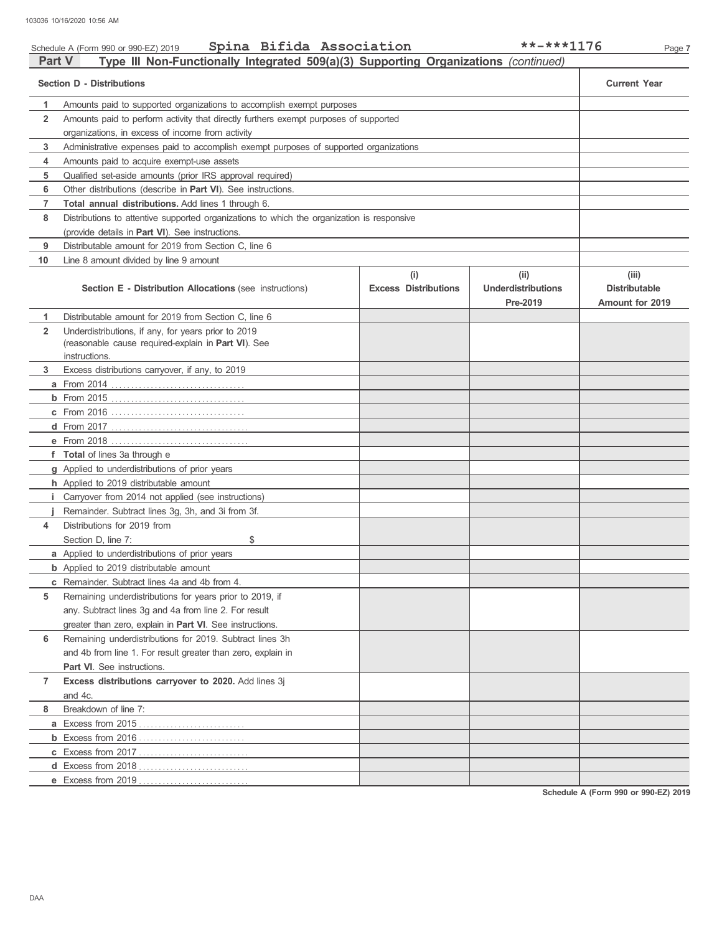| <b>Part V</b>       | Spina Bifida Association<br>Schedule A (Form 990 or 990-EZ) 2019<br>Type III Non-Functionally Integrated 509(a)(3) Supporting Organizations (continued)       |                                    | **-***1176                        | Page 7                        |
|---------------------|---------------------------------------------------------------------------------------------------------------------------------------------------------------|------------------------------------|-----------------------------------|-------------------------------|
|                     | <b>Section D - Distributions</b>                                                                                                                              |                                    |                                   | <b>Current Year</b>           |
| 1                   |                                                                                                                                                               |                                    |                                   |                               |
| $\overline{2}$      | Amounts paid to supported organizations to accomplish exempt purposes<br>Amounts paid to perform activity that directly furthers exempt purposes of supported |                                    |                                   |                               |
|                     | organizations, in excess of income from activity                                                                                                              |                                    |                                   |                               |
| 3                   | Administrative expenses paid to accomplish exempt purposes of supported organizations                                                                         |                                    |                                   |                               |
| 4                   | Amounts paid to acquire exempt-use assets                                                                                                                     |                                    |                                   |                               |
| 5                   | Qualified set-aside amounts (prior IRS approval required)                                                                                                     |                                    |                                   |                               |
| 6                   | Other distributions (describe in Part VI). See instructions.                                                                                                  |                                    |                                   |                               |
| $\overline{7}$      | Total annual distributions. Add lines 1 through 6.                                                                                                            |                                    |                                   |                               |
| 8                   | Distributions to attentive supported organizations to which the organization is responsive                                                                    |                                    |                                   |                               |
|                     | (provide details in Part VI). See instructions.                                                                                                               |                                    |                                   |                               |
| 9                   | Distributable amount for 2019 from Section C. line 6                                                                                                          |                                    |                                   |                               |
| 10                  | Line 8 amount divided by line 9 amount                                                                                                                        |                                    |                                   |                               |
|                     |                                                                                                                                                               |                                    |                                   |                               |
|                     |                                                                                                                                                               | (i)<br><b>Excess Distributions</b> | (ii)<br><b>Underdistributions</b> | (iii)<br><b>Distributable</b> |
|                     | Section E - Distribution Allocations (see instructions)                                                                                                       |                                    | Pre-2019                          | Amount for 2019               |
|                     | Distributable amount for 2019 from Section C. line 6                                                                                                          |                                    |                                   |                               |
| 1<br>$\overline{2}$ |                                                                                                                                                               |                                    |                                   |                               |
|                     | Underdistributions, if any, for years prior to 2019<br>(reasonable cause required-explain in Part VI). See                                                    |                                    |                                   |                               |
|                     | instructions.                                                                                                                                                 |                                    |                                   |                               |
| 3                   | Excess distributions carryover, if any, to 2019                                                                                                               |                                    |                                   |                               |
|                     |                                                                                                                                                               |                                    |                                   |                               |
|                     |                                                                                                                                                               |                                    |                                   |                               |
|                     |                                                                                                                                                               |                                    |                                   |                               |
|                     |                                                                                                                                                               |                                    |                                   |                               |
|                     |                                                                                                                                                               |                                    |                                   |                               |
|                     | f Total of lines 3a through e                                                                                                                                 |                                    |                                   |                               |
|                     | g Applied to underdistributions of prior years                                                                                                                |                                    |                                   |                               |
|                     | h Applied to 2019 distributable amount                                                                                                                        |                                    |                                   |                               |
|                     | Carryover from 2014 not applied (see instructions)                                                                                                            |                                    |                                   |                               |
|                     | Remainder. Subtract lines 3g, 3h, and 3i from 3f.                                                                                                             |                                    |                                   |                               |
| 4                   | Distributions for 2019 from                                                                                                                                   |                                    |                                   |                               |
|                     | Section D, line 7:<br>\$                                                                                                                                      |                                    |                                   |                               |
|                     | a Applied to underdistributions of prior years                                                                                                                |                                    |                                   |                               |
|                     | <b>b</b> Applied to 2019 distributable amount                                                                                                                 |                                    |                                   |                               |
|                     | <b>c</b> Remainder. Subtract lines 4a and 4b from 4.                                                                                                          |                                    |                                   |                               |
| 5                   | Remaining underdistributions for years prior to 2019, if                                                                                                      |                                    |                                   |                               |
|                     | any. Subtract lines 3g and 4a from line 2. For result                                                                                                         |                                    |                                   |                               |
|                     | greater than zero, explain in Part VI. See instructions.                                                                                                      |                                    |                                   |                               |
|                     |                                                                                                                                                               |                                    |                                   |                               |
| 6                   | Remaining underdistributions for 2019. Subtract lines 3h                                                                                                      |                                    |                                   |                               |
|                     | and 4b from line 1. For result greater than zero, explain in                                                                                                  |                                    |                                   |                               |
|                     | <b>Part VI.</b> See instructions.                                                                                                                             |                                    |                                   |                               |
| 7                   | Excess distributions carryover to 2020. Add lines 3j                                                                                                          |                                    |                                   |                               |
|                     | and 4c.                                                                                                                                                       |                                    |                                   |                               |
| 8                   | Breakdown of line 7:                                                                                                                                          |                                    |                                   |                               |
|                     |                                                                                                                                                               |                                    |                                   |                               |
|                     |                                                                                                                                                               |                                    |                                   |                               |
|                     |                                                                                                                                                               |                                    |                                   |                               |
|                     | d Excess from 2018                                                                                                                                            |                                    |                                   |                               |

**Schedule A (Form 990 or 990-EZ) 2019**

**e** Excess from 2019 . . . . . . . . . . . . . . . . . . . . . . . . . . . .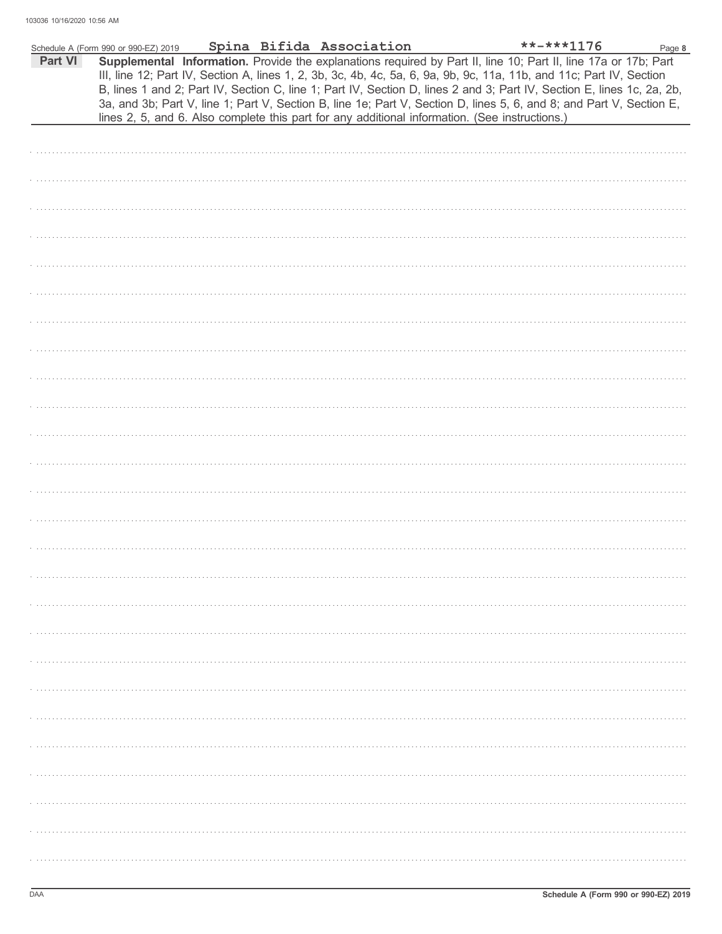|         | Schedule A (Form 990 or 990-EZ) 2019 |  | Spina Bifida Association |                                                                                                                                                                                                                                                                                                                                                                                                                                                                                                                                                                                             | $***1176$ | Page 8 |
|---------|--------------------------------------|--|--------------------------|---------------------------------------------------------------------------------------------------------------------------------------------------------------------------------------------------------------------------------------------------------------------------------------------------------------------------------------------------------------------------------------------------------------------------------------------------------------------------------------------------------------------------------------------------------------------------------------------|-----------|--------|
| Part VI |                                      |  |                          | Supplemental Information. Provide the explanations required by Part II, line 10; Part II, line 17a or 17b; Part<br>III, line 12; Part IV, Section A, lines 1, 2, 3b, 3c, 4b, 4c, 5a, 6, 9a, 9b, 9c, 11a, 11b, and 11c; Part IV, Section<br>B, lines 1 and 2; Part IV, Section C, line 1; Part IV, Section D, lines 2 and 3; Part IV, Section E, lines 1c, 2a, 2b,<br>3a, and 3b; Part V, line 1; Part V, Section B, line 1e; Part V, Section D, lines 5, 6, and 8; and Part V, Section E,<br>lines 2, 5, and 6. Also complete this part for any additional information. (See instructions.) |           |        |
|         |                                      |  |                          |                                                                                                                                                                                                                                                                                                                                                                                                                                                                                                                                                                                             |           |        |
|         |                                      |  |                          |                                                                                                                                                                                                                                                                                                                                                                                                                                                                                                                                                                                             |           |        |
|         |                                      |  |                          |                                                                                                                                                                                                                                                                                                                                                                                                                                                                                                                                                                                             |           |        |
|         |                                      |  |                          |                                                                                                                                                                                                                                                                                                                                                                                                                                                                                                                                                                                             |           |        |
|         |                                      |  |                          |                                                                                                                                                                                                                                                                                                                                                                                                                                                                                                                                                                                             |           |        |
|         |                                      |  |                          |                                                                                                                                                                                                                                                                                                                                                                                                                                                                                                                                                                                             |           |        |
|         |                                      |  |                          |                                                                                                                                                                                                                                                                                                                                                                                                                                                                                                                                                                                             |           |        |
|         |                                      |  |                          |                                                                                                                                                                                                                                                                                                                                                                                                                                                                                                                                                                                             |           |        |
|         |                                      |  |                          |                                                                                                                                                                                                                                                                                                                                                                                                                                                                                                                                                                                             |           |        |
|         |                                      |  |                          |                                                                                                                                                                                                                                                                                                                                                                                                                                                                                                                                                                                             |           |        |
|         |                                      |  |                          |                                                                                                                                                                                                                                                                                                                                                                                                                                                                                                                                                                                             |           |        |
|         |                                      |  |                          |                                                                                                                                                                                                                                                                                                                                                                                                                                                                                                                                                                                             |           |        |
|         |                                      |  |                          |                                                                                                                                                                                                                                                                                                                                                                                                                                                                                                                                                                                             |           |        |
|         |                                      |  |                          |                                                                                                                                                                                                                                                                                                                                                                                                                                                                                                                                                                                             |           |        |
|         |                                      |  |                          |                                                                                                                                                                                                                                                                                                                                                                                                                                                                                                                                                                                             |           |        |
|         |                                      |  |                          |                                                                                                                                                                                                                                                                                                                                                                                                                                                                                                                                                                                             |           |        |
|         |                                      |  |                          |                                                                                                                                                                                                                                                                                                                                                                                                                                                                                                                                                                                             |           |        |
|         |                                      |  |                          |                                                                                                                                                                                                                                                                                                                                                                                                                                                                                                                                                                                             |           |        |
|         |                                      |  |                          |                                                                                                                                                                                                                                                                                                                                                                                                                                                                                                                                                                                             |           |        |
|         |                                      |  |                          |                                                                                                                                                                                                                                                                                                                                                                                                                                                                                                                                                                                             |           |        |
|         |                                      |  |                          |                                                                                                                                                                                                                                                                                                                                                                                                                                                                                                                                                                                             |           |        |
|         |                                      |  |                          |                                                                                                                                                                                                                                                                                                                                                                                                                                                                                                                                                                                             |           |        |
|         |                                      |  |                          |                                                                                                                                                                                                                                                                                                                                                                                                                                                                                                                                                                                             |           |        |
|         |                                      |  |                          |                                                                                                                                                                                                                                                                                                                                                                                                                                                                                                                                                                                             |           |        |
|         |                                      |  |                          |                                                                                                                                                                                                                                                                                                                                                                                                                                                                                                                                                                                             |           |        |
|         |                                      |  |                          |                                                                                                                                                                                                                                                                                                                                                                                                                                                                                                                                                                                             |           |        |
|         |                                      |  |                          |                                                                                                                                                                                                                                                                                                                                                                                                                                                                                                                                                                                             |           |        |
|         |                                      |  |                          |                                                                                                                                                                                                                                                                                                                                                                                                                                                                                                                                                                                             |           |        |
|         |                                      |  |                          |                                                                                                                                                                                                                                                                                                                                                                                                                                                                                                                                                                                             |           |        |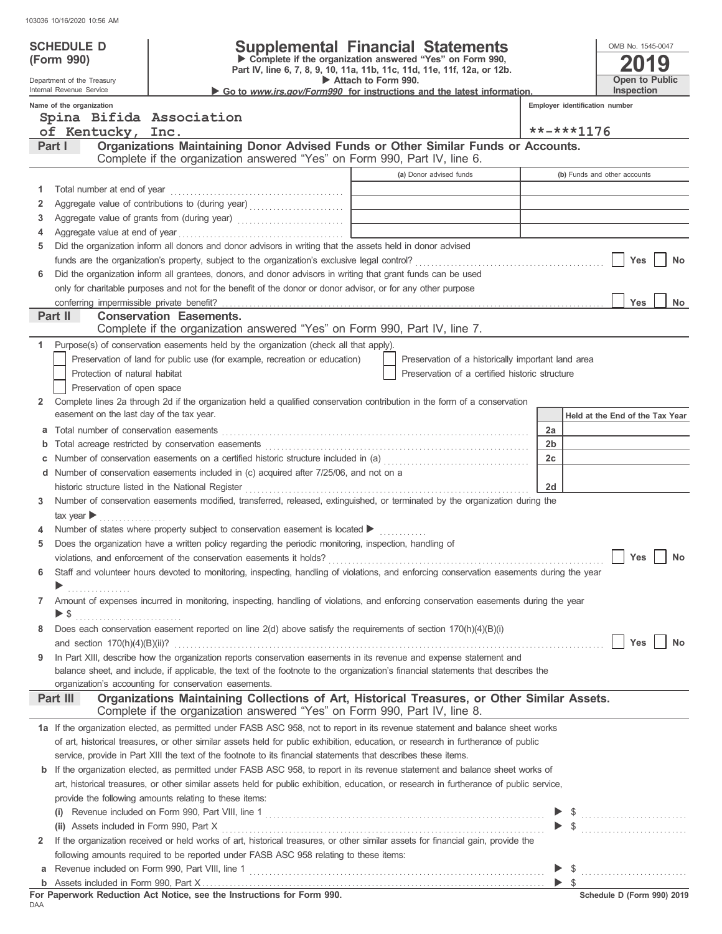|                | <b>SCHEDULE D</b>                                                                                          |                                                                                                                                                                           |  |                     |                                                                                               |  |                |                                 | OMB No. 1545-0047 |    |
|----------------|------------------------------------------------------------------------------------------------------------|---------------------------------------------------------------------------------------------------------------------------------------------------------------------------|--|---------------------|-----------------------------------------------------------------------------------------------|--|----------------|---------------------------------|-------------------|----|
|                | (Form 990)                                                                                                 |                                                                                                                                                                           |  |                     | Supplemental Financial Statements<br>Complete if the organization answered "Yes" on Form 990, |  |                |                                 |                   |    |
|                | Department of the Treasury                                                                                 |                                                                                                                                                                           |  | Attach to Form 990. | Part IV, line 6, 7, 8, 9, 10, 11a, 11b, 11c, 11d, 11e, 11f, 12a, or 12b.                      |  |                |                                 | Open to Public    |    |
|                | Internal Revenue Service                                                                                   |                                                                                                                                                                           |  |                     | Go to www.irs.gov/Form990 for instructions and the latest information.                        |  |                |                                 | Inspection        |    |
|                | Name of the organization                                                                                   |                                                                                                                                                                           |  |                     |                                                                                               |  |                | Employer identification number  |                   |    |
|                |                                                                                                            | Spina Bifida Association                                                                                                                                                  |  |                     |                                                                                               |  |                |                                 |                   |    |
|                | of Kentucky, Inc.<br>Part I                                                                                | Organizations Maintaining Donor Advised Funds or Other Similar Funds or Accounts.                                                                                         |  |                     |                                                                                               |  |                | $***+*1176$                     |                   |    |
|                |                                                                                                            | Complete if the organization answered "Yes" on Form 990, Part IV, line 6.                                                                                                 |  |                     |                                                                                               |  |                |                                 |                   |    |
|                |                                                                                                            |                                                                                                                                                                           |  |                     | (a) Donor advised funds                                                                       |  |                | (b) Funds and other accounts    |                   |    |
| 1              |                                                                                                            |                                                                                                                                                                           |  |                     |                                                                                               |  |                |                                 |                   |    |
| 2              |                                                                                                            | Aggregate value of contributions to (during year)                                                                                                                         |  |                     | the control of the control of the control of the control of the control of                    |  |                |                                 |                   |    |
| 3              |                                                                                                            |                                                                                                                                                                           |  |                     |                                                                                               |  |                |                                 |                   |    |
| 4              |                                                                                                            |                                                                                                                                                                           |  |                     |                                                                                               |  |                |                                 |                   |    |
| 5              | Did the organization inform all donors and donor advisors in writing that the assets held in donor advised |                                                                                                                                                                           |  |                     |                                                                                               |  |                |                                 |                   |    |
|                |                                                                                                            |                                                                                                                                                                           |  |                     |                                                                                               |  |                |                                 | Yes               | No |
| 6              |                                                                                                            | Did the organization inform all grantees, donors, and donor advisors in writing that grant funds can be used                                                              |  |                     |                                                                                               |  |                |                                 |                   |    |
|                | conferring impermissible private benefit?                                                                  | only for charitable purposes and not for the benefit of the donor or donor advisor, or for any other purpose                                                              |  |                     |                                                                                               |  |                |                                 | <b>Yes</b>        | No |
|                | Part II                                                                                                    | <b>Conservation Easements.</b>                                                                                                                                            |  |                     |                                                                                               |  |                |                                 |                   |    |
|                |                                                                                                            | Complete if the organization answered "Yes" on Form 990, Part IV, line 7.                                                                                                 |  |                     |                                                                                               |  |                |                                 |                   |    |
| 1              |                                                                                                            | Purpose(s) of conservation easements held by the organization (check all that apply).                                                                                     |  |                     |                                                                                               |  |                |                                 |                   |    |
|                |                                                                                                            | Preservation of land for public use (for example, recreation or education)                                                                                                |  |                     | Preservation of a historically important land area                                            |  |                |                                 |                   |    |
|                | Protection of natural habitat                                                                              |                                                                                                                                                                           |  |                     | Preservation of a certified historic structure                                                |  |                |                                 |                   |    |
|                | Preservation of open space                                                                                 |                                                                                                                                                                           |  |                     |                                                                                               |  |                |                                 |                   |    |
| $\overline{2}$ |                                                                                                            | Complete lines 2a through 2d if the organization held a qualified conservation contribution in the form of a conservation                                                 |  |                     |                                                                                               |  |                |                                 |                   |    |
|                | easement on the last day of the tax year.                                                                  |                                                                                                                                                                           |  |                     |                                                                                               |  |                | Held at the End of the Tax Year |                   |    |
| а              |                                                                                                            |                                                                                                                                                                           |  |                     |                                                                                               |  | 2a             |                                 |                   |    |
|                |                                                                                                            |                                                                                                                                                                           |  |                     |                                                                                               |  | 2 <sub>b</sub> |                                 |                   |    |
|                |                                                                                                            | d Number of conservation easements included in (c) acquired after 7/25/06, and not on a                                                                                   |  |                     |                                                                                               |  | 2c             |                                 |                   |    |
|                |                                                                                                            | historic structure listed in the National Register                                                                                                                        |  |                     |                                                                                               |  | 2d             |                                 |                   |    |
| 3              |                                                                                                            | Number of conservation easements modified, transferred, released, extinguished, or terminated by the organization during the                                              |  |                     |                                                                                               |  |                |                                 |                   |    |
|                | $\mathsf{tax}$ year $\blacktriangleright$                                                                  |                                                                                                                                                                           |  |                     |                                                                                               |  |                |                                 |                   |    |
|                |                                                                                                            | Number of states where property subject to conservation easement is located >                                                                                             |  |                     |                                                                                               |  |                |                                 |                   |    |
| 5              |                                                                                                            | Does the organization have a written policy regarding the periodic monitoring, inspection, handling of                                                                    |  |                     |                                                                                               |  |                |                                 |                   |    |
|                |                                                                                                            |                                                                                                                                                                           |  |                     |                                                                                               |  |                |                                 | $\Box$ Yes        | No |
| 6              |                                                                                                            | Staff and volunteer hours devoted to monitoring, inspecting, handling of violations, and enforcing conservation easements during the year                                 |  |                     |                                                                                               |  |                |                                 |                   |    |
|                | .                                                                                                          |                                                                                                                                                                           |  |                     |                                                                                               |  |                |                                 |                   |    |
| 7              | $\blacktriangleright$ \$                                                                                   | Amount of expenses incurred in monitoring, inspecting, handling of violations, and enforcing conservation easements during the year                                       |  |                     |                                                                                               |  |                |                                 |                   |    |
| 8              |                                                                                                            | Does each conservation easement reported on line 2(d) above satisfy the requirements of section 170(h)(4)(B)(i)                                                           |  |                     |                                                                                               |  |                |                                 |                   |    |
|                |                                                                                                            |                                                                                                                                                                           |  |                     |                                                                                               |  |                |                                 | <b>Yes</b>        | No |
| 9              |                                                                                                            | In Part XIII, describe how the organization reports conservation easements in its revenue and expense statement and                                                       |  |                     |                                                                                               |  |                |                                 |                   |    |
|                |                                                                                                            | balance sheet, and include, if applicable, the text of the footnote to the organization's financial statements that describes the                                         |  |                     |                                                                                               |  |                |                                 |                   |    |
|                |                                                                                                            | organization's accounting for conservation easements.                                                                                                                     |  |                     |                                                                                               |  |                |                                 |                   |    |
|                | Part III                                                                                                   | Organizations Maintaining Collections of Art, Historical Treasures, or Other Similar Assets.<br>Complete if the organization answered "Yes" on Form 990, Part IV, line 8. |  |                     |                                                                                               |  |                |                                 |                   |    |
|                |                                                                                                            | 1a If the organization elected, as permitted under FASB ASC 958, not to report in its revenue statement and balance sheet works                                           |  |                     |                                                                                               |  |                |                                 |                   |    |
|                |                                                                                                            | of art, historical treasures, or other similar assets held for public exhibition, education, or research in furtherance of public                                         |  |                     |                                                                                               |  |                |                                 |                   |    |
|                |                                                                                                            | service, provide in Part XIII the text of the footnote to its financial statements that describes these items.                                                            |  |                     |                                                                                               |  |                |                                 |                   |    |
|                |                                                                                                            | <b>b</b> If the organization elected, as permitted under FASB ASC 958, to report in its revenue statement and balance sheet works of                                      |  |                     |                                                                                               |  |                |                                 |                   |    |
|                |                                                                                                            | art, historical treasures, or other similar assets held for public exhibition, education, or research in furtherance of public service,                                   |  |                     |                                                                                               |  |                |                                 |                   |    |
|                |                                                                                                            | provide the following amounts relating to these items:                                                                                                                    |  |                     |                                                                                               |  |                |                                 |                   |    |
|                |                                                                                                            |                                                                                                                                                                           |  |                     |                                                                                               |  |                |                                 |                   |    |
| 2              |                                                                                                            | If the organization received or held works of art, historical treasures, or other similar assets for financial gain, provide the                                          |  |                     |                                                                                               |  |                | $\blacktriangleright$ \$        |                   |    |
|                |                                                                                                            | following amounts required to be reported under FASB ASC 958 relating to these items:                                                                                     |  |                     |                                                                                               |  |                |                                 |                   |    |
| а              |                                                                                                            |                                                                                                                                                                           |  |                     |                                                                                               |  |                | $\triangleright$ \$             |                   |    |
|                |                                                                                                            |                                                                                                                                                                           |  |                     |                                                                                               |  |                |                                 |                   |    |
|                |                                                                                                            |                                                                                                                                                                           |  |                     |                                                                                               |  |                |                                 |                   |    |

| For Paperwork Reduction Act Notice, see the Instructions for Form 990. |  |  |  |
|------------------------------------------------------------------------|--|--|--|
| DAA                                                                    |  |  |  |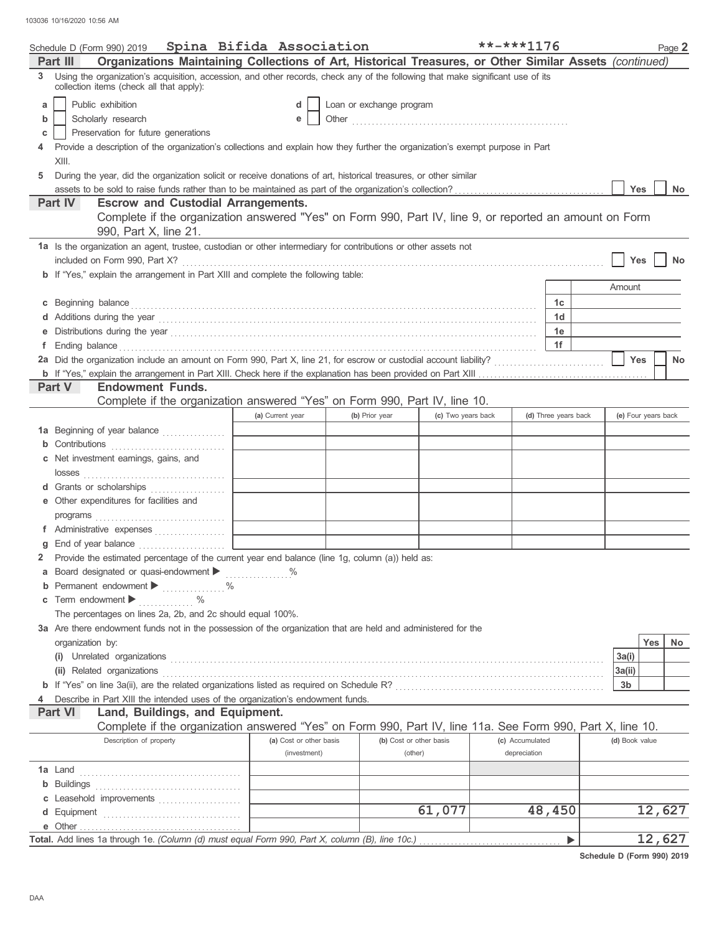| Schedule D (Form 990) 2019                                                                                                                                                                                                          | Spina Bifida Association                                                                                                       |                          |                    | $***+*1176$     |                      |                | Page 2              |  |
|-------------------------------------------------------------------------------------------------------------------------------------------------------------------------------------------------------------------------------------|--------------------------------------------------------------------------------------------------------------------------------|--------------------------|--------------------|-----------------|----------------------|----------------|---------------------|--|
| Organizations Maintaining Collections of Art, Historical Treasures, or Other Similar Assets (continued)<br>Part III                                                                                                                 |                                                                                                                                |                          |                    |                 |                      |                |                     |  |
| Using the organization's acquisition, accession, and other records, check any of the following that make significant use of its<br>3<br>collection items (check all that apply):                                                    |                                                                                                                                |                          |                    |                 |                      |                |                     |  |
| Public exhibition<br>a                                                                                                                                                                                                              | d                                                                                                                              | Loan or exchange program |                    |                 |                      |                |                     |  |
| Scholarly research<br>b                                                                                                                                                                                                             | e                                                                                                                              |                          |                    |                 |                      |                |                     |  |
| Preservation for future generations<br>с                                                                                                                                                                                            |                                                                                                                                |                          |                    |                 |                      |                |                     |  |
| 4                                                                                                                                                                                                                                   | Provide a description of the organization's collections and explain how they further the organization's exempt purpose in Part |                          |                    |                 |                      |                |                     |  |
| XIII.                                                                                                                                                                                                                               |                                                                                                                                |                          |                    |                 |                      |                |                     |  |
| During the year, did the organization solicit or receive donations of art, historical treasures, or other similar<br>5                                                                                                              |                                                                                                                                |                          |                    |                 |                      |                |                     |  |
|                                                                                                                                                                                                                                     |                                                                                                                                |                          |                    |                 |                      | Yes            | No                  |  |
| Part IV<br><b>Escrow and Custodial Arrangements.</b>                                                                                                                                                                                |                                                                                                                                |                          |                    |                 |                      |                |                     |  |
| Complete if the organization answered "Yes" on Form 990, Part IV, line 9, or reported an amount on Form<br>990, Part X, line 21.                                                                                                    |                                                                                                                                |                          |                    |                 |                      |                |                     |  |
| 1a Is the organization an agent, trustee, custodian or other intermediary for contributions or other assets not                                                                                                                     |                                                                                                                                |                          |                    |                 |                      |                |                     |  |
| included on Form 990, Part X?                                                                                                                                                                                                       |                                                                                                                                |                          |                    |                 |                      | Yes            | No                  |  |
| <b>b</b> If "Yes," explain the arrangement in Part XIII and complete the following table:                                                                                                                                           |                                                                                                                                |                          |                    |                 |                      |                |                     |  |
|                                                                                                                                                                                                                                     |                                                                                                                                |                          |                    |                 |                      | Amount         |                     |  |
| Beginning balance expression and the contract of the contract of the contract of the contract of the contract of the contract of the contract of the contract of the contract of the contract of the contract of the contract<br>С  |                                                                                                                                |                          |                    |                 | 1c                   |                |                     |  |
| Additions during the year manufactured and contact the year manufactured with the year manufactured with the year                                                                                                                   |                                                                                                                                |                          |                    |                 | 1d                   |                |                     |  |
|                                                                                                                                                                                                                                     |                                                                                                                                |                          |                    |                 | 1e                   |                |                     |  |
| f                                                                                                                                                                                                                                   |                                                                                                                                |                          |                    |                 | 1f                   |                |                     |  |
|                                                                                                                                                                                                                                     |                                                                                                                                |                          |                    |                 |                      | <b>Yes</b>     | <b>No</b>           |  |
|                                                                                                                                                                                                                                     |                                                                                                                                |                          |                    |                 |                      |                |                     |  |
| <b>Endowment Funds.</b><br><b>Part V</b>                                                                                                                                                                                            |                                                                                                                                |                          |                    |                 |                      |                |                     |  |
| Complete if the organization answered "Yes" on Form 990, Part IV, line 10.                                                                                                                                                          |                                                                                                                                |                          |                    |                 |                      |                |                     |  |
|                                                                                                                                                                                                                                     | (a) Current year                                                                                                               | (b) Prior year           | (c) Two years back |                 | (d) Three years back |                | (e) Four years back |  |
| 1a Beginning of year balance                                                                                                                                                                                                        | the control of the control of the control of                                                                                   |                          |                    |                 |                      |                |                     |  |
| b                                                                                                                                                                                                                                   |                                                                                                                                |                          |                    |                 |                      |                |                     |  |
| Net investment earnings, gains, and<br>c                                                                                                                                                                                            |                                                                                                                                |                          |                    |                 |                      |                |                     |  |
| d Grants or scholarships                                                                                                                                                                                                            |                                                                                                                                |                          |                    |                 |                      |                |                     |  |
| Other expenditures for facilities and<br>е                                                                                                                                                                                          |                                                                                                                                |                          |                    |                 |                      |                |                     |  |
|                                                                                                                                                                                                                                     |                                                                                                                                |                          |                    |                 |                      |                |                     |  |
| f Administrative expenses                                                                                                                                                                                                           |                                                                                                                                |                          |                    |                 |                      |                |                     |  |
| q                                                                                                                                                                                                                                   |                                                                                                                                |                          |                    |                 |                      |                |                     |  |
| Provide the estimated percentage of the current year end balance (line 1g, column (a)) held as:<br>2                                                                                                                                |                                                                                                                                |                          |                    |                 |                      |                |                     |  |
| Board designated or quasi-endowment<br>a                                                                                                                                                                                            | $\%$                                                                                                                           |                          |                    |                 |                      |                |                     |  |
| Permanent endowment                                                                                                                                                                                                                 |                                                                                                                                |                          |                    |                 |                      |                |                     |  |
| Term endowment $\blacktriangleright$<br>$\%$<br>c                                                                                                                                                                                   |                                                                                                                                |                          |                    |                 |                      |                |                     |  |
| The percentages on lines 2a, 2b, and 2c should equal 100%.                                                                                                                                                                          |                                                                                                                                |                          |                    |                 |                      |                |                     |  |
| 3a Are there endowment funds not in the possession of the organization that are held and administered for the                                                                                                                       |                                                                                                                                |                          |                    |                 |                      |                |                     |  |
| organization by:                                                                                                                                                                                                                    |                                                                                                                                |                          |                    |                 |                      |                | <b>Yes</b><br>No    |  |
| (i) Unrelated organizations <b>contracts</b> and contracts are contracted as the contract of the contract of the contract or contract or contract or contract or contract or contract or contract or contract or contract or contra |                                                                                                                                |                          |                    |                 |                      | 3a(i)          |                     |  |
| (ii) Related organizations                                                                                                                                                                                                          |                                                                                                                                |                          |                    |                 |                      | 3a(ii)         |                     |  |
|                                                                                                                                                                                                                                     |                                                                                                                                |                          |                    |                 |                      | 3b             |                     |  |
| Describe in Part XIII the intended uses of the organization's endowment funds.                                                                                                                                                      |                                                                                                                                |                          |                    |                 |                      |                |                     |  |
| <b>Part VI</b><br>Land, Buildings, and Equipment.                                                                                                                                                                                   |                                                                                                                                |                          |                    |                 |                      |                |                     |  |
| Complete if the organization answered "Yes" on Form 990, Part IV, line 11a. See Form 990, Part X, line 10.<br>Description of property                                                                                               | (a) Cost or other basis                                                                                                        | (b) Cost or other basis  |                    | (c) Accumulated |                      | (d) Book value |                     |  |
|                                                                                                                                                                                                                                     | (investment)                                                                                                                   | (other)                  |                    | depreciation    |                      |                |                     |  |
|                                                                                                                                                                                                                                     |                                                                                                                                |                          |                    |                 |                      |                |                     |  |
|                                                                                                                                                                                                                                     |                                                                                                                                |                          |                    |                 |                      |                |                     |  |
| Leasehold improvements<br>c                                                                                                                                                                                                         |                                                                                                                                |                          |                    |                 |                      |                |                     |  |
| d                                                                                                                                                                                                                                   |                                                                                                                                |                          | 61,077             | 48,450          |                      |                | 12,627              |  |
|                                                                                                                                                                                                                                     |                                                                                                                                |                          |                    |                 |                      |                |                     |  |
| Total. Add lines 1a through 1e. (Column (d) must equal Form 990, Part X, column (B), line 10c.)                                                                                                                                     |                                                                                                                                |                          |                    |                 | ▶                    |                | 12,627              |  |

**Schedule D (Form 990) 2019**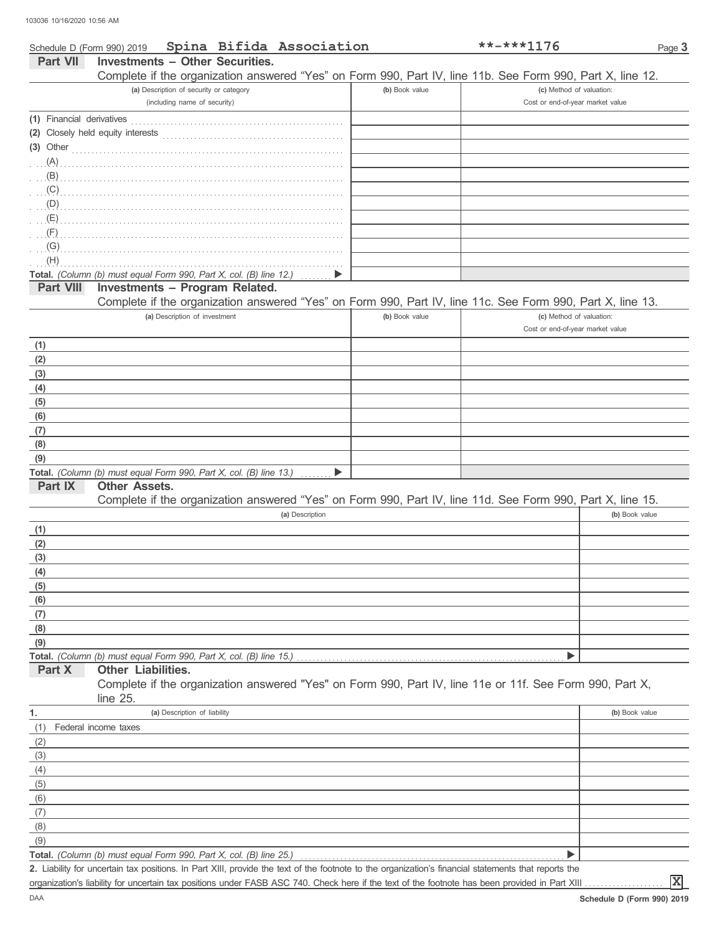| Schedule D (Form 990) 2019 |                                                                                                                                                                                                                                                                                                                                    | Spina Bifida Association |                | $***+*1176$                                                                                                | Page 3         |
|----------------------------|------------------------------------------------------------------------------------------------------------------------------------------------------------------------------------------------------------------------------------------------------------------------------------------------------------------------------------|--------------------------|----------------|------------------------------------------------------------------------------------------------------------|----------------|
| <b>Part VII</b>            | <b>Investments - Other Securities.</b>                                                                                                                                                                                                                                                                                             |                          |                |                                                                                                            |                |
|                            |                                                                                                                                                                                                                                                                                                                                    |                          |                | Complete if the organization answered "Yes" on Form 990, Part IV, line 11b. See Form 990, Part X, line 12. |                |
|                            | (a) Description of security or category                                                                                                                                                                                                                                                                                            |                          | (b) Book value | (c) Method of valuation:                                                                                   |                |
|                            | (including name of security)                                                                                                                                                                                                                                                                                                       |                          |                | Cost or end-of-year market value                                                                           |                |
| (1) Financial derivatives  |                                                                                                                                                                                                                                                                                                                                    |                          |                |                                                                                                            |                |
|                            | (2) Closely held equity interests                                                                                                                                                                                                                                                                                                  |                          |                |                                                                                                            |                |
| $(3)$ Other                |                                                                                                                                                                                                                                                                                                                                    |                          |                |                                                                                                            |                |
| $(A)$ .                    |                                                                                                                                                                                                                                                                                                                                    |                          |                |                                                                                                            |                |
| (B)                        |                                                                                                                                                                                                                                                                                                                                    |                          |                |                                                                                                            |                |
|                            | $\overline{a}$ (C) $\overline{a}$ (C) $\overline{a}$ (C) $\overline{a}$ (C) $\overline{a}$ (C) $\overline{a}$ (C) $\overline{a}$ (C) $\overline{a}$ (C) $\overline{a}$ (C) $\overline{a}$ (C) $\overline{a}$ (C) $\overline{a}$ (C) $\overline{a}$ (C) $\overline{a}$ (C) $\overline{a}$ (C) $\overline{a}$ (C) $\overline{a}$ (C) |                          |                |                                                                                                            |                |
| (D)                        |                                                                                                                                                                                                                                                                                                                                    |                          |                |                                                                                                            |                |
| (E)                        |                                                                                                                                                                                                                                                                                                                                    |                          |                |                                                                                                            |                |
| (F)                        |                                                                                                                                                                                                                                                                                                                                    |                          |                |                                                                                                            |                |
| (G)<br>(H)                 |                                                                                                                                                                                                                                                                                                                                    |                          |                |                                                                                                            |                |
|                            | Total. (Column (b) must equal Form 990, Part X, col. (B) line 12.)                                                                                                                                                                                                                                                                 |                          |                |                                                                                                            |                |
| <b>Part VIII</b>           | Investments - Program Related.                                                                                                                                                                                                                                                                                                     |                          |                |                                                                                                            |                |
|                            |                                                                                                                                                                                                                                                                                                                                    |                          |                | Complete if the organization answered "Yes" on Form 990, Part IV, line 11c. See Form 990, Part X, line 13. |                |
|                            | (a) Description of investment                                                                                                                                                                                                                                                                                                      |                          | (b) Book value | (c) Method of valuation:                                                                                   |                |
|                            |                                                                                                                                                                                                                                                                                                                                    |                          |                | Cost or end-of-year market value                                                                           |                |
| (1)                        |                                                                                                                                                                                                                                                                                                                                    |                          |                |                                                                                                            |                |
| (2)                        |                                                                                                                                                                                                                                                                                                                                    |                          |                |                                                                                                            |                |
| (3)                        |                                                                                                                                                                                                                                                                                                                                    |                          |                |                                                                                                            |                |
| (4)                        |                                                                                                                                                                                                                                                                                                                                    |                          |                |                                                                                                            |                |
| (5)                        |                                                                                                                                                                                                                                                                                                                                    |                          |                |                                                                                                            |                |
| (6)                        |                                                                                                                                                                                                                                                                                                                                    |                          |                |                                                                                                            |                |
| (7)                        |                                                                                                                                                                                                                                                                                                                                    |                          |                |                                                                                                            |                |
| (8)                        |                                                                                                                                                                                                                                                                                                                                    |                          |                |                                                                                                            |                |
| (9)                        |                                                                                                                                                                                                                                                                                                                                    |                          |                |                                                                                                            |                |
|                            | Total. (Column (b) must equal Form 990, Part X, col. (B) line 13.)                                                                                                                                                                                                                                                                 | ▶                        |                |                                                                                                            |                |
| Part IX                    | <b>Other Assets.</b>                                                                                                                                                                                                                                                                                                               |                          |                |                                                                                                            |                |
|                            |                                                                                                                                                                                                                                                                                                                                    |                          |                | Complete if the organization answered "Yes" on Form 990, Part IV, line 11d. See Form 990, Part X, line 15. |                |
|                            |                                                                                                                                                                                                                                                                                                                                    | (a) Description          |                |                                                                                                            | (b) Book value |
| (1)                        |                                                                                                                                                                                                                                                                                                                                    |                          |                |                                                                                                            |                |
| (2)                        |                                                                                                                                                                                                                                                                                                                                    |                          |                |                                                                                                            |                |
| (3)                        |                                                                                                                                                                                                                                                                                                                                    |                          |                |                                                                                                            |                |
| (4)                        |                                                                                                                                                                                                                                                                                                                                    |                          |                |                                                                                                            |                |
| (5)<br>(6)                 |                                                                                                                                                                                                                                                                                                                                    |                          |                |                                                                                                            |                |
| (7)                        |                                                                                                                                                                                                                                                                                                                                    |                          |                |                                                                                                            |                |
| (8)                        |                                                                                                                                                                                                                                                                                                                                    |                          |                |                                                                                                            |                |
| (9)                        |                                                                                                                                                                                                                                                                                                                                    |                          |                |                                                                                                            |                |
|                            | Total. (Column (b) must equal Form 990, Part X, col. (B) line 15.)                                                                                                                                                                                                                                                                 |                          |                |                                                                                                            |                |
| Part X                     | Other Liabilities.                                                                                                                                                                                                                                                                                                                 |                          |                |                                                                                                            |                |
|                            |                                                                                                                                                                                                                                                                                                                                    |                          |                | Complete if the organization answered "Yes" on Form 990, Part IV, line 11e or 11f. See Form 990, Part X,   |                |
|                            | line 25.                                                                                                                                                                                                                                                                                                                           |                          |                |                                                                                                            |                |
| 1.                         | (a) Description of liability                                                                                                                                                                                                                                                                                                       |                          |                |                                                                                                            | (b) Book value |
| (1)                        | Federal income taxes                                                                                                                                                                                                                                                                                                               |                          |                |                                                                                                            |                |
| (2)                        |                                                                                                                                                                                                                                                                                                                                    |                          |                |                                                                                                            |                |
| (3)                        |                                                                                                                                                                                                                                                                                                                                    |                          |                |                                                                                                            |                |
| (4)                        |                                                                                                                                                                                                                                                                                                                                    |                          |                |                                                                                                            |                |
| (5)                        |                                                                                                                                                                                                                                                                                                                                    |                          |                |                                                                                                            |                |
| (6)                        |                                                                                                                                                                                                                                                                                                                                    |                          |                |                                                                                                            |                |
| (7)                        |                                                                                                                                                                                                                                                                                                                                    |                          |                |                                                                                                            |                |
| (8)                        |                                                                                                                                                                                                                                                                                                                                    |                          |                |                                                                                                            |                |
| (9)                        |                                                                                                                                                                                                                                                                                                                                    |                          |                |                                                                                                            |                |
|                            | Total. (Column (b) must equal Form 990, Part X, col. (B) line 25.)                                                                                                                                                                                                                                                                 |                          |                |                                                                                                            |                |

Liability for uncertain tax positions. In Part XIII, provide the text of the footnote to the organization's financial statements that reports the **2.** organization's liability for uncertain tax positions under FASB ASC 740. Check here if the text of the footnote has been provided in Part XIII

**Schedule D (Form 990) 2019**

**X**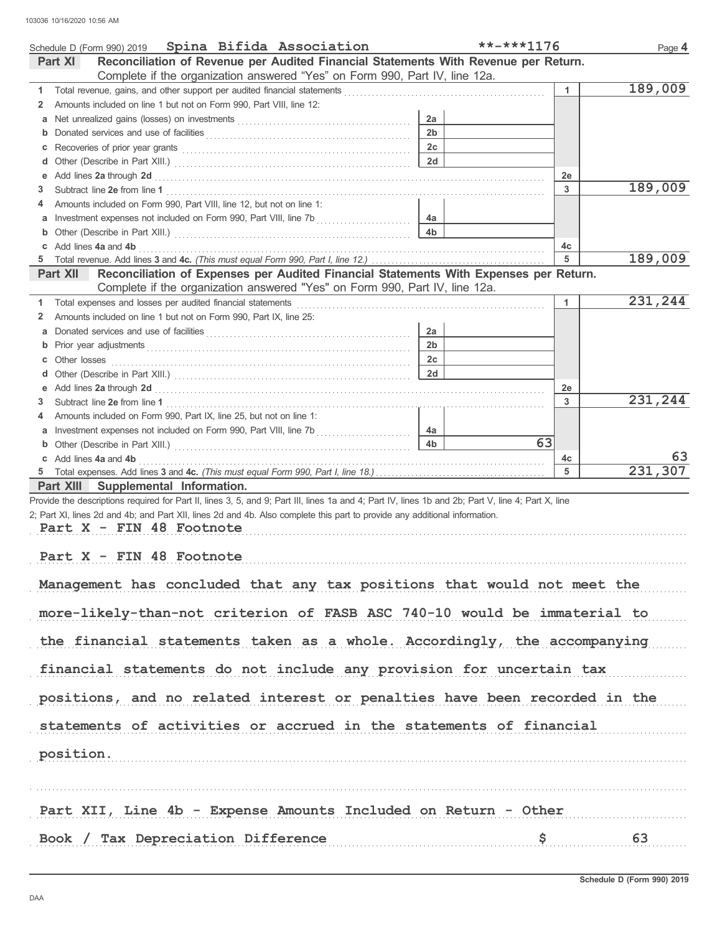| Schedule D (Form 990) 2019  Spina Bifida Association                                                                                                                                                                                                                                  |                | $***+*1176$  | Page 4  |
|---------------------------------------------------------------------------------------------------------------------------------------------------------------------------------------------------------------------------------------------------------------------------------------|----------------|--------------|---------|
| Reconciliation of Revenue per Audited Financial Statements With Revenue per Return.<br>Part XI                                                                                                                                                                                        |                |              |         |
| Complete if the organization answered "Yes" on Form 990, Part IV, line 12a.                                                                                                                                                                                                           |                |              |         |
| 1                                                                                                                                                                                                                                                                                     |                | $\mathbf{1}$ | 189,009 |
| Amounts included on line 1 but not on Form 990, Part VIII, line 12:<br>2                                                                                                                                                                                                              |                |              |         |
| а                                                                                                                                                                                                                                                                                     | 2a             |              |         |
|                                                                                                                                                                                                                                                                                       | 2 <sub>b</sub> |              |         |
| C                                                                                                                                                                                                                                                                                     | 2c             |              |         |
| d                                                                                                                                                                                                                                                                                     | 2d             |              |         |
| Add lines 2a through 2d [11] Add [11] Add [11] Add lines 2a through 2d [11] Add lines 2a through 2d [11] Add lines 2a through 2d [11] Add and Add and Add and Add and Add and Add and Add and Add and Add and Add and Add and<br>е                                                    |                | 2e           |         |
| 3                                                                                                                                                                                                                                                                                     |                | 3            | 189,009 |
| Amounts included on Form 990, Part VIII, line 12, but not on line 1:                                                                                                                                                                                                                  |                |              |         |
| a Investment expenses not included on Form 990, Part VIII, line 7b [11, 11, 11, 11]                                                                                                                                                                                                   | 4a             |              |         |
|                                                                                                                                                                                                                                                                                       | 4 <sub>b</sub> |              |         |
| c Add lines 4a and 4b                                                                                                                                                                                                                                                                 |                | 4c           |         |
|                                                                                                                                                                                                                                                                                       |                | 5            | 189,009 |
| Reconciliation of Expenses per Audited Financial Statements With Expenses per Return.<br><b>Part XII</b>                                                                                                                                                                              |                |              |         |
| Complete if the organization answered "Yes" on Form 990, Part IV, line 12a.                                                                                                                                                                                                           |                |              |         |
| 1                                                                                                                                                                                                                                                                                     |                | $\mathbf{1}$ | 231,244 |
| Amounts included on line 1 but not on Form 990, Part IX, line 25:<br>2                                                                                                                                                                                                                |                |              |         |
| а                                                                                                                                                                                                                                                                                     | 2a             |              |         |
|                                                                                                                                                                                                                                                                                       | 2 <sub>b</sub> |              |         |
|                                                                                                                                                                                                                                                                                       | 2 <sub>c</sub> |              |         |
| d                                                                                                                                                                                                                                                                                     | 2d             |              |         |
|                                                                                                                                                                                                                                                                                       |                | 2e           |         |
| 3                                                                                                                                                                                                                                                                                     |                | 3            | 231,244 |
| Amounts included on Form 990, Part IX, line 25, but not on line 1:                                                                                                                                                                                                                    |                |              |         |
|                                                                                                                                                                                                                                                                                       | 4a             |              |         |
|                                                                                                                                                                                                                                                                                       | 4 <sub>b</sub> | 63           |         |
| c Add lines 4a and 4b (a) and $\frac{1}{2}$ and $\frac{1}{2}$ and $\frac{1}{2}$ and $\frac{1}{2}$ and $\frac{1}{2}$ and $\frac{1}{2}$ and $\frac{1}{2}$ and $\frac{1}{2}$ and $\frac{1}{2}$ and $\frac{1}{2}$ and $\frac{1}{2}$ and $\frac{1}{2}$ and $\frac{1}{2}$ and $\frac{1}{2}$ |                | 4c           | 63      |
|                                                                                                                                                                                                                                                                                       |                | 5            | 231,307 |
| Part XIII Supplemental Information.                                                                                                                                                                                                                                                   |                |              |         |
| Provide the descriptions required for Part II, lines 3, 5, and 9; Part III, lines 1a and 4; Part IV, lines 1b and 2b; Part V, line 4; Part X, line                                                                                                                                    |                |              |         |
| 2; Part XI, lines 2d and 4b; and Part XII, lines 2d and 4b. Also complete this part to provide any additional information.                                                                                                                                                            |                |              |         |
| Part X - FIN 48 Footnote                                                                                                                                                                                                                                                              |                |              |         |
|                                                                                                                                                                                                                                                                                       |                |              |         |
| Part $X$ - FIN 48 Footnote                                                                                                                                                                                                                                                            |                |              |         |
|                                                                                                                                                                                                                                                                                       |                |              |         |
| Management has concluded that any tax positions that would not meet the                                                                                                                                                                                                               |                |              |         |
|                                                                                                                                                                                                                                                                                       |                |              |         |
| more-likely-than-not criterion of FASB ASC 740-10 would be immaterial to                                                                                                                                                                                                              |                |              |         |
|                                                                                                                                                                                                                                                                                       |                |              |         |
| the financial statements taken as a whole. Accordingly, the accompanying                                                                                                                                                                                                              |                |              |         |
|                                                                                                                                                                                                                                                                                       |                |              |         |
| financial statements do not include any provision for uncertain tax                                                                                                                                                                                                                   |                |              |         |
|                                                                                                                                                                                                                                                                                       |                |              |         |
| positions, and no related interest or penalties have been recorded in the                                                                                                                                                                                                             |                |              |         |
|                                                                                                                                                                                                                                                                                       |                |              |         |
| statements of activities or accrued in the statements of financial                                                                                                                                                                                                                    |                |              |         |
|                                                                                                                                                                                                                                                                                       |                |              |         |
| position.                                                                                                                                                                                                                                                                             |                |              |         |
|                                                                                                                                                                                                                                                                                       |                |              |         |
|                                                                                                                                                                                                                                                                                       |                |              |         |
|                                                                                                                                                                                                                                                                                       |                |              |         |
| Part XII, Line 4b - Expense Amounts Included on Return - Other                                                                                                                                                                                                                        |                |              |         |
|                                                                                                                                                                                                                                                                                       |                |              |         |
| Book / Tax Depreciation Difference                                                                                                                                                                                                                                                    |                | \$           | 63      |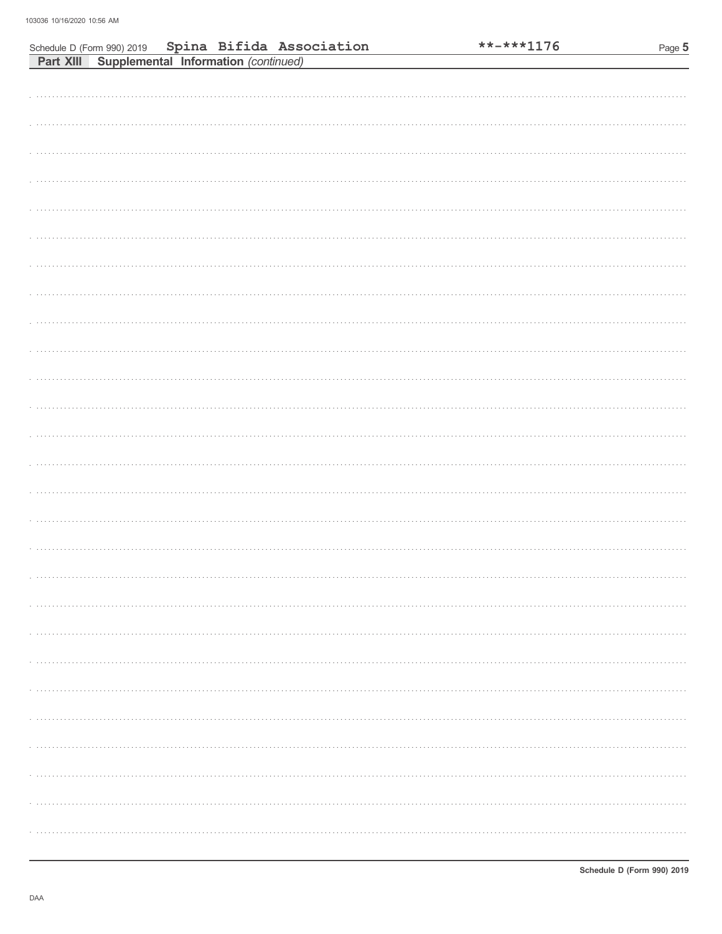| Schedule D (Form 990) 2019 Spina Bifida Association<br>Part XIII Supplemental Information (continued) | **-***1176 | Page 5 |
|-------------------------------------------------------------------------------------------------------|------------|--------|
|                                                                                                       |            |        |
|                                                                                                       |            |        |
|                                                                                                       |            |        |
|                                                                                                       |            |        |
|                                                                                                       |            |        |
|                                                                                                       |            |        |
|                                                                                                       |            |        |
|                                                                                                       |            |        |
|                                                                                                       |            |        |
|                                                                                                       |            |        |
|                                                                                                       |            |        |
|                                                                                                       |            |        |
|                                                                                                       |            |        |
|                                                                                                       |            |        |
|                                                                                                       |            |        |
|                                                                                                       |            |        |
|                                                                                                       |            |        |
|                                                                                                       |            |        |
|                                                                                                       |            |        |
|                                                                                                       |            |        |
|                                                                                                       |            |        |
|                                                                                                       |            |        |
|                                                                                                       |            |        |
|                                                                                                       |            |        |
|                                                                                                       |            |        |
|                                                                                                       |            |        |
|                                                                                                       |            | .      |
|                                                                                                       |            | .      |
|                                                                                                       |            |        |
|                                                                                                       |            | .      |
|                                                                                                       |            | .      |
|                                                                                                       |            |        |
|                                                                                                       |            |        |
|                                                                                                       |            | .      |
|                                                                                                       |            | .      |
|                                                                                                       |            |        |
|                                                                                                       |            | .      |
|                                                                                                       |            | .      |
|                                                                                                       |            | .      |
|                                                                                                       |            |        |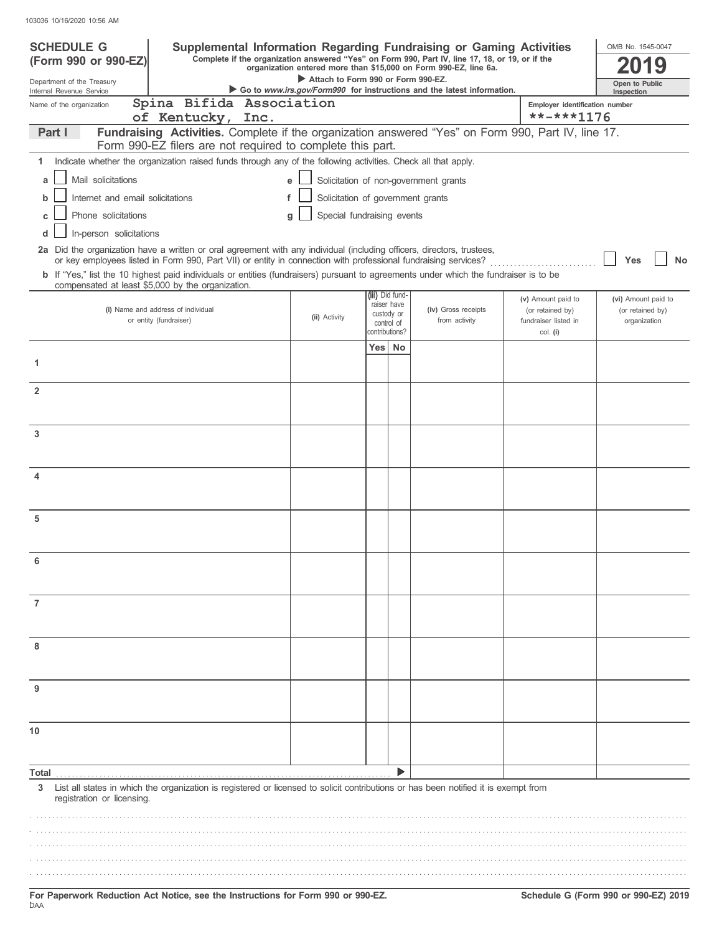| <b>SCHEDULE G</b><br>Supplemental Information Regarding Fundraising or Gaming Activities<br>Complete if the organization answered "Yes" on Form 990, Part IV, line 17, 18, or 19, or if the<br>(Form 990 or 990-EZ) |                                                                                                                                                                                                                                          |                                        |                |                           |                                                                        | OMB No. 1545-0047<br>9                        |                     |
|---------------------------------------------------------------------------------------------------------------------------------------------------------------------------------------------------------------------|------------------------------------------------------------------------------------------------------------------------------------------------------------------------------------------------------------------------------------------|----------------------------------------|----------------|---------------------------|------------------------------------------------------------------------|-----------------------------------------------|---------------------|
| Department of the Treasury                                                                                                                                                                                          |                                                                                                                                                                                                                                          | Attach to Form 990 or Form 990-EZ.     |                |                           | organization entered more than \$15,000 on Form 990-EZ, line 6a.       |                                               | Open to Public      |
| Internal Revenue Service                                                                                                                                                                                            | Spina Bifida Association                                                                                                                                                                                                                 |                                        |                |                           | Go to www.irs.gov/Form990 for instructions and the latest information. |                                               | Inspection          |
| Name of the organization                                                                                                                                                                                            | of Kentucky, Inc.                                                                                                                                                                                                                        |                                        |                |                           |                                                                        | Employer identification number<br>$***+*1176$ |                     |
| Part I                                                                                                                                                                                                              | Fundraising Activities. Complete if the organization answered "Yes" on Form 990, Part IV, line 17.<br>Form 990-EZ filers are not required to complete this part.                                                                         |                                        |                |                           |                                                                        |                                               |                     |
| 1.                                                                                                                                                                                                                  | Indicate whether the organization raised funds through any of the following activities. Check all that apply.                                                                                                                            |                                        |                |                           |                                                                        |                                               |                     |
| Mail solicitations<br>a                                                                                                                                                                                             |                                                                                                                                                                                                                                          | e                                      |                |                           | Solicitation of non-government grants                                  |                                               |                     |
| Internet and email solicitations<br>b                                                                                                                                                                               |                                                                                                                                                                                                                                          | Solicitation of government grants<br>f |                |                           |                                                                        |                                               |                     |
| Phone solicitations                                                                                                                                                                                                 |                                                                                                                                                                                                                                          | Special fundraising events<br>q        |                |                           |                                                                        |                                               |                     |
| In-person solicitations<br>d                                                                                                                                                                                        |                                                                                                                                                                                                                                          |                                        |                |                           |                                                                        |                                               |                     |
|                                                                                                                                                                                                                     | 2a Did the organization have a written or oral agreement with any individual (including officers, directors, trustees,<br>or key employees listed in Form 990, Part VII) or entity in connection with professional fundraising services? |                                        |                |                           |                                                                        |                                               | <b>No</b><br>Yes    |
|                                                                                                                                                                                                                     | b If "Yes," list the 10 highest paid individuals or entities (fundraisers) pursuant to agreements under which the fundraiser is to be                                                                                                    |                                        |                |                           |                                                                        |                                               |                     |
|                                                                                                                                                                                                                     | compensated at least \$5,000 by the organization.                                                                                                                                                                                        |                                        |                | (iii) Did fund-           |                                                                        | (v) Amount paid to                            | (vi) Amount paid to |
|                                                                                                                                                                                                                     | (i) Name and address of individual                                                                                                                                                                                                       | (ii) Activity                          |                | raiser have<br>custody or | (iv) Gross receipts                                                    | (or retained by)                              | (or retained by)    |
|                                                                                                                                                                                                                     | or entity (fundraiser)                                                                                                                                                                                                                   |                                        | contributions? | control of                | from activity                                                          | fundraiser listed in<br>col. (i)              | organization        |
|                                                                                                                                                                                                                     |                                                                                                                                                                                                                                          |                                        | Yes No         |                           |                                                                        |                                               |                     |
| 1                                                                                                                                                                                                                   |                                                                                                                                                                                                                                          |                                        |                |                           |                                                                        |                                               |                     |
| $\overline{2}$                                                                                                                                                                                                      |                                                                                                                                                                                                                                          |                                        |                |                           |                                                                        |                                               |                     |
|                                                                                                                                                                                                                     |                                                                                                                                                                                                                                          |                                        |                |                           |                                                                        |                                               |                     |
|                                                                                                                                                                                                                     |                                                                                                                                                                                                                                          |                                        |                |                           |                                                                        |                                               |                     |
| 3                                                                                                                                                                                                                   |                                                                                                                                                                                                                                          |                                        |                |                           |                                                                        |                                               |                     |
|                                                                                                                                                                                                                     |                                                                                                                                                                                                                                          |                                        |                |                           |                                                                        |                                               |                     |
| 4                                                                                                                                                                                                                   |                                                                                                                                                                                                                                          |                                        |                |                           |                                                                        |                                               |                     |
|                                                                                                                                                                                                                     |                                                                                                                                                                                                                                          |                                        |                |                           |                                                                        |                                               |                     |
| 5                                                                                                                                                                                                                   |                                                                                                                                                                                                                                          |                                        |                |                           |                                                                        |                                               |                     |
|                                                                                                                                                                                                                     |                                                                                                                                                                                                                                          |                                        |                |                           |                                                                        |                                               |                     |
| 6                                                                                                                                                                                                                   |                                                                                                                                                                                                                                          |                                        |                |                           |                                                                        |                                               |                     |
|                                                                                                                                                                                                                     |                                                                                                                                                                                                                                          |                                        |                |                           |                                                                        |                                               |                     |
|                                                                                                                                                                                                                     |                                                                                                                                                                                                                                          |                                        |                |                           |                                                                        |                                               |                     |
|                                                                                                                                                                                                                     |                                                                                                                                                                                                                                          |                                        |                |                           |                                                                        |                                               |                     |
|                                                                                                                                                                                                                     |                                                                                                                                                                                                                                          |                                        |                |                           |                                                                        |                                               |                     |
| 8                                                                                                                                                                                                                   |                                                                                                                                                                                                                                          |                                        |                |                           |                                                                        |                                               |                     |
|                                                                                                                                                                                                                     |                                                                                                                                                                                                                                          |                                        |                |                           |                                                                        |                                               |                     |
| 9                                                                                                                                                                                                                   |                                                                                                                                                                                                                                          |                                        |                |                           |                                                                        |                                               |                     |
|                                                                                                                                                                                                                     |                                                                                                                                                                                                                                          |                                        |                |                           |                                                                        |                                               |                     |
| 10                                                                                                                                                                                                                  |                                                                                                                                                                                                                                          |                                        |                |                           |                                                                        |                                               |                     |
|                                                                                                                                                                                                                     |                                                                                                                                                                                                                                          |                                        |                |                           |                                                                        |                                               |                     |
| Total                                                                                                                                                                                                               |                                                                                                                                                                                                                                          |                                        |                |                           |                                                                        |                                               |                     |
| 3                                                                                                                                                                                                                   | List all states in which the organization is registered or licensed to solicit contributions or has been notified it is exempt from                                                                                                      |                                        |                |                           |                                                                        |                                               |                     |
| registration or licensing.                                                                                                                                                                                          |                                                                                                                                                                                                                                          |                                        |                |                           |                                                                        |                                               |                     |
|                                                                                                                                                                                                                     |                                                                                                                                                                                                                                          |                                        |                |                           |                                                                        |                                               |                     |
|                                                                                                                                                                                                                     |                                                                                                                                                                                                                                          |                                        |                |                           |                                                                        |                                               |                     |
|                                                                                                                                                                                                                     |                                                                                                                                                                                                                                          |                                        |                |                           |                                                                        |                                               |                     |
|                                                                                                                                                                                                                     |                                                                                                                                                                                                                                          |                                        |                |                           |                                                                        |                                               |                     |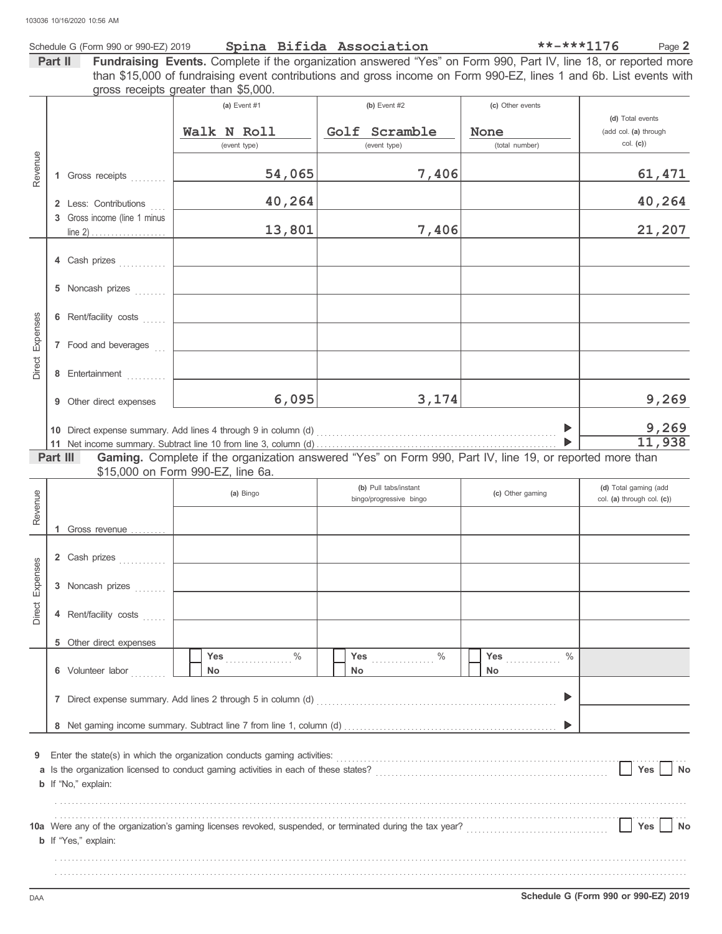|                        |          | 103036 10/16/2020 10:56 AM   | Schedule G (Form 990 or 990-EZ) 2019 Spina Bifida Association                                                                                                                                                                                                                 |                                                  | $***1176$                  | Page 2                                              |
|------------------------|----------|------------------------------|-------------------------------------------------------------------------------------------------------------------------------------------------------------------------------------------------------------------------------------------------------------------------------|--------------------------------------------------|----------------------------|-----------------------------------------------------|
|                        | Part II  |                              | Fundraising Events. Complete if the organization answered "Yes" on Form 990, Part IV, line 18, or reported more<br>than \$15,000 of fundraising event contributions and gross income on Form 990-EZ, lines 1 and 6b. List events with<br>gross receipts greater than \$5,000. |                                                  |                            |                                                     |
|                        |          |                              | (a) Event $#1$                                                                                                                                                                                                                                                                | (b) Event $#2$                                   | (c) Other events           |                                                     |
|                        |          |                              | Walk N Roll                                                                                                                                                                                                                                                                   | Golf Scramble                                    | <b>None</b>                | (d) Total events<br>(add col. (a) through           |
|                        |          |                              | (event type)                                                                                                                                                                                                                                                                  | (event type)                                     | (total number)             | $col.$ $(c)$                                        |
| Revenue                |          | 1 Gross receipts             | 54,065                                                                                                                                                                                                                                                                        | 7,406                                            |                            | 61,471                                              |
|                        |          | 2 Less: Contributions        | 40,264                                                                                                                                                                                                                                                                        |                                                  |                            | 40,264                                              |
|                        |          | 3 Gross income (line 1 minus | 13,801                                                                                                                                                                                                                                                                        | 7,406                                            |                            | 21,207                                              |
|                        |          | 4 Cash prizes                |                                                                                                                                                                                                                                                                               |                                                  |                            |                                                     |
|                        |          | 5 Noncash prizes             |                                                                                                                                                                                                                                                                               |                                                  |                            |                                                     |
|                        |          | 6 Rent/facility costs        |                                                                                                                                                                                                                                                                               |                                                  |                            |                                                     |
| <b>Direct Expenses</b> |          | 7 Food and beverages         |                                                                                                                                                                                                                                                                               |                                                  |                            |                                                     |
|                        |          | 8 Entertainment              |                                                                                                                                                                                                                                                                               |                                                  |                            |                                                     |
|                        |          | 9 Other direct expenses      | 6,095                                                                                                                                                                                                                                                                         | 3,174                                            |                            | 9,269                                               |
|                        |          |                              |                                                                                                                                                                                                                                                                               |                                                  |                            | 9,269<br>11,938                                     |
|                        | Part III |                              | Gaming. Complete if the organization answered "Yes" on Form 990, Part IV, line 19, or reported more than<br>\$15,000 on Form 990-EZ, line 6a.                                                                                                                                 |                                                  |                            |                                                     |
|                        |          |                              | (a) Bingo                                                                                                                                                                                                                                                                     | (b) Pull tabs/instant<br>bingo/progressive bingo | (c) Other gaming           | (d) Total gaming (add<br>col. (a) through col. (c)) |
| Revenue                |          | Gross revenue                |                                                                                                                                                                                                                                                                               |                                                  |                            |                                                     |
|                        |          | 2 Cash prizes                |                                                                                                                                                                                                                                                                               |                                                  |                            |                                                     |
| Direct Expenses        |          | 3 Noncash prizes<br>.        |                                                                                                                                                                                                                                                                               |                                                  |                            |                                                     |
|                        |          | 4 Rent/facility costs        |                                                                                                                                                                                                                                                                               |                                                  |                            |                                                     |
|                        |          | 5 Other direct expenses      |                                                                                                                                                                                                                                                                               |                                                  |                            |                                                     |
|                        |          | 6 Volunteer labor            | <b>Yes</b><br>$\frac{0}{0}$<br><b>No</b>                                                                                                                                                                                                                                      | Yes<br>$\%$<br>No                                | $\frac{0}{0}$<br>Yes<br>No |                                                     |
|                        |          |                              | 7 Direct expense summary. Add lines 2 through 5 in column (d)                                                                                                                                                                                                                 |                                                  | ▶                          |                                                     |
|                        |          |                              |                                                                                                                                                                                                                                                                               |                                                  |                            |                                                     |

| <b>9</b> Enter the state(s) in which the organization conducts gaming activities:                         |
|-----------------------------------------------------------------------------------------------------------|
| a Is the organization licensed to conduct gaming activities in each of these states?                      |
| <b>b</b> If "No," explain:                                                                                |
|                                                                                                           |
| 10a Were any of the organization's gaming licenses revoked, suspended, or terminated during the tax year? |
| <b>b</b> If "Yes," explain:                                                                               |
|                                                                                                           |
|                                                                                                           |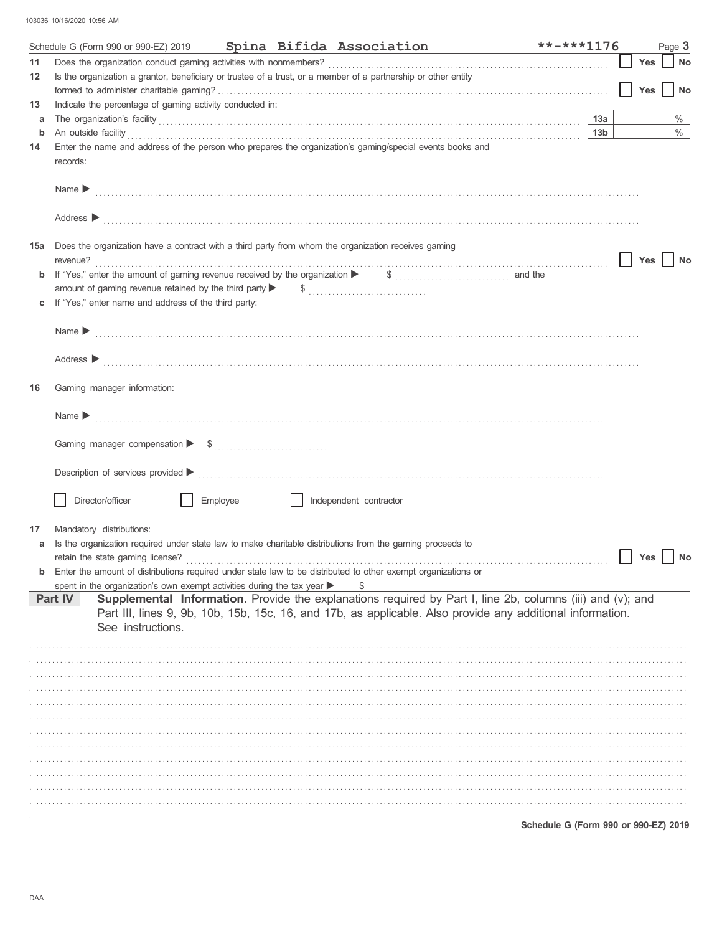|                   | Schedule G (Form 990 or 990-EZ) 2019   Spina Bifida Association                                                                                                                                                                                                                                                                            | $***+*1176$            |            | Page 3       |
|-------------------|--------------------------------------------------------------------------------------------------------------------------------------------------------------------------------------------------------------------------------------------------------------------------------------------------------------------------------------------|------------------------|------------|--------------|
| 11                |                                                                                                                                                                                                                                                                                                                                            |                        | Yes        | No           |
| $12 \overline{ }$ | Is the organization a grantor, beneficiary or trustee of a trust, or a member of a partnership or other entity                                                                                                                                                                                                                             |                        |            |              |
|                   |                                                                                                                                                                                                                                                                                                                                            |                        | <b>Yes</b> | No           |
| 13                | Indicate the percentage of gaming activity conducted in:                                                                                                                                                                                                                                                                                   |                        |            |              |
| a<br>$\mathbf b$  | The organization's facility encouragement and an account of the contract of the contract of the contract of the contract of the contract of the contract of the contract of the contract of the contract of the contract of th                                                                                                             | 13а<br>13 <sub>b</sub> |            | $\%$<br>$\%$ |
| 14                | An outside facility resources and the contract of the contract of the contract of the contract of the contract of the contract of the contract of the contract of the contract of the contract of the contract of the contract<br>Enter the name and address of the person who prepares the organization's gaming/special events books and |                        |            |              |
|                   | records:                                                                                                                                                                                                                                                                                                                                   |                        |            |              |
|                   | Name $\blacktriangleright$                                                                                                                                                                                                                                                                                                                 |                        |            |              |
|                   | Address $\blacktriangleright$                                                                                                                                                                                                                                                                                                              |                        |            |              |
|                   | 15a Does the organization have a contract with a third party from whom the organization receives gaming                                                                                                                                                                                                                                    |                        | Yes        | <b>No</b>    |
| $\mathbf b$       | If "Yes," enter the amount of gaming revenue received by the organization ><br>$\frac{1}{2}$ and the                                                                                                                                                                                                                                       |                        |            |              |
|                   |                                                                                                                                                                                                                                                                                                                                            |                        |            |              |
| c                 | If "Yes," enter name and address of the third party:                                                                                                                                                                                                                                                                                       |                        |            |              |
|                   |                                                                                                                                                                                                                                                                                                                                            |                        |            |              |
|                   | Name $\blacktriangleright$                                                                                                                                                                                                                                                                                                                 |                        |            |              |
|                   | Address $\blacktriangleright$                                                                                                                                                                                                                                                                                                              |                        |            |              |
|                   |                                                                                                                                                                                                                                                                                                                                            |                        |            |              |
| 16                | Gaming manager information:                                                                                                                                                                                                                                                                                                                |                        |            |              |
|                   | Name $\blacktriangleright$                                                                                                                                                                                                                                                                                                                 |                        |            |              |
|                   |                                                                                                                                                                                                                                                                                                                                            |                        |            |              |
|                   | Description of services provided >                                                                                                                                                                                                                                                                                                         |                        |            |              |
|                   |                                                                                                                                                                                                                                                                                                                                            |                        |            |              |
|                   | Director/officer<br>Employee<br>Independent contractor                                                                                                                                                                                                                                                                                     |                        |            |              |
|                   |                                                                                                                                                                                                                                                                                                                                            |                        |            |              |
| 17<br>a           | Mandatory distributions:<br>Is the organization required under state law to make charitable distributions from the gaming proceeds to                                                                                                                                                                                                      |                        |            |              |
|                   | retain the state gaming license?                                                                                                                                                                                                                                                                                                           |                        | Yes        | No           |
| b                 | Enter the amount of distributions required under state law to be distributed to other exempt organizations or                                                                                                                                                                                                                              |                        |            |              |
|                   | spent in the organization's own exempt activities during the tax year                                                                                                                                                                                                                                                                      |                        |            |              |
|                   | Supplemental Information. Provide the explanations required by Part I, line 2b, columns (iii) and (v); and<br>Part IV<br>Part III, lines 9, 9b, 10b, 15b, 15c, 16, and 17b, as applicable. Also provide any additional information.<br>See instructions.                                                                                   |                        |            |              |
|                   |                                                                                                                                                                                                                                                                                                                                            |                        |            |              |
|                   |                                                                                                                                                                                                                                                                                                                                            |                        |            |              |
|                   |                                                                                                                                                                                                                                                                                                                                            |                        |            |              |
|                   |                                                                                                                                                                                                                                                                                                                                            |                        |            |              |
|                   |                                                                                                                                                                                                                                                                                                                                            |                        |            |              |
|                   |                                                                                                                                                                                                                                                                                                                                            |                        |            |              |
|                   |                                                                                                                                                                                                                                                                                                                                            |                        |            |              |
|                   |                                                                                                                                                                                                                                                                                                                                            |                        |            |              |
|                   |                                                                                                                                                                                                                                                                                                                                            |                        |            |              |
|                   |                                                                                                                                                                                                                                                                                                                                            |                        |            |              |
|                   |                                                                                                                                                                                                                                                                                                                                            |                        |            |              |
|                   |                                                                                                                                                                                                                                                                                                                                            |                        |            |              |

Schedule G (Form 990 or 990-EZ) 2019